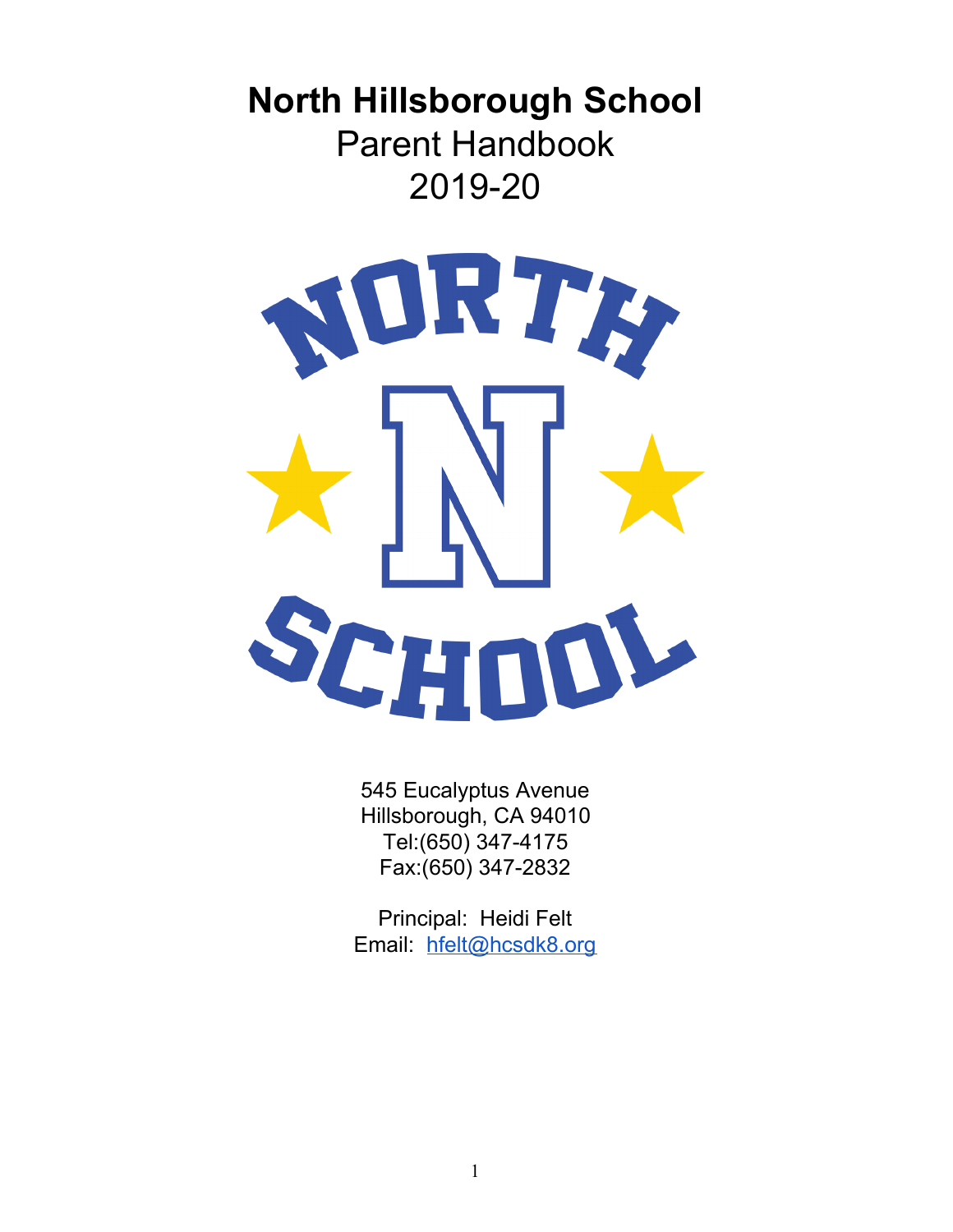# **North Hillsborough School** Parent Handbook 2019-20



545 Eucalyptus Avenue Hillsborough, CA 94010 Tel:(650) 347-4175 Fax:(650) 347-2832

Principal: Heidi Felt Email: [hfelt@hcsdk8.org](mailto:hfelt@hcsdk8.org)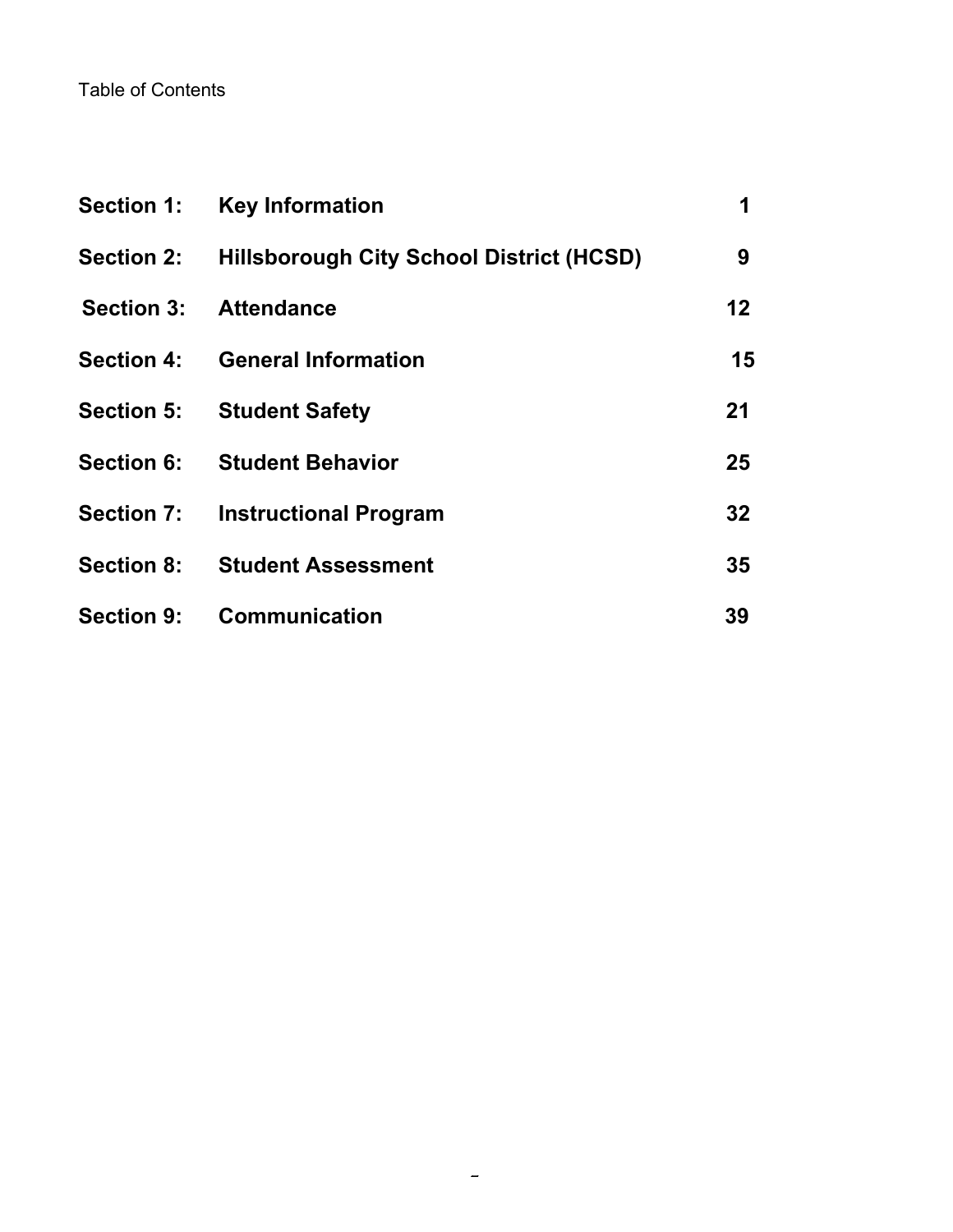### Table of Contents

| <b>Section 1:</b> | <b>Key Information</b>                              | 1       |
|-------------------|-----------------------------------------------------|---------|
|                   | Section 2: Hillsborough City School District (HCSD) | 9       |
| <b>Section 3:</b> | <b>Attendance</b>                                   | $12 \,$ |
|                   | Section 4: General Information                      | 15      |
|                   | <b>Section 5: Student Safety</b>                    | 21      |
| <b>Section 6:</b> | <b>Student Behavior</b>                             | 25      |
|                   | <b>Section 7: Instructional Program</b>             | 32      |
|                   | <b>Section 8: Student Assessment</b>                | 35      |
| <b>Section 9:</b> | <b>Communication</b>                                | 39      |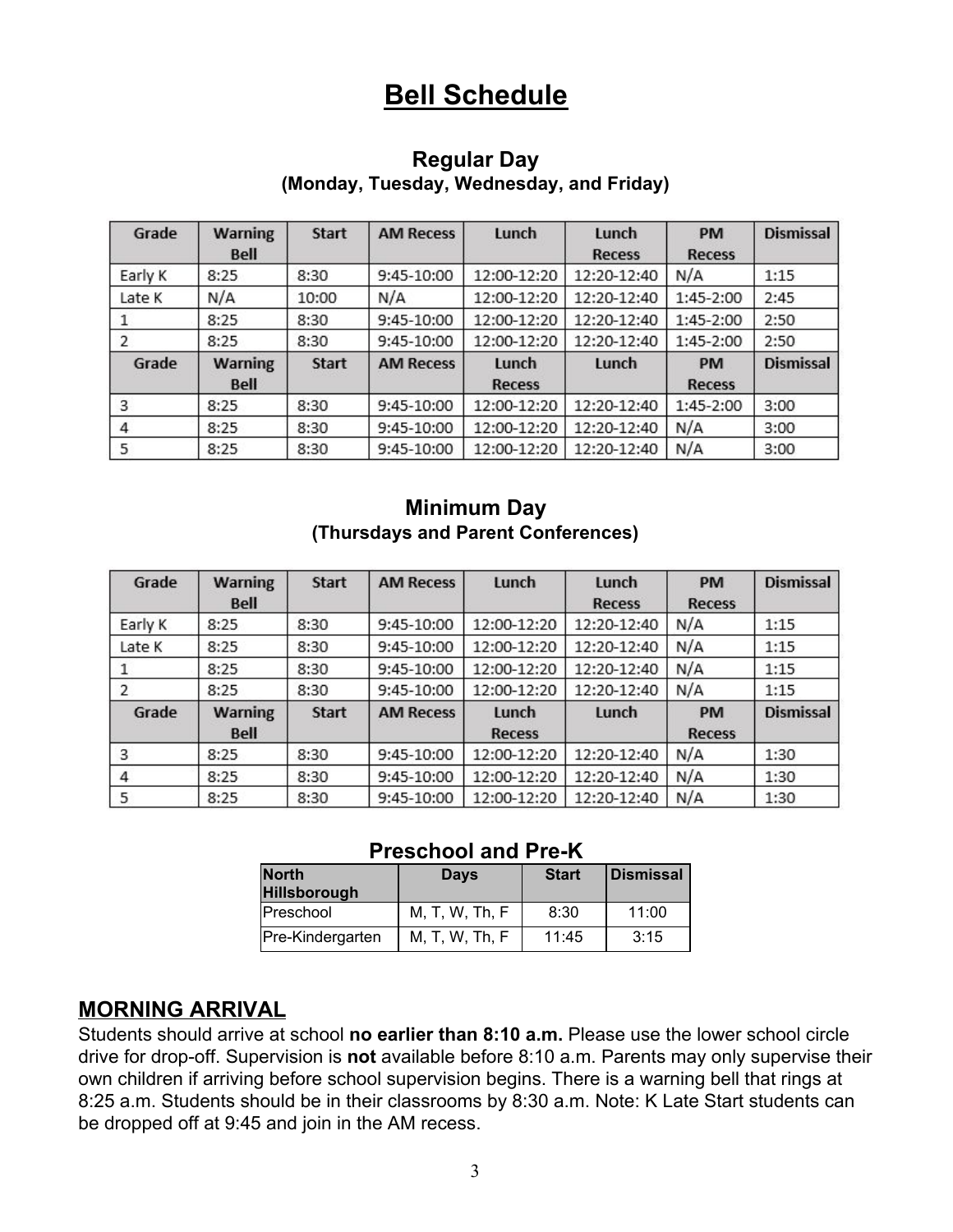# **Bell Schedule**

### **Regular Day (Monday, Tuesday, Wednesday, and Friday)**

| Grade   | <b>Warning</b><br><b>Bell</b> | <b>Start</b> | <b>AM Recess</b> | Lunch                  | Lunch<br><b>Recess</b> | <b>PM</b><br><b>Recess</b> | <b>Dismissal</b> |
|---------|-------------------------------|--------------|------------------|------------------------|------------------------|----------------------------|------------------|
| Early K | 8:25                          | 8:30         | 9:45-10:00       | 12:00-12:20            | 12:20-12:40            | N/A                        | 1:15             |
| Late K  | N/A                           | 10:00        | N/A              | 12:00-12:20            | 12:20-12:40            | 1:45-2:00                  | 2:45             |
|         | 8:25                          | 8:30         | 9:45-10:00       | 12:00-12:20            | 12:20-12:40            | 1:45-2:00                  | 2:50             |
|         | 8:25                          | 8:30         | 9:45-10:00       | 12:00-12:20            | 12:20-12:40            | 1:45-2:00                  | 2:50             |
| Grade   | <b>Warning</b><br><b>Bell</b> | <b>Start</b> | <b>AM Recess</b> | Lunch<br><b>Recess</b> | Lunch                  | <b>PM</b><br><b>Recess</b> | <b>Dismissal</b> |
| 3       | 8:25                          | 8:30         | 9:45-10:00       | 12:00-12:20            | 12:20-12:40            | 1:45-2:00                  | 3:00             |
| 4       | 8:25                          | 8:30         | 9:45-10:00       | 12:00-12:20            | 12:20-12:40            | N/A                        | 3:00             |
| 5       | 8:25                          | 8:30         | 9:45-10:00       | 12:00-12:20            | 12:20-12:40            | N/A                        | 3:00             |

### **Minimum Day (Thursdays and Parent Conferences)**

| Grade   | <b>Warning</b><br><b>Bell</b> | <b>Start</b> | <b>AM Recess</b> | Lunch                  | Lunch<br><b>Recess</b> | <b>PM</b><br><b>Recess</b> | <b>Dismissal</b> |
|---------|-------------------------------|--------------|------------------|------------------------|------------------------|----------------------------|------------------|
| Early K | 8:25                          | 8:30         | 9:45-10:00       | 12:00-12:20            | 12:20-12:40            | N/A                        | 1:15             |
| Late K  | 8:25                          | 8:30         | 9:45-10:00       | 12:00-12:20            | 12:20-12:40            | N/A                        | 1:15             |
|         | 8:25                          | 8:30         | 9:45-10:00       | 12:00-12:20            | 12:20-12:40            | N/A                        | 1:15             |
|         | 8:25                          | 8:30         | 9:45-10:00       | 12:00-12:20            | 12:20-12:40            | N/A                        | 1:15             |
| Grade   | <b>Warning</b><br>Bell        | <b>Start</b> | <b>AM Recess</b> | Lunch<br><b>Recess</b> | Lunch                  | <b>PM</b><br><b>Recess</b> | <b>Dismissal</b> |
| 3       | 8:25                          | 8:30         | 9:45-10:00       | 12:00-12:20            | 12:20-12:40            | N/A                        | 1:30             |
| 4       | 8:25                          | 8:30         | 9:45-10:00       | 12:00-12:20            | 12:20-12:40            | N/A                        | 1:30             |
| 5       | 8:25                          | 8:30         | 9:45-10:00       | 12:00-12:20            | 12:20-12:40            | N/A                        | 1:30             |

#### **Preschool and Pre-K**

| <b>North</b><br><b>Hillsborough</b> | <b>Days</b>    | <b>Start</b> | <b>Dismissal</b> |  |
|-------------------------------------|----------------|--------------|------------------|--|
| Preschool                           | M, T, W, Th, F | 8:30         | 11:00            |  |
| Pre-Kindergarten                    | M, T, W, Th, F | 11:45        | 3:15             |  |

### **MORNING ARRIVAL**

Students should arrive at school **no earlier than 8:10 a.m.** Please use the lower school circle drive for drop-off. Supervision is **not** available before 8:10 a.m. Parents may only supervise their own children if arriving before school supervision begins. There is a warning bell that rings at 8:25 a.m. Students should be in their classrooms by 8:30 a.m. Note: K Late Start students can be dropped off at 9:45 and join in the AM recess.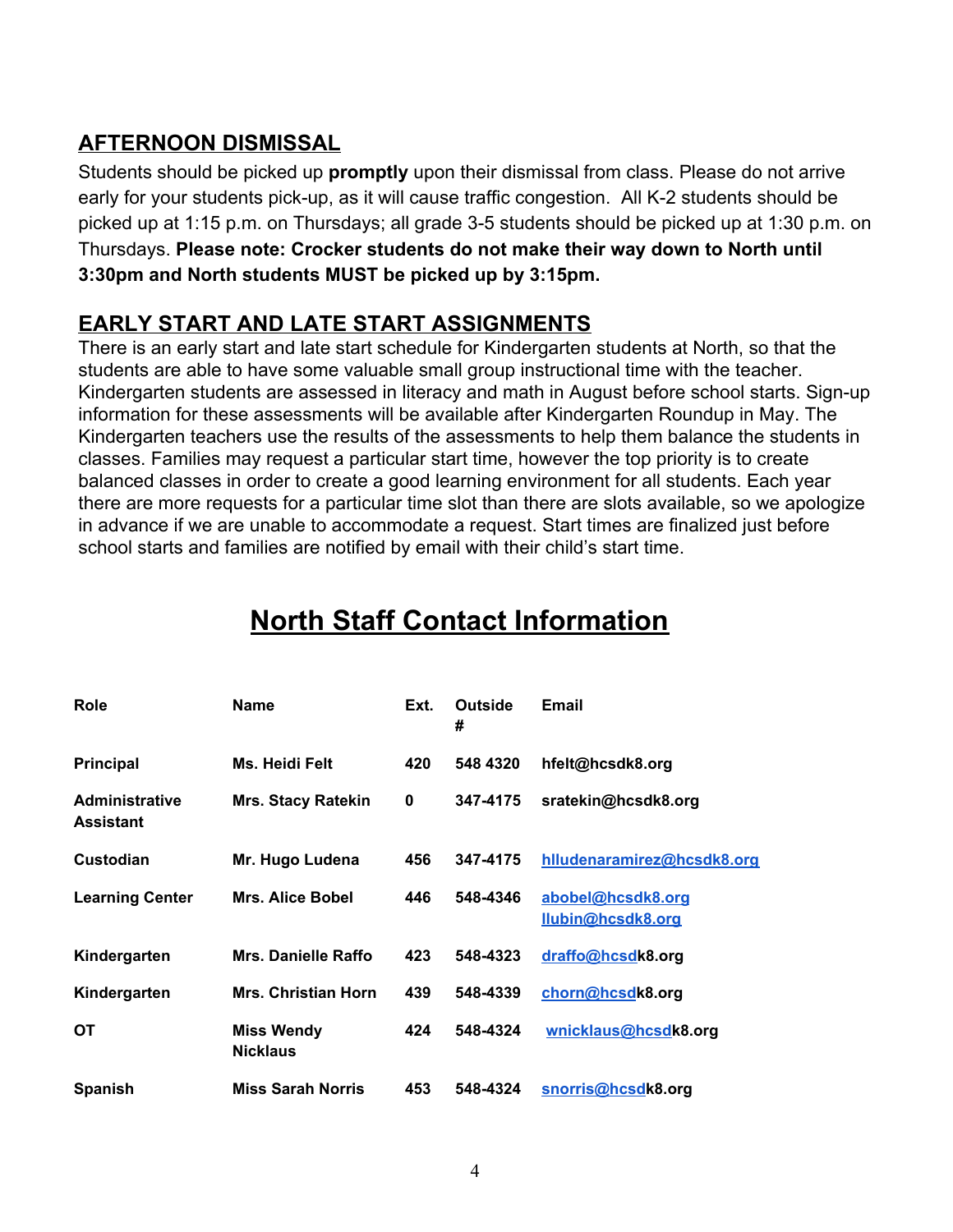# **AFTERNOON DISMISSAL**

Students should be picked up **promptly** upon their dismissal from class. Please do not arrive early for your students pick-up, as it will cause traffic congestion. All K-2 students should be picked up at 1:15 p.m. on Thursdays; all grade 3-5 students should be picked up at 1:30 p.m. on Thursdays. **Please note: Crocker students do not make their way down to North until 3:30pm and North students MUST be picked up by 3:15pm.**

## **EARLY START AND LATE START ASSIGNMENTS**

There is an early start and late start schedule for Kindergarten students at North, so that the students are able to have some valuable small group instructional time with the teacher. Kindergarten students are assessed in literacy and math in August before school starts. Sign-up information for these assessments will be available after Kindergarten Roundup in May. The Kindergarten teachers use the results of the assessments to help them balance the students in classes. Families may request a particular start time, however the top priority is to create balanced classes in order to create a good learning environment for all students. Each year there are more requests for a particular time slot than there are slots available, so we apologize in advance if we are unable to accommodate a request. Start times are finalized just before school starts and families are notified by email with their child's start time.

| Role                                      | <b>Name</b>                          | Ext. | Outside<br># | Email                                  |
|-------------------------------------------|--------------------------------------|------|--------------|----------------------------------------|
| <b>Principal</b>                          | Ms. Heidi Felt                       | 420  | 548 4320     | hfelt@hcsdk8.org                       |
| <b>Administrative</b><br><b>Assistant</b> | <b>Mrs. Stacy Ratekin</b>            | 0    | 347-4175     | sratekin@hcsdk8.org                    |
| Custodian                                 | Mr. Hugo Ludena                      | 456  | 347-4175     | hlludenaramirez@hcsdk8.org             |
| <b>Learning Center</b>                    | <b>Mrs. Alice Bobel</b>              | 446  | 548-4346     | abobel@hcsdk8.org<br>llubin@hcsdk8.org |
| Kindergarten                              | Mrs. Danielle Raffo                  | 423  | 548-4323     | draffo@hcsdk8.org                      |
| Kindergarten                              | <b>Mrs. Christian Horn</b>           | 439  | 548-4339     | chorn@hcsdk8.org                       |
| <b>OT</b>                                 | <b>Miss Wendy</b><br><b>Nicklaus</b> | 424  | 548-4324     | wnicklaus@hcsdk8.org                   |
| <b>Spanish</b>                            | <b>Miss Sarah Norris</b>             | 453  | 548-4324     | snorris@hcsdk8.org                     |

# **North Staff Contact Information**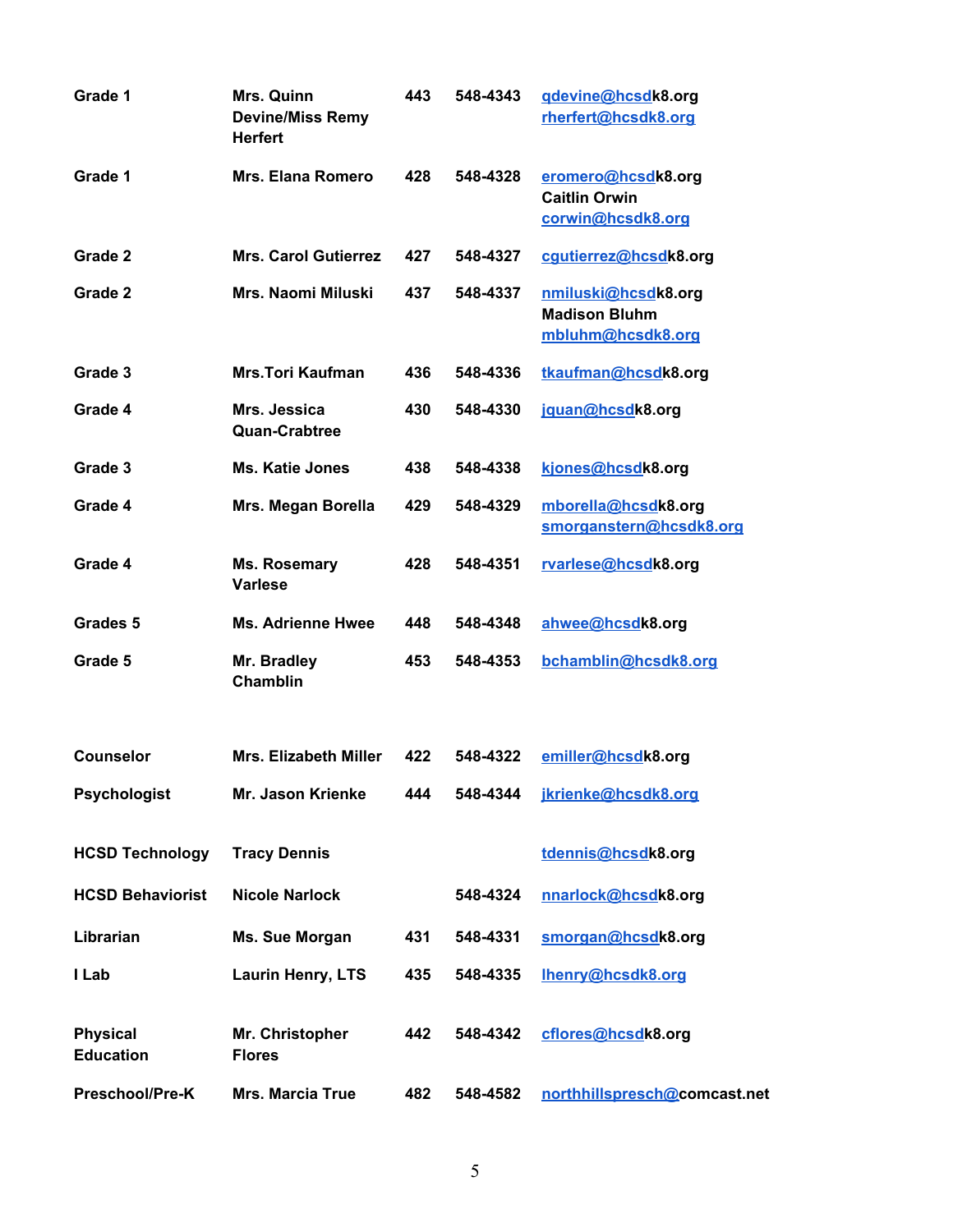| Grade 1                             | Mrs. Quinn<br><b>Devine/Miss Remy</b><br><b>Herfert</b> | 443 | 548-4343 | gdevine@hcsdk8.org<br>rherfert@hcsdk8.org                        |
|-------------------------------------|---------------------------------------------------------|-----|----------|------------------------------------------------------------------|
| Grade 1                             | <b>Mrs. Elana Romero</b>                                | 428 | 548-4328 | eromero@hcsdk8.org<br><b>Caitlin Orwin</b><br>corwin@hcsdk8.org  |
| Grade 2                             | <b>Mrs. Carol Gutierrez</b>                             | 427 | 548-4327 | cqutierrez@hcsdk8.org                                            |
| Grade 2                             | Mrs. Naomi Miluski                                      | 437 | 548-4337 | nmiluski@hcsdk8.org<br><b>Madison Bluhm</b><br>mbluhm@hcsdk8.org |
| Grade 3                             | <b>Mrs.Tori Kaufman</b>                                 | 436 | 548-4336 | tkaufman@hcsdk8.org                                              |
| Grade 4                             | Mrs. Jessica<br><b>Quan-Crabtree</b>                    | 430 | 548-4330 | jquan@hcsdk8.org                                                 |
| Grade 3                             | <b>Ms. Katie Jones</b>                                  | 438 | 548-4338 | kjones@hcsdk8.org                                                |
| Grade 4                             | Mrs. Megan Borella                                      | 429 | 548-4329 | mborella@hcsdk8.org<br>smorganstern@hcsdk8.org                   |
| Grade 4                             | Ms. Rosemary<br><b>Varlese</b>                          | 428 | 548-4351 | rvarlese@hcsdk8.org                                              |
| Grades <sub>5</sub>                 | <b>Ms. Adrienne Hwee</b>                                | 448 | 548-4348 | ahwee@hcsdk8.org                                                 |
| Grade 5                             | Mr. Bradley<br><b>Chamblin</b>                          | 453 | 548-4353 | bchamblin@hcsdk8.org                                             |
| <b>Counselor</b>                    | <b>Mrs. Elizabeth Miller</b>                            | 422 | 548-4322 | emiller@hcsdk8.org                                               |
| <b>Psychologist</b>                 | Mr. Jason Krienke                                       | 444 | 548-4344 | jkrienke@hcsdk8.org                                              |
| <b>HCSD Technology</b>              | <b>Tracy Dennis</b>                                     |     |          | tdennis@hcsdk8.org                                               |
| <b>HCSD Behaviorist</b>             | <b>Nicole Narlock</b>                                   |     | 548-4324 | nnarlock@hcsdk8.org                                              |
| Librarian                           | Ms. Sue Morgan                                          | 431 | 548-4331 | smorgan@hcsdk8.org                                               |
| I Lab                               | Laurin Henry, LTS                                       | 435 | 548-4335 | Ihenry@hcsdk8.org                                                |
| <b>Physical</b><br><b>Education</b> | Mr. Christopher<br><b>Flores</b>                        | 442 | 548-4342 | cflores@hcsdk8.org                                               |
| Preschool/Pre-K                     | <b>Mrs. Marcia True</b>                                 | 482 | 548-4582 | northhillspresch@comcast.net                                     |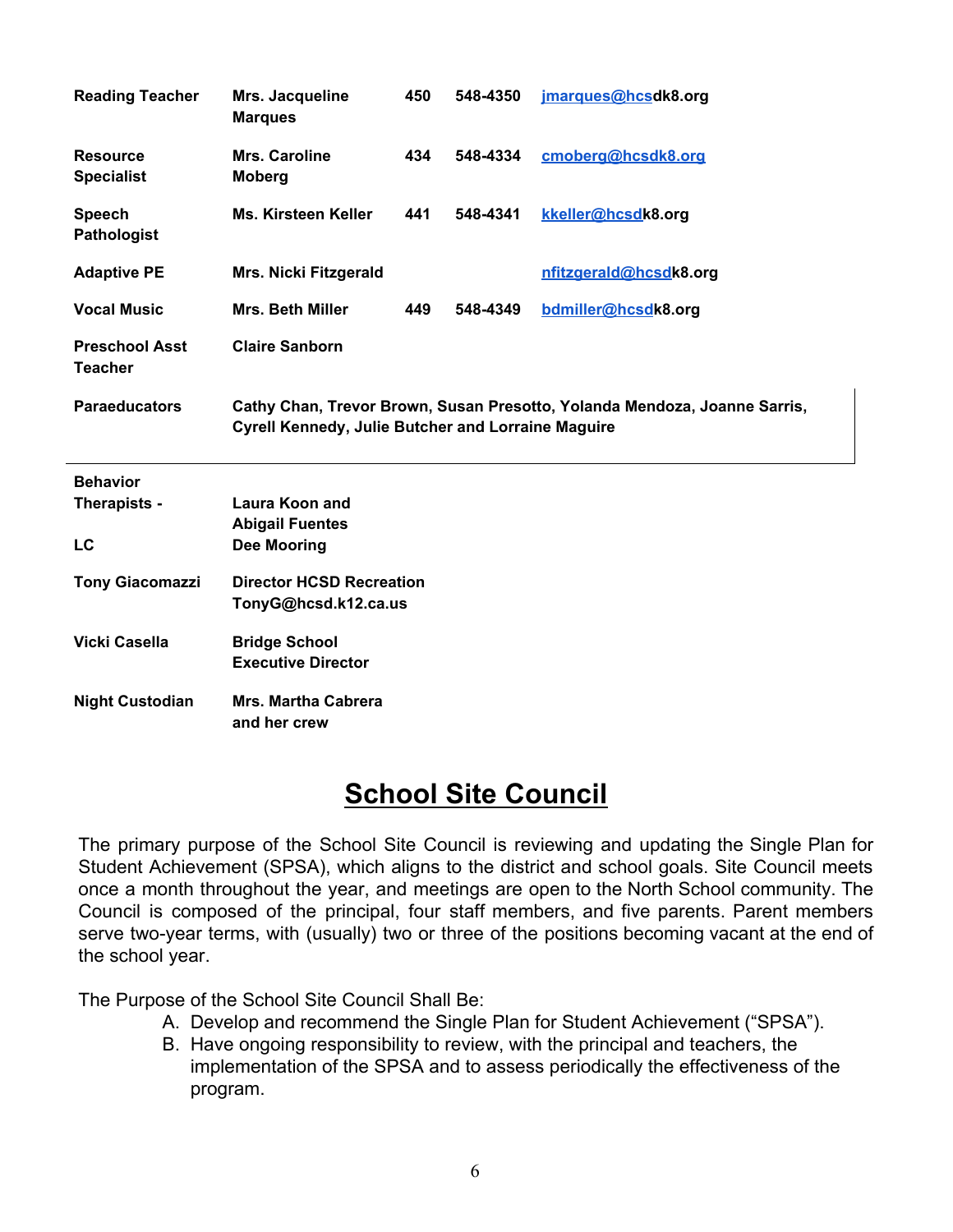| <b>Reading Teacher</b>                  | Mrs. Jacqueline<br><b>Marques</b>                         | 450 | 548-4350 | jmarques@hcsdk8.org                                                       |
|-----------------------------------------|-----------------------------------------------------------|-----|----------|---------------------------------------------------------------------------|
| <b>Resource</b><br><b>Specialist</b>    | Mrs. Caroline<br><b>Moberg</b>                            | 434 | 548-4334 | cmoberg@hcsdk8.org                                                        |
| <b>Speech</b><br>Pathologist            | <b>Ms. Kirsteen Keller</b>                                | 441 | 548-4341 | kkeller@hcsdk8.org                                                        |
| <b>Adaptive PE</b>                      | <b>Mrs. Nicki Fitzgerald</b>                              |     |          | nfitzgerald@hcsdk8.org                                                    |
| <b>Vocal Music</b>                      | <b>Mrs. Beth Miller</b>                                   | 449 | 548-4349 | bdmiller@hcsdk8.org                                                       |
| <b>Preschool Asst</b><br><b>Teacher</b> | <b>Claire Sanborn</b>                                     |     |          |                                                                           |
| <b>Paraeducators</b>                    |                                                           |     |          | Cathy Chan, Trevor Brown, Susan Presotto, Yolanda Mendoza, Joanne Sarris, |
|                                         | <b>Cyrell Kennedy, Julie Butcher and Lorraine Maguire</b> |     |          |                                                                           |
| <b>Behavior</b>                         |                                                           |     |          |                                                                           |
| Therapists -                            | <b>Laura Koon and</b>                                     |     |          |                                                                           |
| LC                                      | <b>Abigail Fuentes</b><br><b>Dee Mooring</b>              |     |          |                                                                           |
| <b>Tony Giacomazzi</b>                  | <b>Director HCSD Recreation</b><br>TonyG@hcsd.k12.ca.us   |     |          |                                                                           |
| Vicki Casella                           | <b>Bridge School</b><br><b>Executive Director</b>         |     |          |                                                                           |

# **School Site Council**

The primary purpose of the School Site Council is reviewing and updating the Single Plan for Student Achievement (SPSA), which aligns to the district and school goals. Site Council meets once a month throughout the year, and meetings are open to the North School community. The Council is composed of the principal, four staff members, and five parents. Parent members serve two-year terms, with (usually) two or three of the positions becoming vacant at the end of the school year.

The Purpose of the School Site Council Shall Be:

- A. Develop and recommend the Single Plan for Student Achievement ("SPSA").
- B. Have ongoing responsibility to review, with the principal and teachers, the implementation of the SPSA and to assess periodically the effectiveness of the program.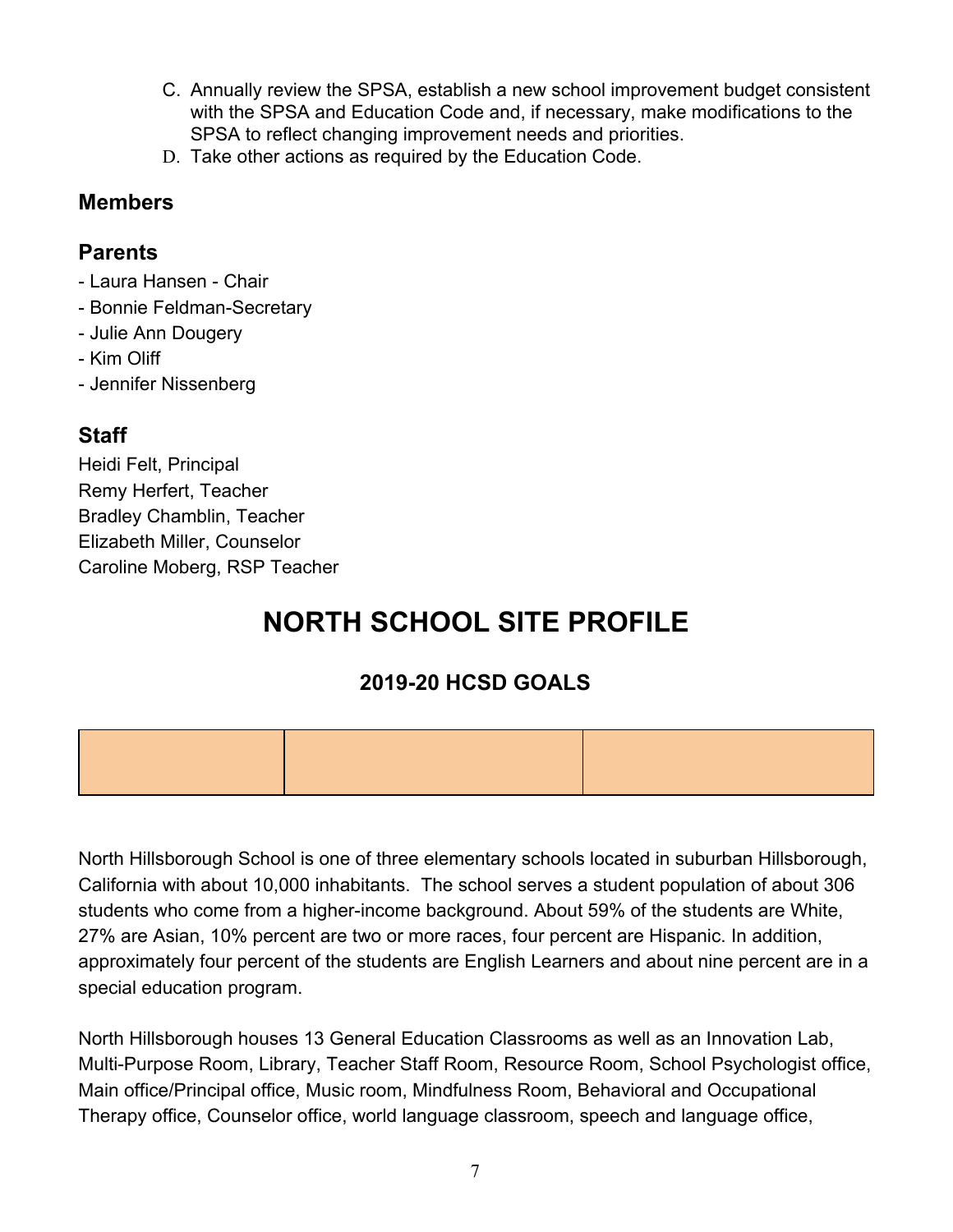- C. Annually review the SPSA, establish a new school improvement budget consistent with the SPSA and Education Code and, if necessary, make modifications to the SPSA to reflect changing improvement needs and priorities.
- D. Take other actions as required by the Education Code.

### **Members**

### **Parents**

- Laura Hansen Chair
- Bonnie Feldman-Secretary
- Julie Ann Dougery
- Kim Oliff
- Jennifer Nissenberg

# **Staff**

Heidi Felt, Principal Remy Herfert, Teacher Bradley Chamblin, Teacher Elizabeth Miller, Counselor Caroline Moberg, RSP Teacher

# **NORTH SCHOOL SITE PROFILE**

# **2019-20 HCSD GOALS**



North Hillsborough School is one of three elementary schools located in suburban Hillsborough, California with about 10,000 inhabitants. The school serves a student population of about 306 students who come from a higher-income background. About 59% of the students are White, 27% are Asian, 10% percent are two or more races, four percent are Hispanic. In addition, approximately four percent of the students are English Learners and about nine percent are in a special education program.

North Hillsborough houses 13 General Education Classrooms as well as an Innovation Lab, Multi-Purpose Room, Library, Teacher Staff Room, Resource Room, School Psychologist office, Main office/Principal office, Music room, Mindfulness Room, Behavioral and Occupational Therapy office, Counselor office, world language classroom, speech and language office,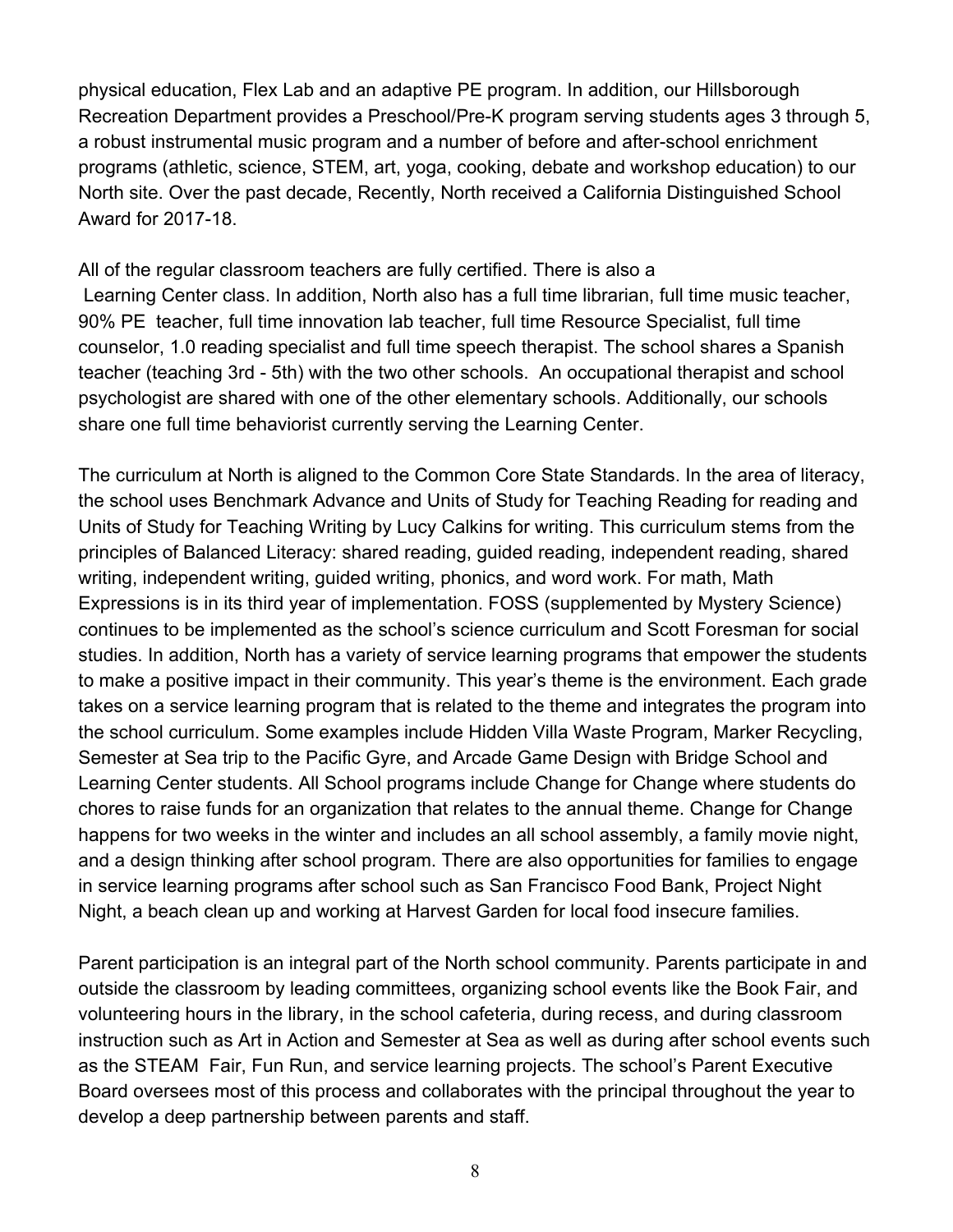physical education, Flex Lab and an adaptive PE program. In addition, our Hillsborough Recreation Department provides a Preschool/Pre-K program serving students ages 3 through 5, a robust instrumental music program and a number of before and after-school enrichment programs (athletic, science, STEM, art, yoga, cooking, debate and workshop education) to our North site. Over the past decade, Recently, North received a California Distinguished School Award for 2017-18.

All of the regular classroom teachers are fully certified. There is also a Learning Center class. In addition, North also has a full time librarian, full time music teacher, 90% PE teacher, full time innovation lab teacher, full time Resource Specialist, full time counselor, 1.0 reading specialist and full time speech therapist. The school shares a Spanish teacher (teaching 3rd - 5th) with the two other schools. An occupational therapist and school psychologist are shared with one of the other elementary schools. Additionally, our schools share one full time behaviorist currently serving the Learning Center.

The curriculum at North is aligned to the Common Core State Standards. In the area of literacy, the school uses Benchmark Advance and Units of Study for Teaching Reading for reading and Units of Study for Teaching Writing by Lucy Calkins for writing. This curriculum stems from the principles of Balanced Literacy: shared reading, guided reading, independent reading, shared writing, independent writing, guided writing, phonics, and word work. For math, Math Expressions is in its third year of implementation. FOSS (supplemented by Mystery Science) continues to be implemented as the school's science curriculum and Scott Foresman for social studies. In addition, North has a variety of service learning programs that empower the students to make a positive impact in their community. This year's theme is the environment. Each grade takes on a service learning program that is related to the theme and integrates the program into the school curriculum. Some examples include Hidden Villa Waste Program, Marker Recycling, Semester at Sea trip to the Pacific Gyre, and Arcade Game Design with Bridge School and Learning Center students. All School programs include Change for Change where students do chores to raise funds for an organization that relates to the annual theme. Change for Change happens for two weeks in the winter and includes an all school assembly, a family movie night, and a design thinking after school program. There are also opportunities for families to engage in service learning programs after school such as San Francisco Food Bank, Project Night Night, a beach clean up and working at Harvest Garden for local food insecure families.

Parent participation is an integral part of the North school community. Parents participate in and outside the classroom by leading committees, organizing school events like the Book Fair, and volunteering hours in the library, in the school cafeteria, during recess, and during classroom instruction such as Art in Action and Semester at Sea as well as during after school events such as the STEAM Fair, Fun Run, and service learning projects. The school's Parent Executive Board oversees most of this process and collaborates with the principal throughout the year to develop a deep partnership between parents and staff.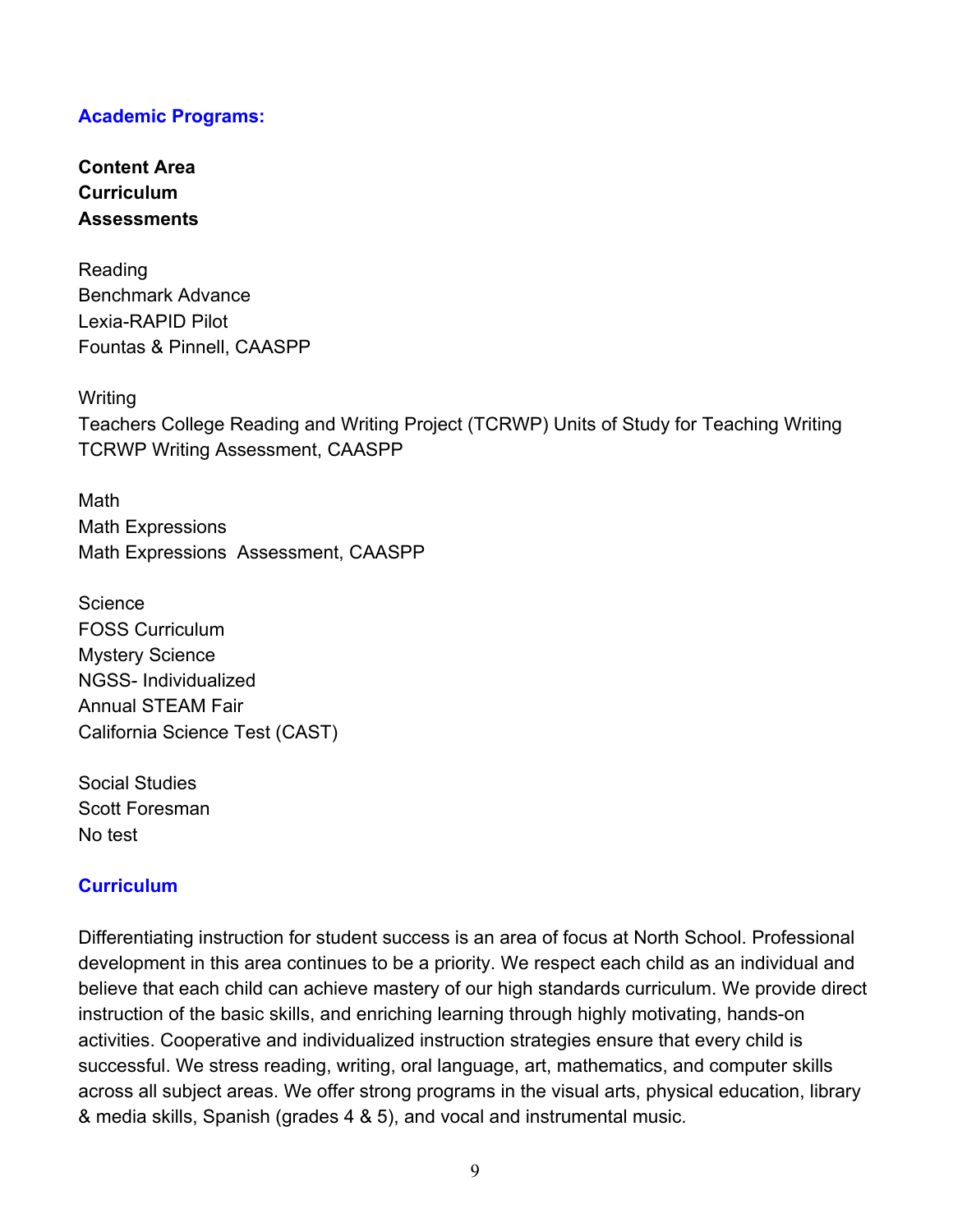#### **Academic Programs:**

**Content Area Curriculum Assessments**

Reading Benchmark Advance Lexia-RAPID Pilot Fountas & Pinnell, CAASPP

**Writing** 

Teachers College Reading and Writing Project (TCRWP) Units of Study for Teaching Writing TCRWP Writing Assessment, CAASPP

Math Math Expressions Math Expressions Assessment, CAASPP

Science FOSS Curriculum Mystery Science NGSS- Individualized Annual STEAM Fair California Science Test (CAST)

Social Studies Scott Foresman No test

#### **Curriculum**

Differentiating instruction for student success is an area of focus at North School. Professional development in this area continues to be a priority. We respect each child as an individual and believe that each child can achieve mastery of our high standards curriculum. We provide direct instruction of the basic skills, and enriching learning through highly motivating, hands-on activities. Cooperative and individualized instruction strategies ensure that every child is successful. We stress reading, writing, oral language, art, mathematics, and computer skills across all subject areas. We offer strong programs in the visual arts, physical education, library & media skills, Spanish (grades 4 & 5), and vocal and instrumental music.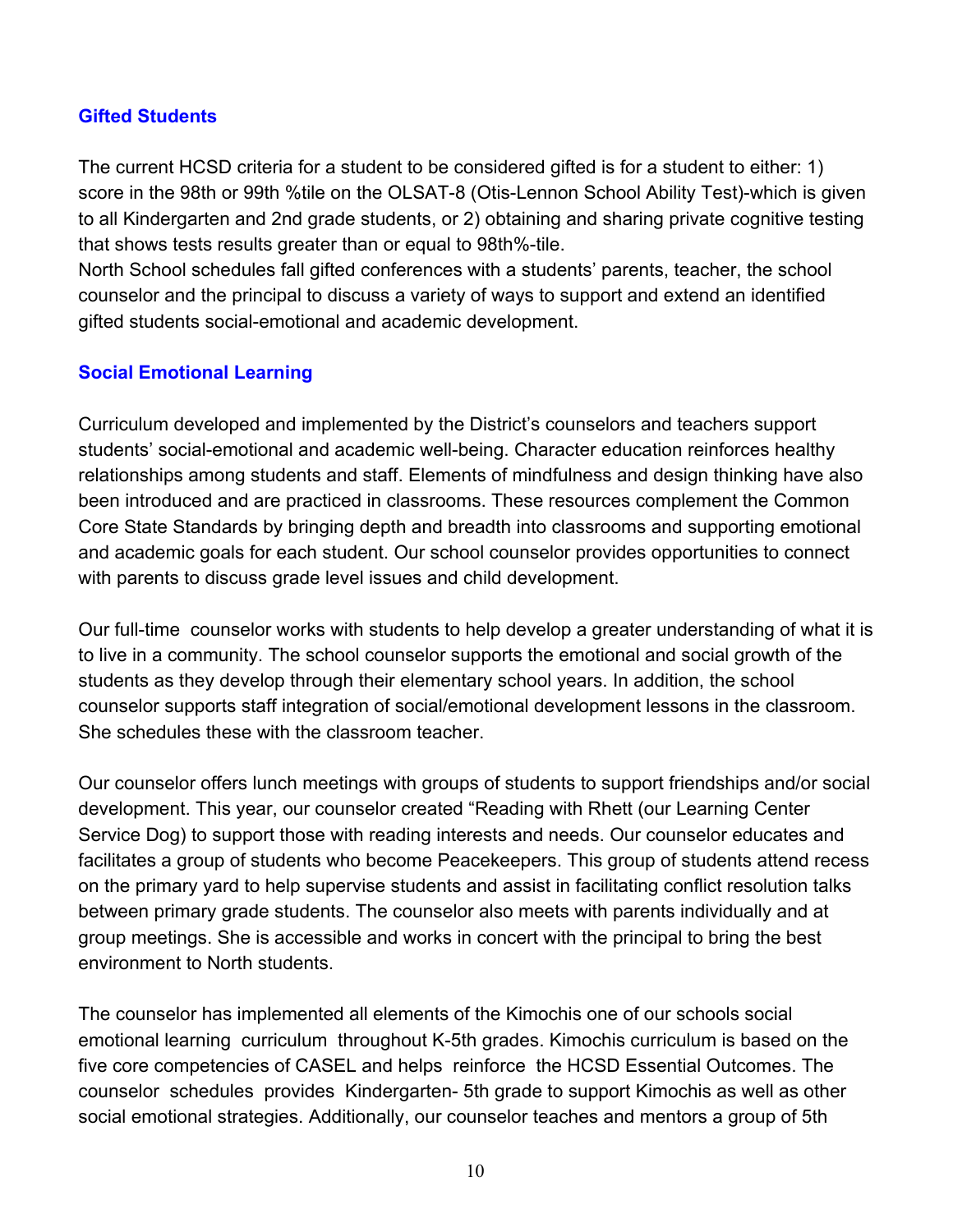#### **Gifted Students**

The current HCSD criteria for a student to be considered gifted is for a student to either: 1) score in the 98th or 99th %tile on the OLSAT-8 (Otis-Lennon School Ability Test)-which is given to all Kindergarten and 2nd grade students, or 2) obtaining and sharing private cognitive testing that shows tests results greater than or equal to 98th%-tile.

North School schedules fall gifted conferences with a students' parents, teacher, the school counselor and the principal to discuss a variety of ways to support and extend an identified gifted students social-emotional and academic development.

#### **Social Emotional Learning**

Curriculum developed and implemented by the District's counselors and teachers support students' social-emotional and academic well-being. Character education reinforces healthy relationships among students and staff. Elements of mindfulness and design thinking have also been introduced and are practiced in classrooms. These resources complement the Common Core State Standards by bringing depth and breadth into classrooms and supporting emotional and academic goals for each student. Our school counselor provides opportunities to connect with parents to discuss grade level issues and child development.

Our full-time counselor works with students to help develop a greater understanding of what it is to live in a community. The school counselor supports the emotional and social growth of the students as they develop through their elementary school years. In addition, the school counselor supports staff integration of social/emotional development lessons in the classroom. She schedules these with the classroom teacher.

Our counselor offers lunch meetings with groups of students to support friendships and/or social development. This year, our counselor created "Reading with Rhett (our Learning Center Service Dog) to support those with reading interests and needs. Our counselor educates and facilitates a group of students who become Peacekeepers. This group of students attend recess on the primary yard to help supervise students and assist in facilitating conflict resolution talks between primary grade students. The counselor also meets with parents individually and at group meetings. She is accessible and works in concert with the principal to bring the best environment to North students.

The counselor has implemented all elements of the Kimochis one of our schools social emotional learning curriculum throughout K-5th grades. Kimochis curriculum is based on the five core competencies of CASEL and helps reinforce the HCSD Essential Outcomes. The counselor schedules provides Kindergarten- 5th grade to support Kimochis as well as other social emotional strategies. Additionally, our counselor teaches and mentors a group of 5th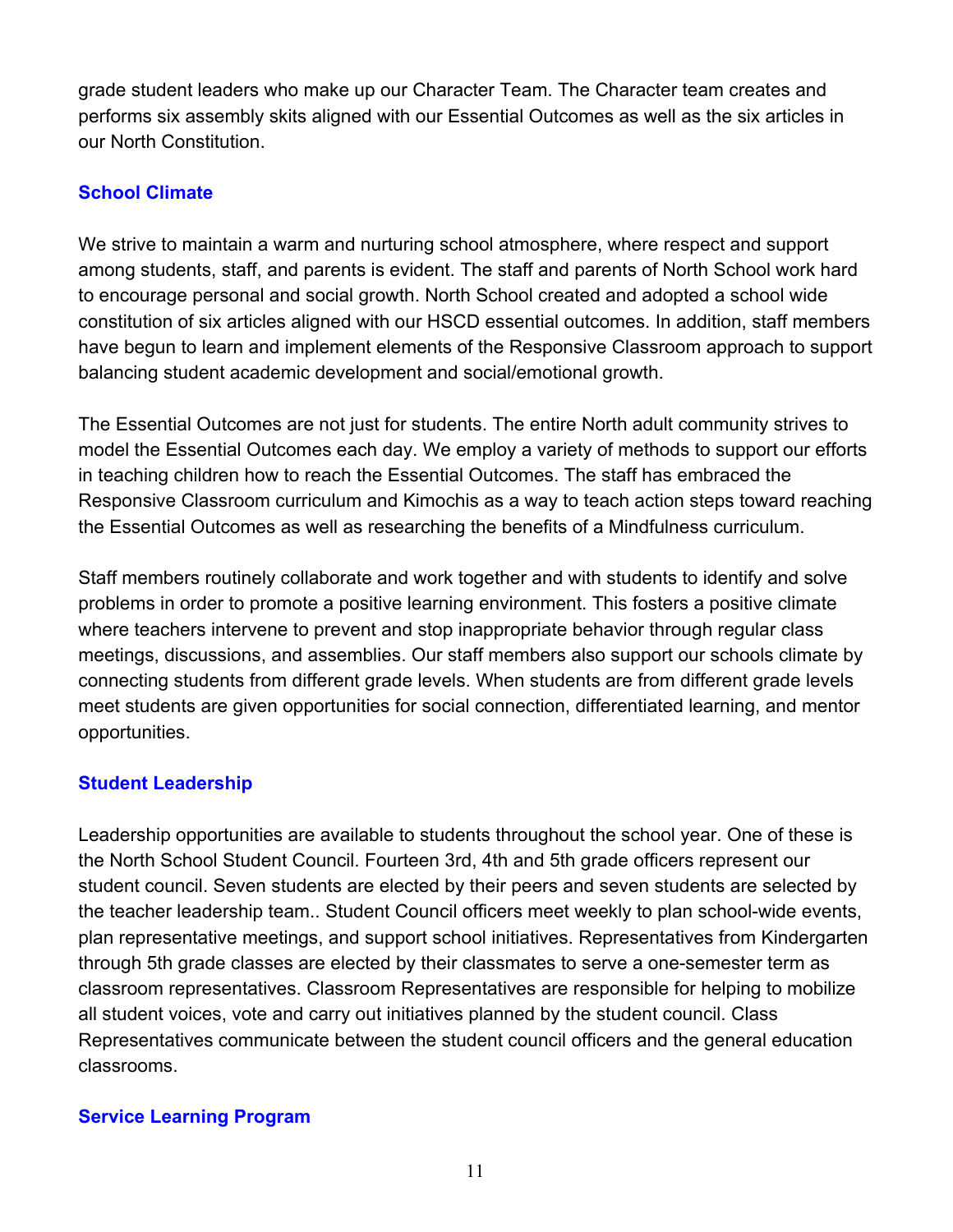grade student leaders who make up our Character Team. The Character team creates and performs six assembly skits aligned with our Essential Outcomes as well as the six articles in our North Constitution.

### **School Climate**

We strive to maintain a warm and nurturing school atmosphere, where respect and support among students, staff, and parents is evident. The staff and parents of North School work hard to encourage personal and social growth. North School created and adopted a school wide constitution of six articles aligned with our HSCD essential outcomes. In addition, staff members have begun to learn and implement elements of the Responsive Classroom approach to support balancing student academic development and social/emotional growth.

The Essential Outcomes are not just for students. The entire North adult community strives to model the Essential Outcomes each day. We employ a variety of methods to support our efforts in teaching children how to reach the Essential Outcomes. The staff has embraced the Responsive Classroom curriculum and Kimochis as a way to teach action steps toward reaching the Essential Outcomes as well as researching the benefits of a Mindfulness curriculum.

Staff members routinely collaborate and work together and with students to identify and solve problems in order to promote a positive learning environment. This fosters a positive climate where teachers intervene to prevent and stop inappropriate behavior through regular class meetings, discussions, and assemblies. Our staff members also support our schools climate by connecting students from different grade levels. When students are from different grade levels meet students are given opportunities for social connection, differentiated learning, and mentor opportunities.

### **Student Leadership**

Leadership opportunities are available to students throughout the school year. One of these is the North School Student Council. Fourteen 3rd, 4th and 5th grade officers represent our student council. Seven students are elected by their peers and seven students are selected by the teacher leadership team.. Student Council officers meet weekly to plan school-wide events, plan representative meetings, and support school initiatives. Representatives from Kindergarten through 5th grade classes are elected by their classmates to serve a one-semester term as classroom representatives. Classroom Representatives are responsible for helping to mobilize all student voices, vote and carry out initiatives planned by the student council. Class Representatives communicate between the student council officers and the general education classrooms.

### **Service Learning Program**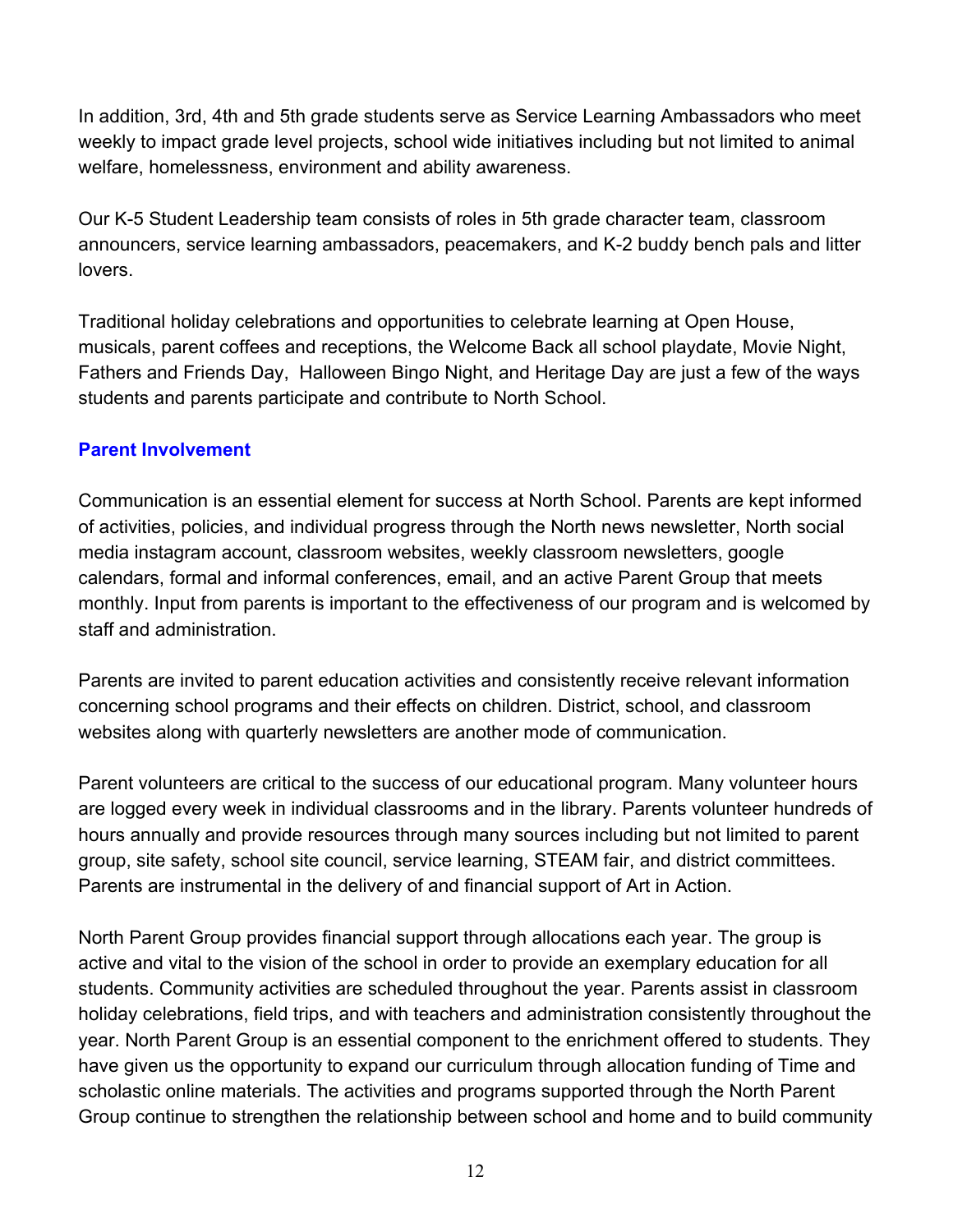In addition, 3rd, 4th and 5th grade students serve as Service Learning Ambassadors who meet weekly to impact grade level projects, school wide initiatives including but not limited to animal welfare, homelessness, environment and ability awareness.

Our K-5 Student Leadership team consists of roles in 5th grade character team, classroom announcers, service learning ambassadors, peacemakers, and K-2 buddy bench pals and litter lovers.

Traditional holiday celebrations and opportunities to celebrate learning at Open House, musicals, parent coffees and receptions, the Welcome Back all school playdate, Movie Night, Fathers and Friends Day, Halloween Bingo Night, and Heritage Day are just a few of the ways students and parents participate and contribute to North School.

### **Parent Involvement**

Communication is an essential element for success at North School. Parents are kept informed of activities, policies, and individual progress through the North news newsletter, North social media instagram account, classroom websites, weekly classroom newsletters, google calendars, formal and informal conferences, email, and an active Parent Group that meets monthly. Input from parents is important to the effectiveness of our program and is welcomed by staff and administration.

Parents are invited to parent education activities and consistently receive relevant information concerning school programs and their effects on children. District, school, and classroom websites along with quarterly newsletters are another mode of communication.

Parent volunteers are critical to the success of our educational program. Many volunteer hours are logged every week in individual classrooms and in the library. Parents volunteer hundreds of hours annually and provide resources through many sources including but not limited to parent group, site safety, school site council, service learning, STEAM fair, and district committees. Parents are instrumental in the delivery of and financial support of Art in Action.

North Parent Group provides financial support through allocations each year. The group is active and vital to the vision of the school in order to provide an exemplary education for all students. Community activities are scheduled throughout the year. Parents assist in classroom holiday celebrations, field trips, and with teachers and administration consistently throughout the year. North Parent Group is an essential component to the enrichment offered to students. They have given us the opportunity to expand our curriculum through allocation funding of Time and scholastic online materials. The activities and programs supported through the North Parent Group continue to strengthen the relationship between school and home and to build community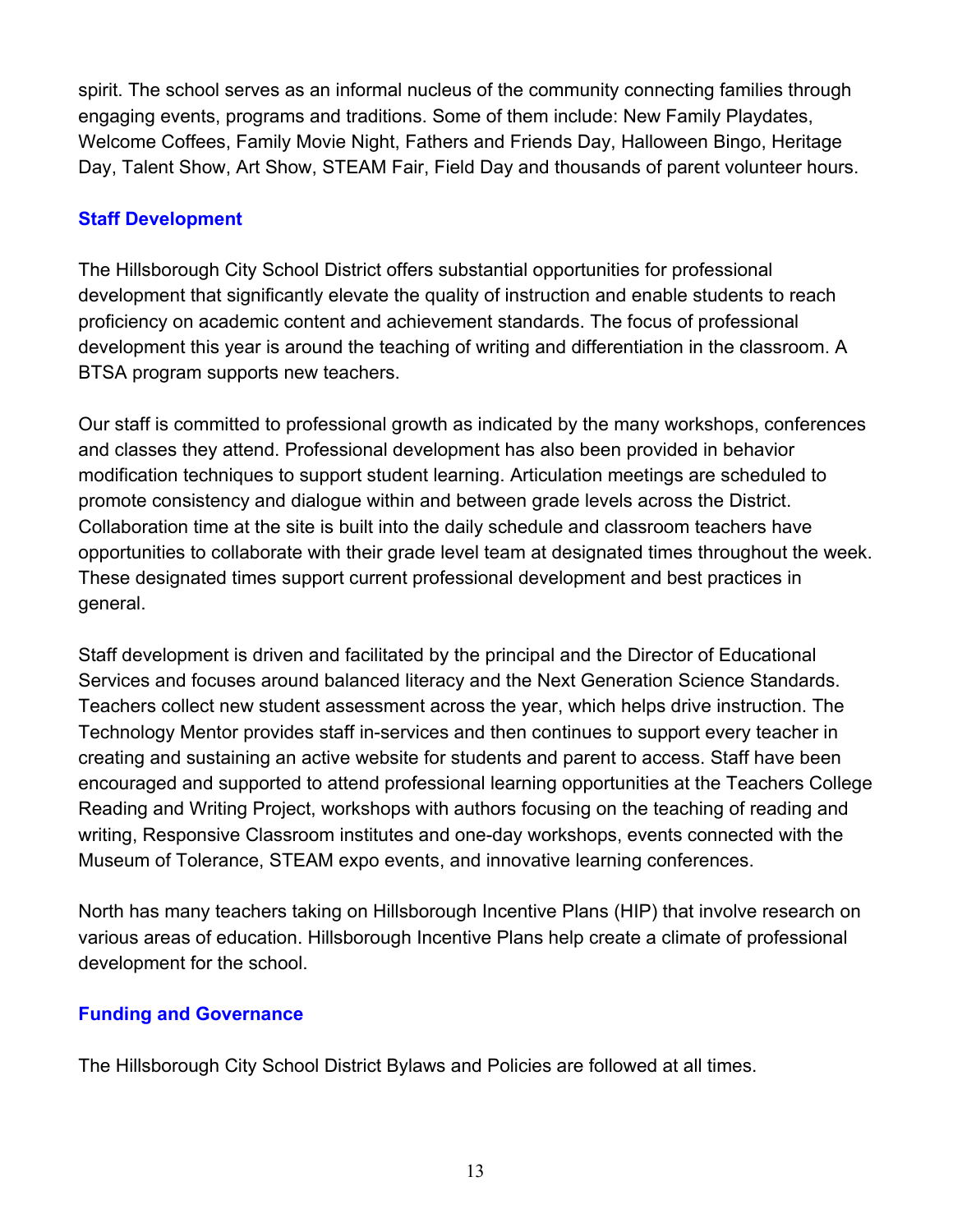spirit. The school serves as an informal nucleus of the community connecting families through engaging events, programs and traditions. Some of them include: New Family Playdates, Welcome Coffees, Family Movie Night, Fathers and Friends Day, Halloween Bingo, Heritage Day, Talent Show, Art Show, STEAM Fair, Field Day and thousands of parent volunteer hours.

### **Staff Development**

The Hillsborough City School District offers substantial opportunities for professional development that significantly elevate the quality of instruction and enable students to reach proficiency on academic content and achievement standards. The focus of professional development this year is around the teaching of writing and differentiation in the classroom. A BTSA program supports new teachers.

Our staff is committed to professional growth as indicated by the many workshops, conferences and classes they attend. Professional development has also been provided in behavior modification techniques to support student learning. Articulation meetings are scheduled to promote consistency and dialogue within and between grade levels across the District. Collaboration time at the site is built into the daily schedule and classroom teachers have opportunities to collaborate with their grade level team at designated times throughout the week. These designated times support current professional development and best practices in general.

Staff development is driven and facilitated by the principal and the Director of Educational Services and focuses around balanced literacy and the Next Generation Science Standards. Teachers collect new student assessment across the year, which helps drive instruction. The Technology Mentor provides staff in-services and then continues to support every teacher in creating and sustaining an active website for students and parent to access. Staff have been encouraged and supported to attend professional learning opportunities at the Teachers College Reading and Writing Project, workshops with authors focusing on the teaching of reading and writing, Responsive Classroom institutes and one-day workshops, events connected with the Museum of Tolerance, STEAM expo events, and innovative learning conferences.

North has many teachers taking on Hillsborough Incentive Plans (HIP) that involve research on various areas of education. Hillsborough Incentive Plans help create a climate of professional development for the school.

### **Funding and Governance**

The Hillsborough City School District Bylaws and Policies are followed at all times.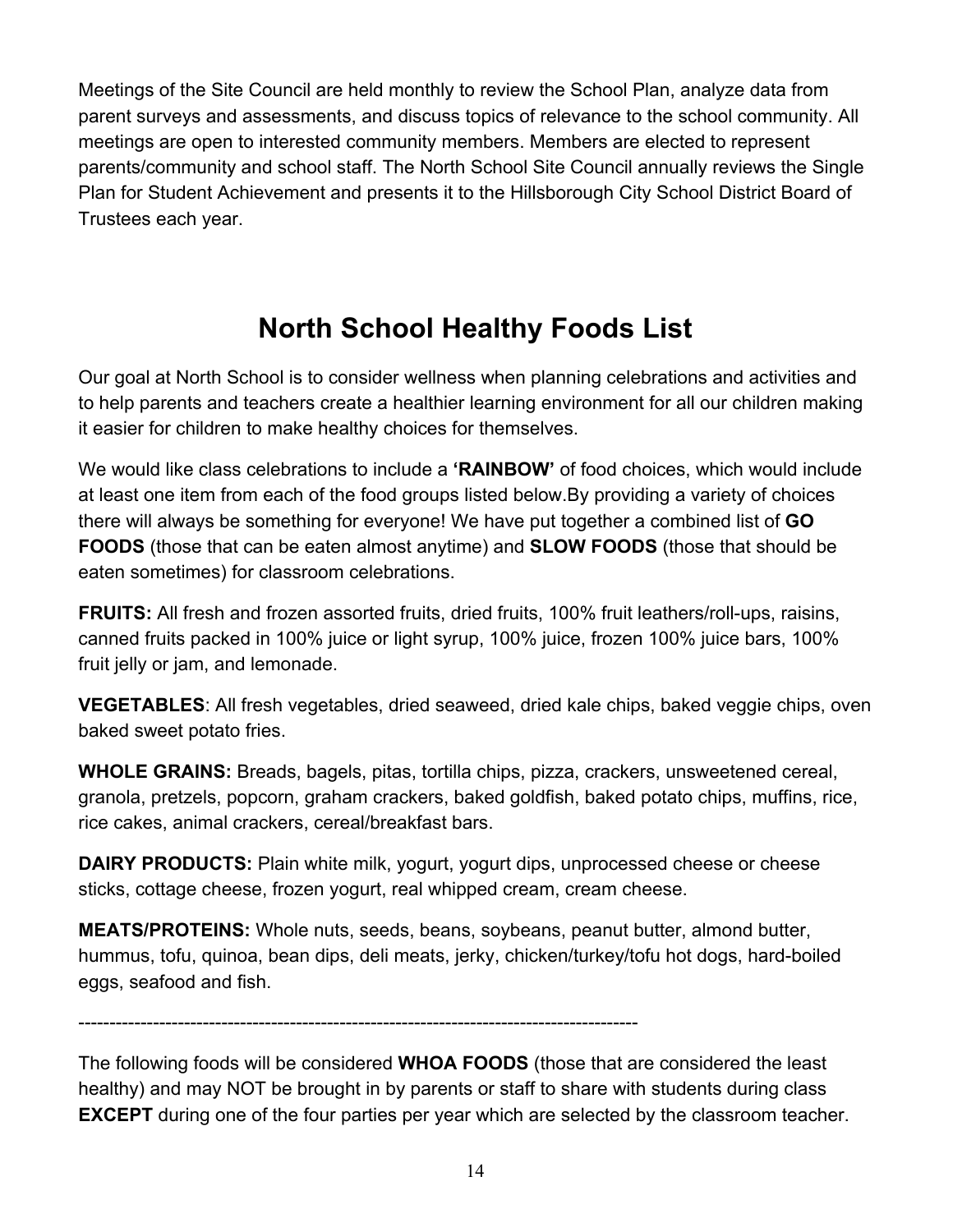Meetings of the Site Council are held monthly to review the School Plan, analyze data from parent surveys and assessments, and discuss topics of relevance to the school community. All meetings are open to interested community members. Members are elected to represent parents/community and school staff. The North School Site Council annually reviews the Single Plan for Student Achievement and presents it to the Hillsborough City School District Board of Trustees each year.

# **North School Healthy Foods List**

Our goal at North School is to consider wellness when planning celebrations and activities and to help parents and teachers create a healthier learning environment for all our children making it easier for children to make healthy choices for themselves.

We would like class celebrations to include a **'RAINBOW'** of food choices, which would include at least one item from each of the food groups listed below.By providing a variety of choices there will always be something for everyone! We have put together a combined list of **GO FOODS** (those that can be eaten almost anytime) and **SLOW FOODS** (those that should be eaten sometimes) for classroom celebrations.

**FRUITS:** All fresh and frozen assorted fruits, dried fruits, 100% fruit leathers/roll-ups, raisins, canned fruits packed in 100% juice or light syrup, 100% juice, frozen 100% juice bars, 100% fruit jelly or jam, and lemonade.

**VEGETABLES**: All fresh vegetables, dried seaweed, dried kale chips, baked veggie chips, oven baked sweet potato fries.

**WHOLE GRAINS:** Breads, bagels, pitas, tortilla chips, pizza, crackers, unsweetened cereal, granola, pretzels, popcorn, graham crackers, baked goldfish, baked potato chips, muffins, rice, rice cakes, animal crackers, cereal/breakfast bars.

**DAIRY PRODUCTS:** Plain white milk, yogurt, yogurt dips, unprocessed cheese or cheese sticks, cottage cheese, frozen yogurt, real whipped cream, cream cheese.

**MEATS/PROTEINS:** Whole nuts, seeds, beans, soybeans, peanut butter, almond butter, hummus, tofu, quinoa, bean dips, deli meats, jerky, chicken/turkey/tofu hot dogs, hard-boiled eggs, seafood and fish.

------------------------------------------------------------------------------------------

The following foods will be considered **WHOA FOODS** (those that are considered the least healthy) and may NOT be brought in by parents or staff to share with students during class **EXCEPT** during one of the four parties per year which are selected by the classroom teacher.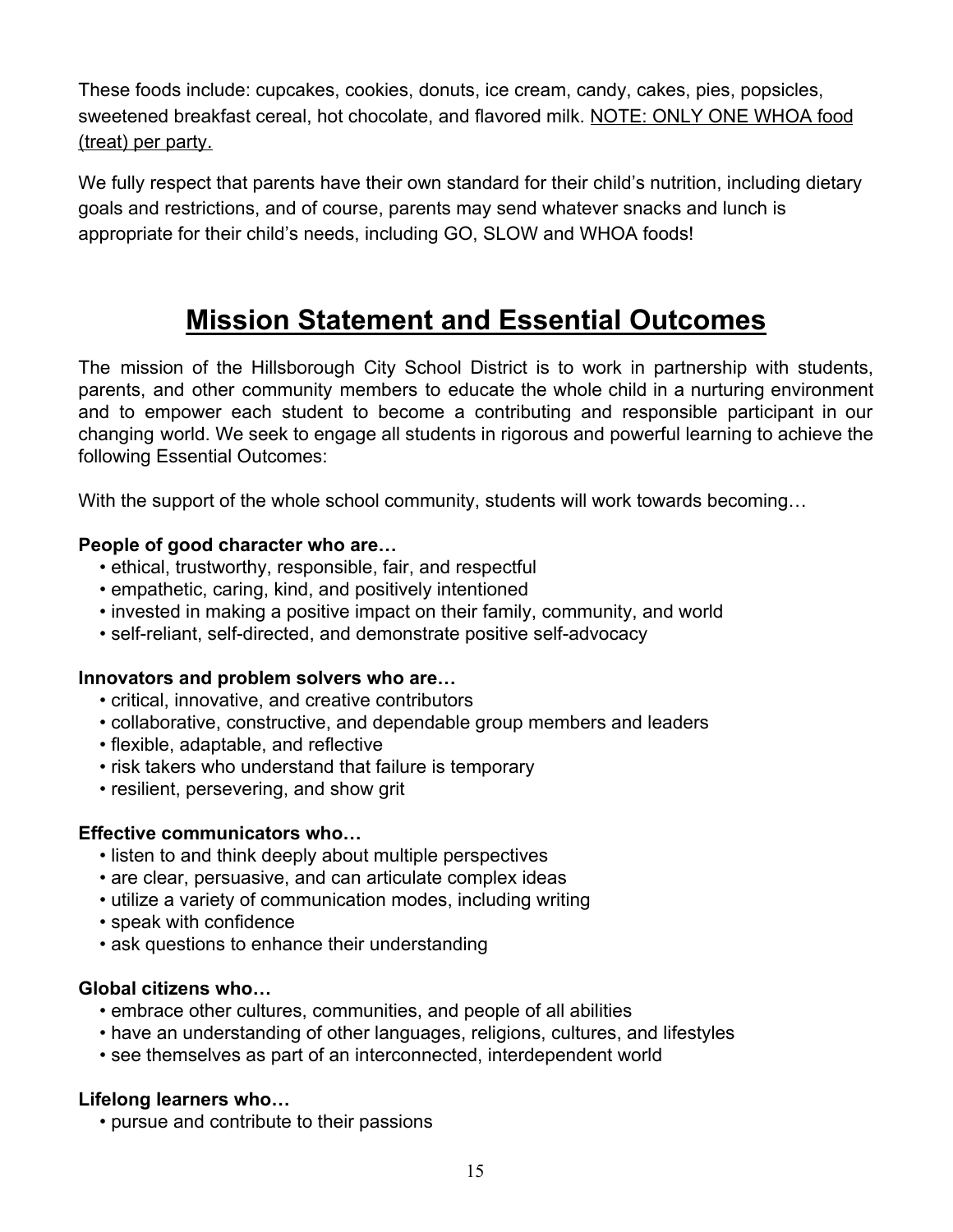These foods include: cupcakes, cookies, donuts, ice cream, candy, cakes, pies, popsicles, sweetened breakfast cereal, hot chocolate, and flavored milk. NOTE: ONLY ONE WHOA food (treat) per party.

We fully respect that parents have their own standard for their child's nutrition, including dietary goals and restrictions, and of course, parents may send whatever snacks and lunch is appropriate for their child's needs, including GO, SLOW and WHOA foods!

# **Mission Statement and Essential Outcomes**

The mission of the Hillsborough City School District is to work in partnership with students, parents, and other community members to educate the whole child in a nurturing environment and to empower each student to become a contributing and responsible participant in our changing world. We seek to engage all students in rigorous and powerful learning to achieve the following Essential Outcomes:

With the support of the whole school community, students will work towards becoming...

#### **People of good character who are…**

- ethical, trustworthy, responsible, fair, and respectful
- empathetic, caring, kind, and positively intentioned
- invested in making a positive impact on their family, community, and world
- self-reliant, self-directed, and demonstrate positive self-advocacy

#### **Innovators and problem solvers who are…**

- critical, innovative, and creative contributors
- collaborative, constructive, and dependable group members and leaders
- flexible, adaptable, and reflective
- risk takers who understand that failure is temporary
- resilient, persevering, and show grit

#### **Effective communicators who…**

- listen to and think deeply about multiple perspectives
- are clear, persuasive, and can articulate complex ideas
- utilize a variety of communication modes, including writing
- speak with confidence
- ask questions to enhance their understanding

#### **Global citizens who…**

- embrace other cultures, communities, and people of all abilities
- have an understanding of other languages, religions, cultures, and lifestyles
- see themselves as part of an interconnected, interdependent world

#### **Lifelong learners who…**

• pursue and contribute to their passions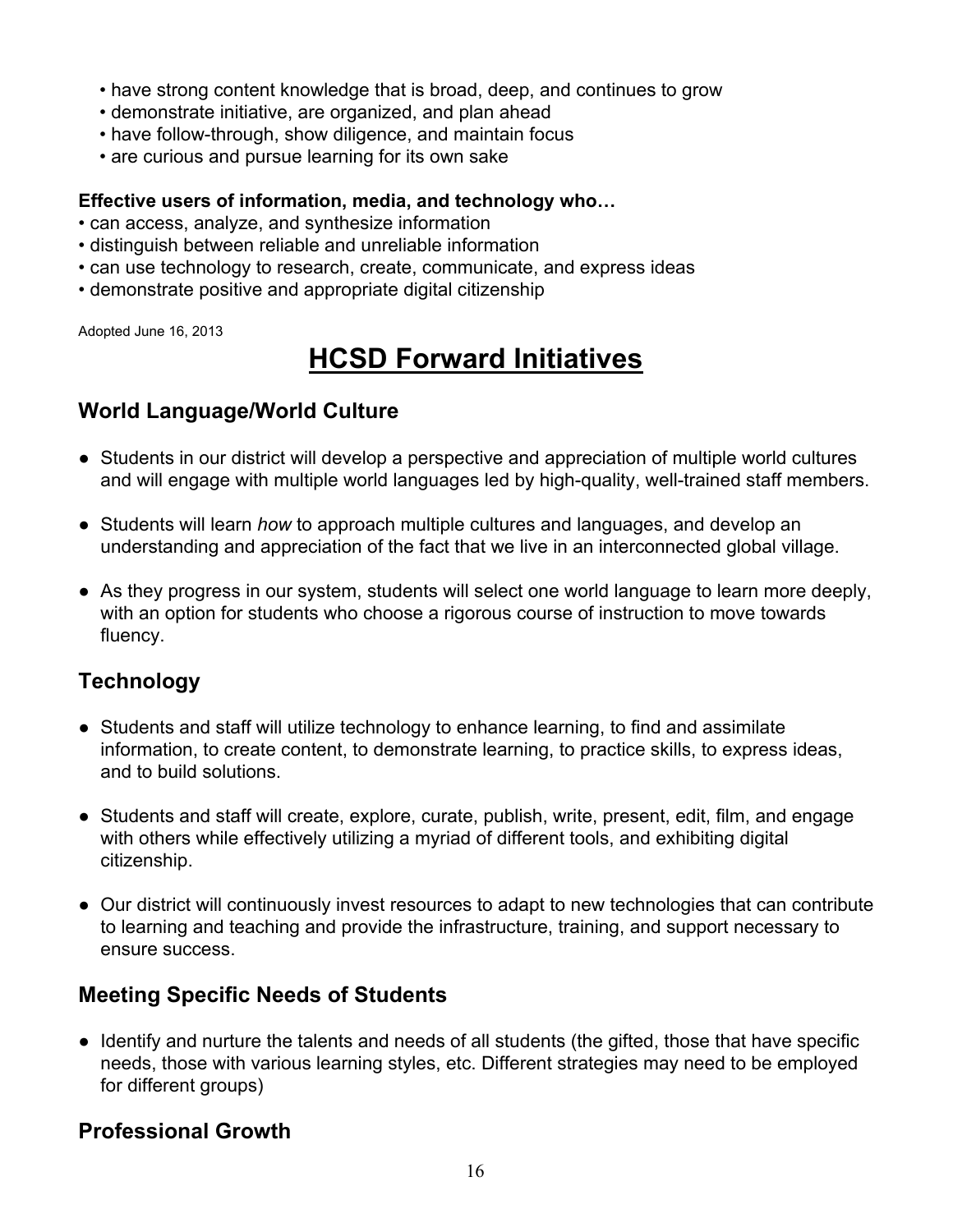- have strong content knowledge that is broad, deep, and continues to grow
- demonstrate initiative, are organized, and plan ahead
- have follow-through, show diligence, and maintain focus
- are curious and pursue learning for its own sake

#### **Effective users of information, media, and technology who…**

- can access, analyze, and synthesize information
- distinguish between reliable and unreliable information
- can use technology to research, create, communicate, and express ideas
- demonstrate positive and appropriate digital citizenship

Adopted June 16, 2013

# **HCSD Forward Initiatives**

### **World Language/World Culture**

- Students in our district will develop a perspective and appreciation of multiple world cultures and will engage with multiple world languages led by high-quality, well-trained staff members.
- Students will learn *how* to approach multiple cultures and languages, and develop an understanding and appreciation of the fact that we live in an interconnected global village.
- As they progress in our system, students will select one world language to learn more deeply, with an option for students who choose a rigorous course of instruction to move towards fluency.

### **Technology**

- Students and staff will utilize technology to enhance learning, to find and assimilate information, to create content, to demonstrate learning, to practice skills, to express ideas, and to build solutions.
- Students and staff will create, explore, curate, publish, write, present, edit, film, and engage with others while effectively utilizing a myriad of different tools, and exhibiting digital citizenship.
- Our district will continuously invest resources to adapt to new technologies that can contribute to learning and teaching and provide the infrastructure, training, and support necessary to ensure success.

### **Meeting Specific Needs of Students**

● Identify and nurture the talents and needs of all students (the gifted, those that have specific needs, those with various learning styles, etc. Different strategies may need to be employed for different groups)

### **Professional Growth**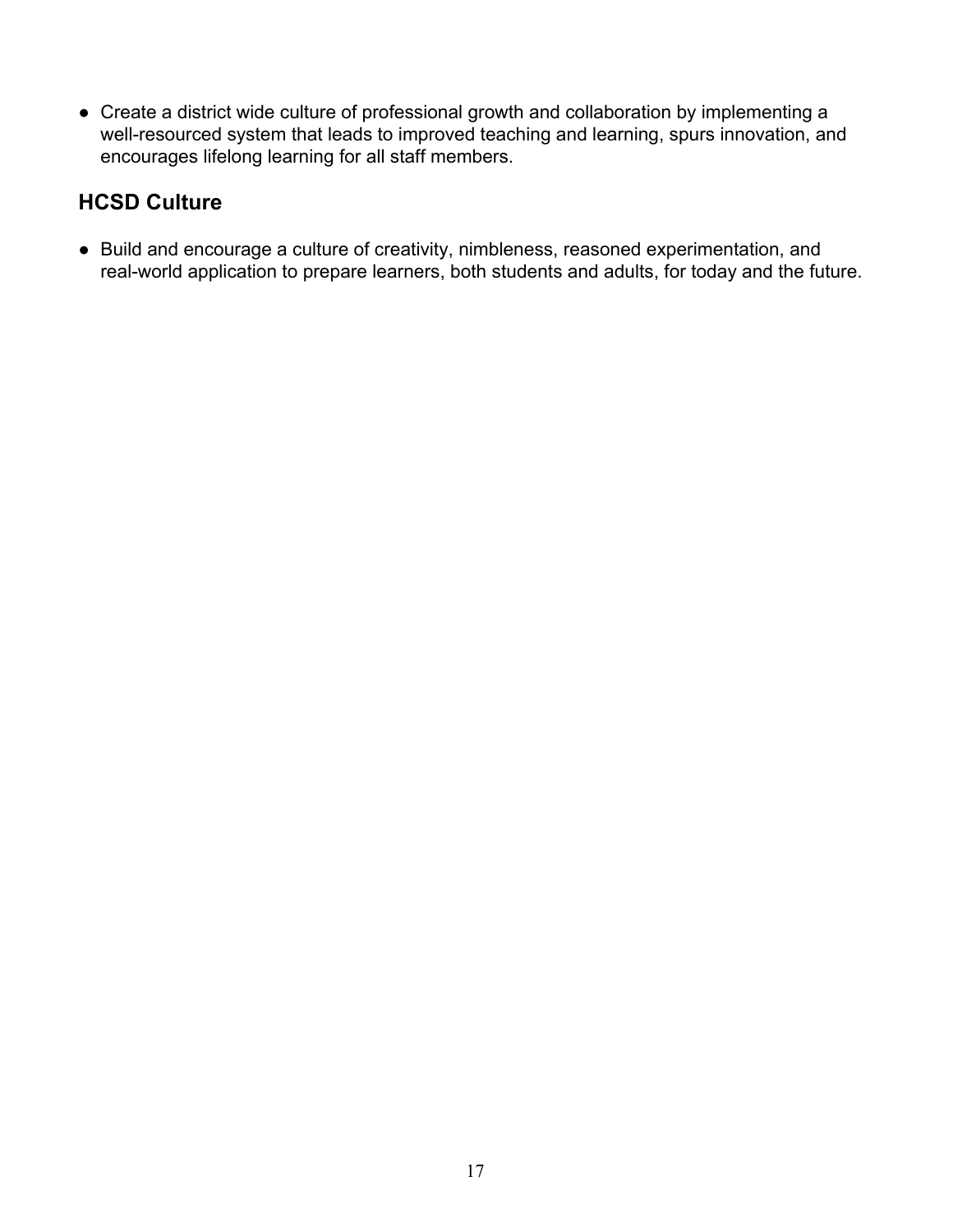● Create a district wide culture of professional growth and collaboration by implementing a well-resourced system that leads to improved teaching and learning, spurs innovation, and encourages lifelong learning for all staff members.

## **HCSD Culture**

● Build and encourage a culture of creativity, nimbleness, reasoned experimentation, and real-world application to prepare learners, both students and adults, for today and the future.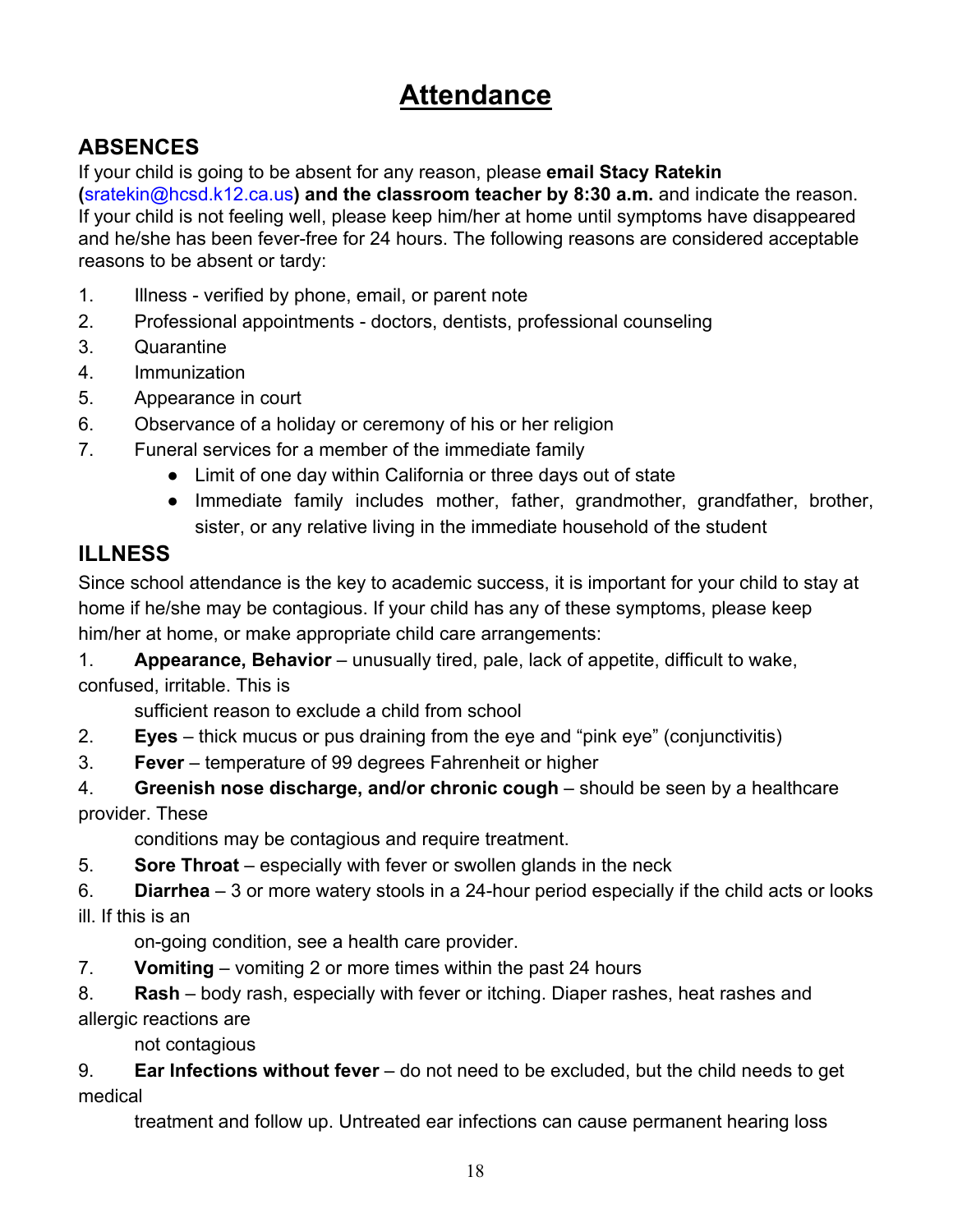# **Attendance**

# **ABSENCES**

If your child is going to be absent for any reason, please **email Stacy Ratekin (**[sratekin@hcsd.k12.ca.us](mailto:sratekin@hcsd.k12.ca.us)**) and the classroom teacher by 8:30 a.m.** and indicate the reason. If your child is not feeling well, please keep him/her at home until symptoms have disappeared and he/she has been fever-free for 24 hours. The following reasons are considered acceptable reasons to be absent or tardy:

- 1. Illness verified by phone, email, or parent note
- 2. Professional appointments doctors, dentists, professional counseling
- 3. Quarantine
- 4. Immunization
- 5. Appearance in court
- 6. Observance of a holiday or ceremony of his or her religion
- 7. Funeral services for a member of the immediate family
	- Limit of one day within California or three days out of state
	- Immediate family includes mother, father, grandmother, grandfather, brother, sister, or any relative living in the immediate household of the student

# **ILLNESS**

Since school attendance is the key to academic success, it is important for your child to stay at home if he/she may be contagious. If your child has any of these symptoms, please keep him/her at home, or make appropriate child care arrangements:

1. **Appearance, Behavior** – unusually tired, pale, lack of appetite, difficult to wake, confused, irritable. This is

sufficient reason to exclude a child from school

- 2. **Eyes** thick mucus or pus draining from the eye and "pink eye" (conjunctivitis)
- 3. **Fever**  temperature of 99 degrees Fahrenheit or higher

4. **Greenish nose discharge, and/or chronic cough** – should be seen by a healthcare provider. These

conditions may be contagious and require treatment.

5. **Sore Throat** – especially with fever or swollen glands in the neck

6. **Diarrhea** – 3 or more watery stools in a 24-hour period especially if the child acts or looks ill. If this is an

on-going condition, see a health care provider.

7. **Vomiting** – vomiting 2 or more times within the past 24 hours

8. **Rash** – body rash, especially with fever or itching. Diaper rashes, heat rashes and allergic reactions are

not contagious

9. **Ear Infections without fever** – do not need to be excluded, but the child needs to get medical

treatment and follow up. Untreated ear infections can cause permanent hearing loss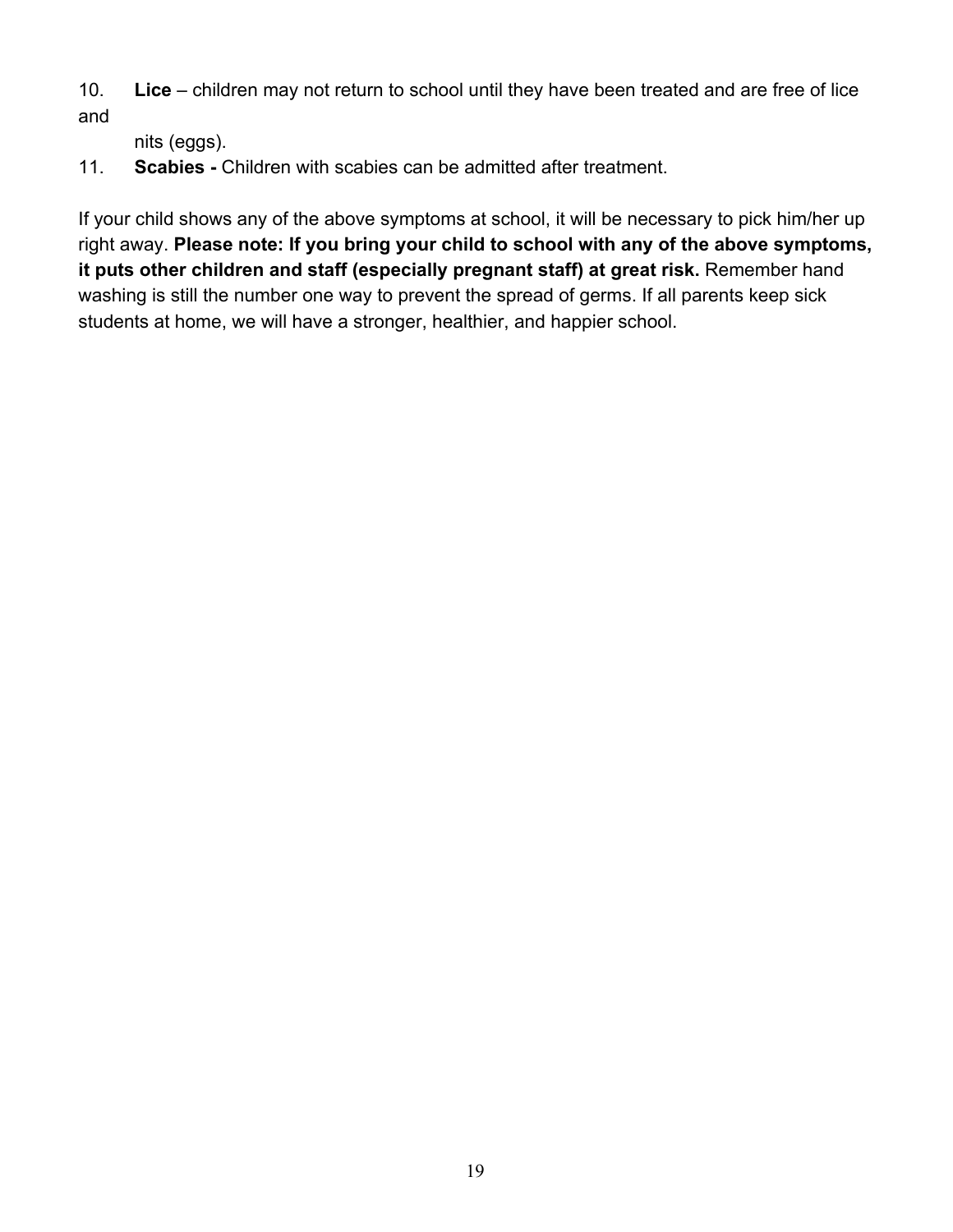10. **Lice** – children may not return to school until they have been treated and are free of lice and

nits (eggs).

11. **Scabies -** Children with scabies can be admitted after treatment.

If your child shows any of the above symptoms at school, it will be necessary to pick him/her up right away. **Please note: If you bring your child to school with any of the above symptoms, it puts other children and staff (especially pregnant staff) at great risk.** Remember hand washing is still the number one way to prevent the spread of germs. If all parents keep sick students at home, we will have a stronger, healthier, and happier school.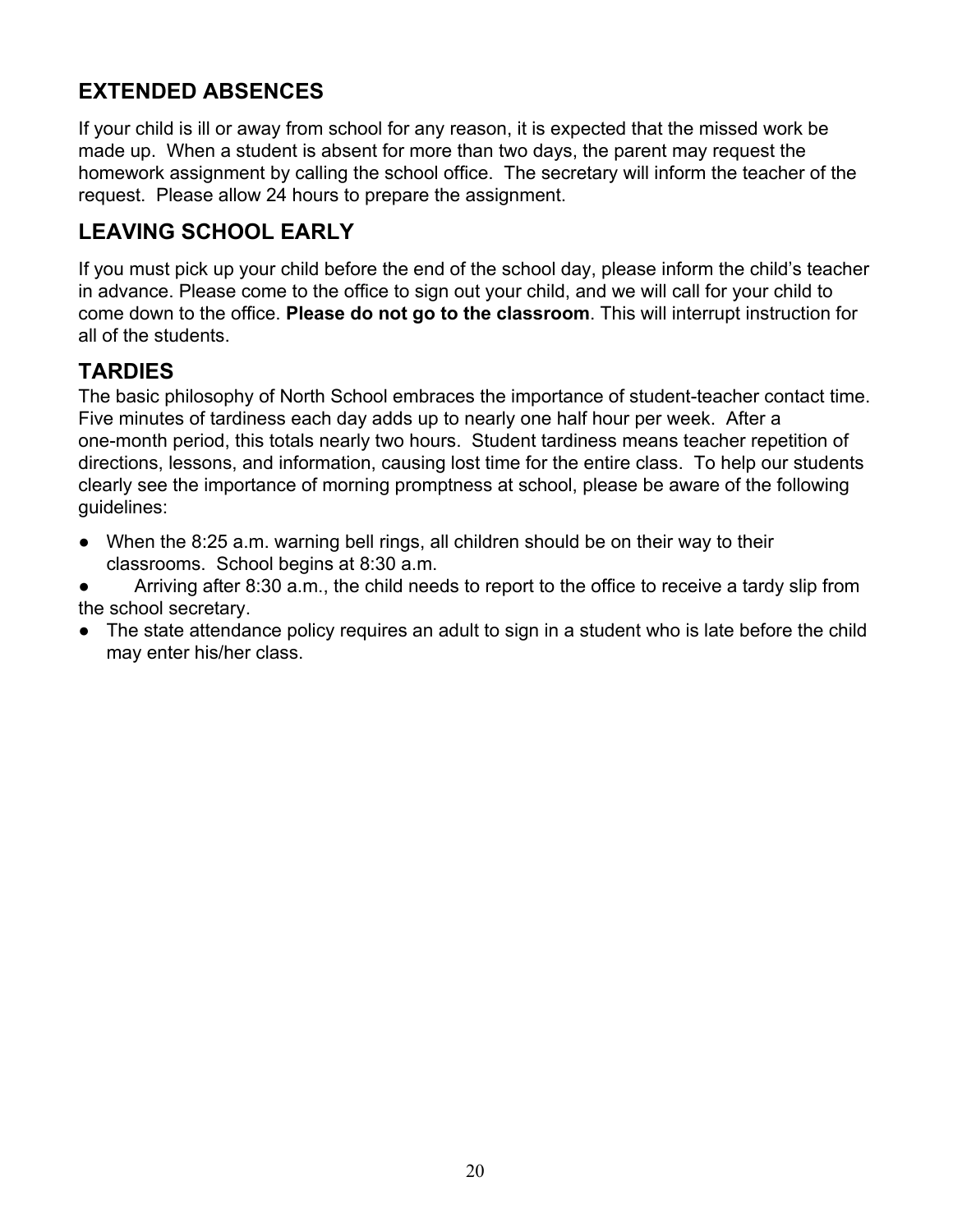# **EXTENDED ABSENCES**

If your child is ill or away from school for any reason, it is expected that the missed work be made up. When a student is absent for more than two days, the parent may request the homework assignment by calling the school office. The secretary will inform the teacher of the request. Please allow 24 hours to prepare the assignment.

### **LEAVING SCHOOL EARLY**

If you must pick up your child before the end of the school day, please inform the child's teacher in advance. Please come to the office to sign out your child, and we will call for your child to come down to the office. **Please do not go to the classroom**. This will interrupt instruction for all of the students.

## **TARDIES**

The basic philosophy of North School embraces the importance of student-teacher contact time. Five minutes of tardiness each day adds up to nearly one half hour per week. After a one-month period, this totals nearly two hours. Student tardiness means teacher repetition of directions, lessons, and information, causing lost time for the entire class. To help our students clearly see the importance of morning promptness at school, please be aware of the following guidelines:

● When the 8:25 a.m. warning bell rings, all children should be on their way to their classrooms. School begins at 8:30 a.m.

Arriving after 8:30 a.m., the child needs to report to the office to receive a tardy slip from the school secretary.

● The state attendance policy requires an adult to sign in a student who is late before the child may enter his/her class.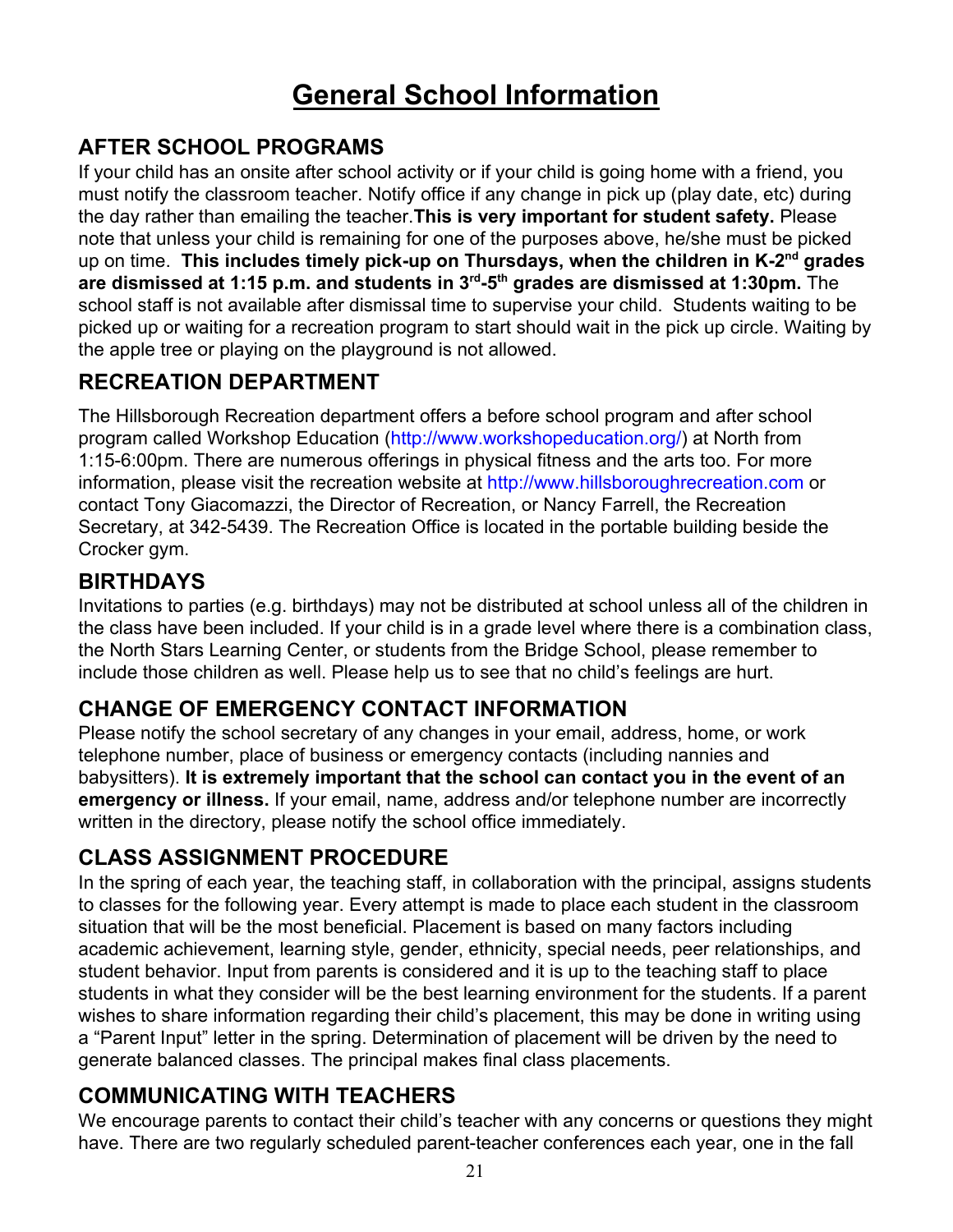# **General School Information**

## **AFTER SCHOOL PROGRAMS**

If your child has an onsite after school activity or if your child is going home with a friend, you must notify the classroom teacher. Notify office if any change in pick up (play date, etc) during the day rather than emailing the teacher.**This is very important for student safety.** Please note that unless your child is remaining for one of the purposes above, he/she must be picked up on time. **This includes timely pick-up on Thursdays, when the children in K-2nd grades are dismissed at 1:15 p.m. and students in 3rd -5th grades are dismissed at 1:30pm.** The school staff is not available after dismissal time to supervise your child. Students waiting to be picked up or waiting for a recreation program to start should wait in the pick up circle. Waiting by the apple tree or playing on the playground is not allowed.

## **RECREATION DEPARTMENT**

The Hillsborough Recreation department offers a before school program and after school program called Workshop Education [\(http://www.workshopeducation.org/\)](http://www.workshopeducation.org/) at North from 1:15-6:00pm. There are numerous offerings in physical fitness and the arts too. For more information, please visit the recreation website at [http://www.hillsboroughrecreation.com](http://www.hillsboroughrecreation.com/) or contact Tony Giacomazzi, the Director of Recreation, or Nancy Farrell, the Recreation Secretary, at 342-5439. The Recreation Office is located in the portable building beside the Crocker gym.

### **BIRTHDAYS**

Invitations to parties (e.g. birthdays) may not be distributed at school unless all of the children in the class have been included. If your child is in a grade level where there is a combination class, the North Stars Learning Center, or students from the Bridge School, please remember to include those children as well. Please help us to see that no child's feelings are hurt.

# **CHANGE OF EMERGENCY CONTACT INFORMATION**

Please notify the school secretary of any changes in your email, address, home, or work telephone number, place of business or emergency contacts (including nannies and babysitters). **It is extremely important that the school can contact you in the event of an emergency or illness.** If your email, name, address and/or telephone number are incorrectly written in the directory, please notify the school office immediately.

# **CLASS ASSIGNMENT PROCEDURE**

In the spring of each year, the teaching staff, in collaboration with the principal, assigns students to classes for the following year. Every attempt is made to place each student in the classroom situation that will be the most beneficial. Placement is based on many factors including academic achievement, learning style, gender, ethnicity, special needs, peer relationships, and student behavior. Input from parents is considered and it is up to the teaching staff to place students in what they consider will be the best learning environment for the students. If a parent wishes to share information regarding their child's placement, this may be done in writing using a "Parent Input" letter in the spring. Determination of placement will be driven by the need to generate balanced classes. The principal makes final class placements.

# **COMMUNICATING WITH TEACHERS**

We encourage parents to contact their child's teacher with any concerns or questions they might have. There are two regularly scheduled parent-teacher conferences each year, one in the fall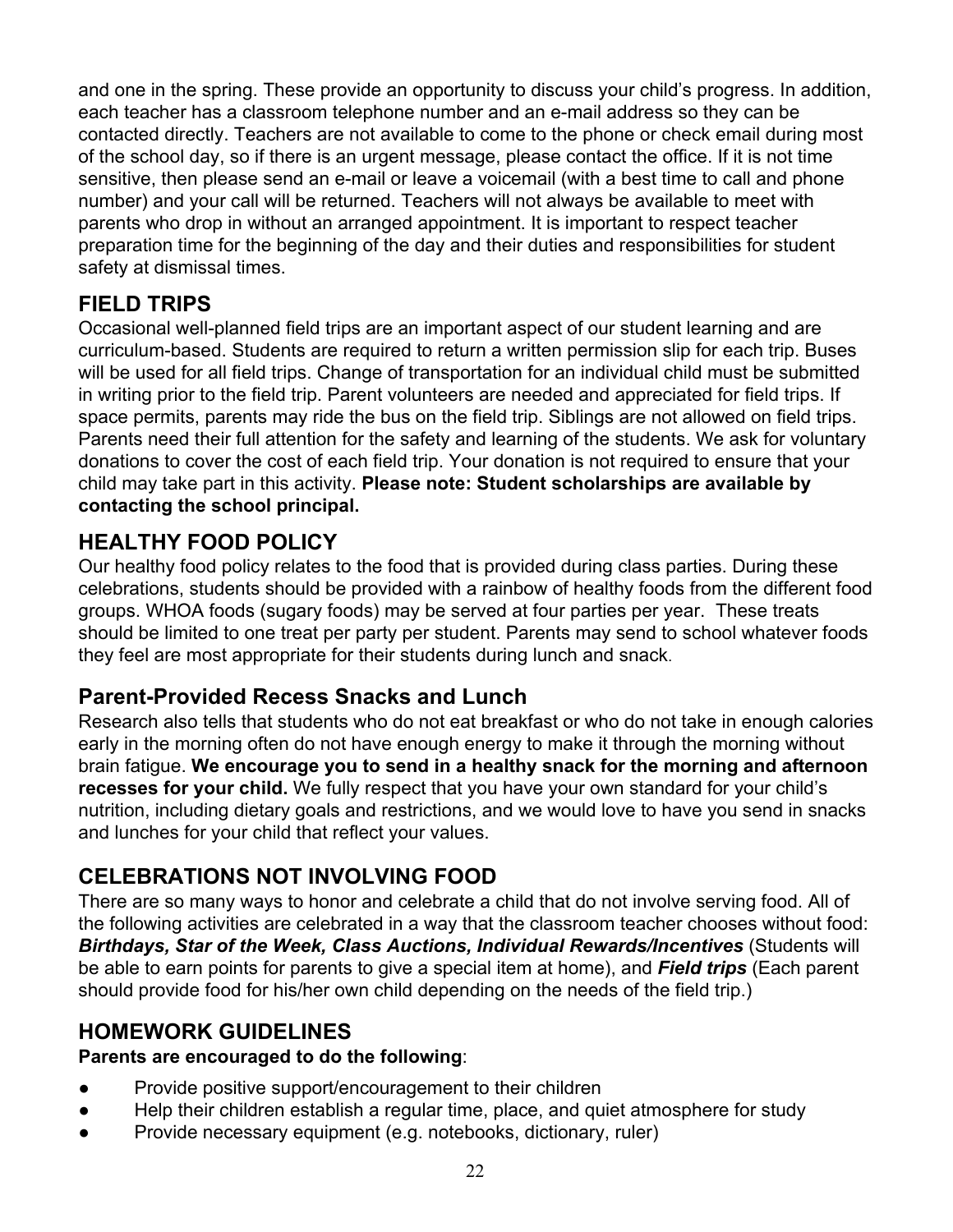and one in the spring. These provide an opportunity to discuss your child's progress. In addition, each teacher has a classroom telephone number and an e-mail address so they can be contacted directly. Teachers are not available to come to the phone or check email during most of the school day, so if there is an urgent message, please contact the office. If it is not time sensitive, then please send an e-mail or leave a voicemail (with a best time to call and phone number) and your call will be returned. Teachers will not always be available to meet with parents who drop in without an arranged appointment. It is important to respect teacher preparation time for the beginning of the day and their duties and responsibilities for student safety at dismissal times.

## **FIELD TRIPS**

Occasional well-planned field trips are an important aspect of our student learning and are curriculum-based. Students are required to return a written permission slip for each trip. Buses will be used for all field trips. Change of transportation for an individual child must be submitted in writing prior to the field trip. Parent volunteers are needed and appreciated for field trips. If space permits, parents may ride the bus on the field trip. Siblings are not allowed on field trips. Parents need their full attention for the safety and learning of the students. We ask for voluntary donations to cover the cost of each field trip. Your donation is not required to ensure that your child may take part in this activity. **Please note: Student scholarships are available by contacting the school principal.**

## **HEALTHY FOOD POLICY**

Our healthy food policy relates to the food that is provided during class parties. During these celebrations, students should be provided with a rainbow of healthy foods from the different food groups. WHOA foods (sugary foods) may be served at four parties per year. These treats should be limited to one treat per party per student. Parents may send to school whatever foods they feel are most appropriate for their students during lunch and snack.

### **Parent-Provided Recess Snacks and Lunch**

Research also tells that students who do not eat breakfast or who do not take in enough calories early in the morning often do not have enough energy to make it through the morning without brain fatigue. **We encourage you to send in a healthy snack for the morning and afternoon recesses for your child.** We fully respect that you have your own standard for your child's nutrition, including dietary goals and restrictions, and we would love to have you send in snacks and lunches for your child that reflect your values.

# **CELEBRATIONS NOT INVOLVING FOOD**

There are so many ways to honor and celebrate a child that do not involve serving food. All of the following activities are celebrated in a way that the classroom teacher chooses without food: *Birthdays, Star of the Week, Class Auctions, Individual Rewards/Incentives* (Students will be able to earn points for parents to give a special item at home), and *Field trips* (Each parent should provide food for his/her own child depending on the needs of the field trip.)

# **HOMEWORK GUIDELINES**

### **Parents are encouraged to do the following**:

- Provide positive support/encouragement to their children
- Help their children establish a regular time, place, and quiet atmosphere for study
- Provide necessary equipment (e.g. notebooks, dictionary, ruler)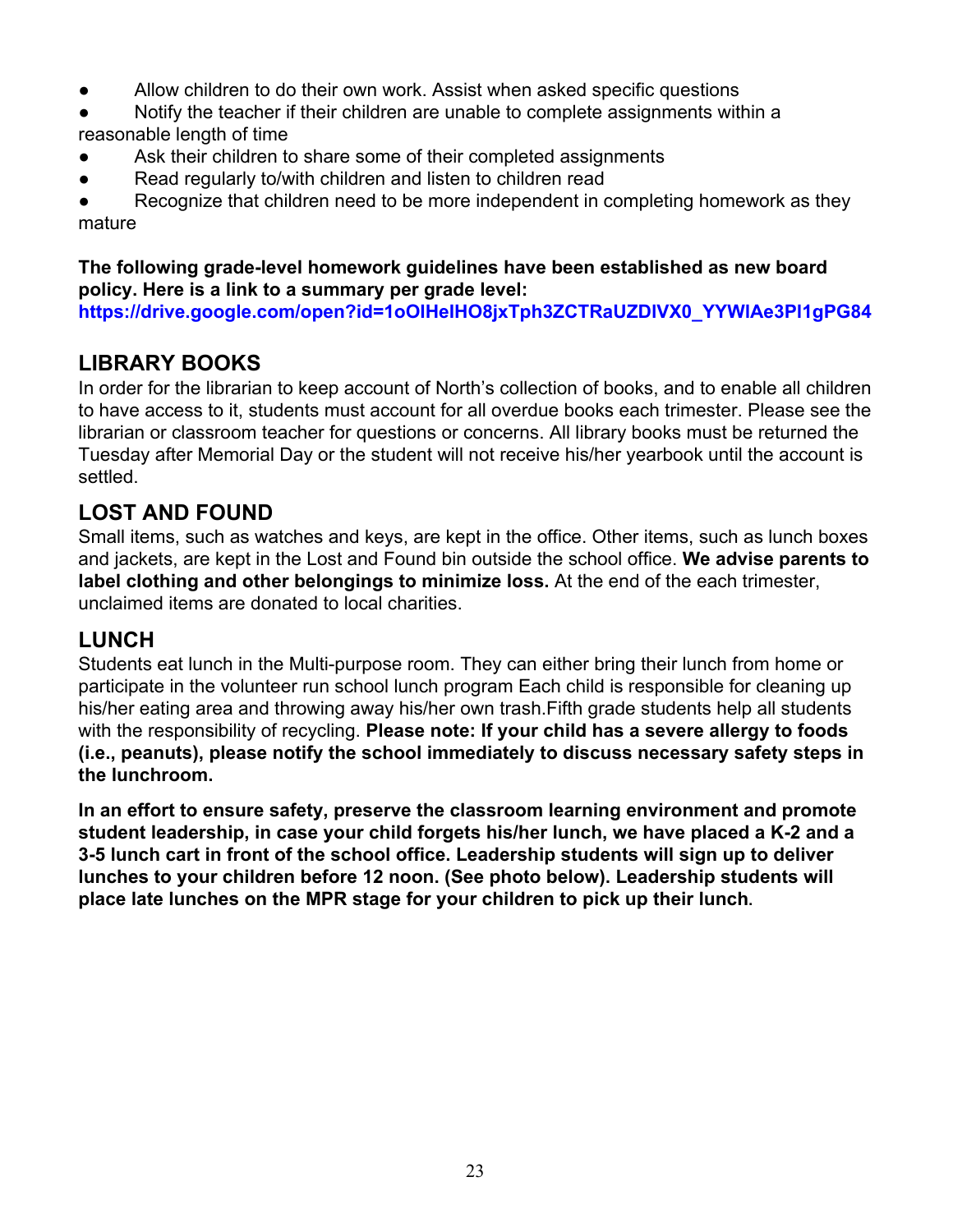- Allow children to do their own work. Assist when asked specific questions
- Notify the teacher if their children are unable to complete assignments within a reasonable length of time
- Ask their children to share some of their completed assignments
- Read regularly to/with children and listen to children read

Recognize that children need to be more independent in completing homework as they mature

#### **The following grade-level homework guidelines have been established as new board policy. Here is a link to a summary per grade level:**

**[https://drive.google.com/open?id=1oOIHeIHO8jxTph3ZCTRaUZDlVX0\\_YYWlAe3Pl1gPG84](https://drive.google.com/open?id=1oOIHeIHO8jxTph3ZCTRaUZDlVX0_YYWlAe3Pl1gPG84)**

## **LIBRARY BOOKS**

In order for the librarian to keep account of North's collection of books, and to enable all children to have access to it, students must account for all overdue books each trimester. Please see the librarian or classroom teacher for questions or concerns. All library books must be returned the Tuesday after Memorial Day or the student will not receive his/her yearbook until the account is settled.

# **LOST AND FOUND**

Small items, such as watches and keys, are kept in the office. Other items, such as lunch boxes and jackets, are kept in the Lost and Found bin outside the school office. **We advise parents to label clothing and other belongings to minimize loss.** At the end of the each trimester, unclaimed items are donated to local charities.

### **LUNCH**

Students eat lunch in the Multi-purpose room. They can either bring their lunch from home or participate in the volunteer run school lunch program Each child is responsible for cleaning up his/her eating area and throwing away his/her own trash.Fifth grade students help all students with the responsibility of recycling. **Please note: If your child has a severe allergy to foods (i.e., peanuts), please notify the school immediately to discuss necessary safety steps in the lunchroom.**

**In an effort to ensure safety, preserve the classroom learning environment and promote student leadership, in case your child forgets his/her lunch, we have placed a K-2 and a 3-5 lunch cart in front of the school office. Leadership students will sign up to deliver lunches to your children before 12 noon. (See photo below). Leadership students will place late lunches on the MPR stage for your children to pick up their lunch.**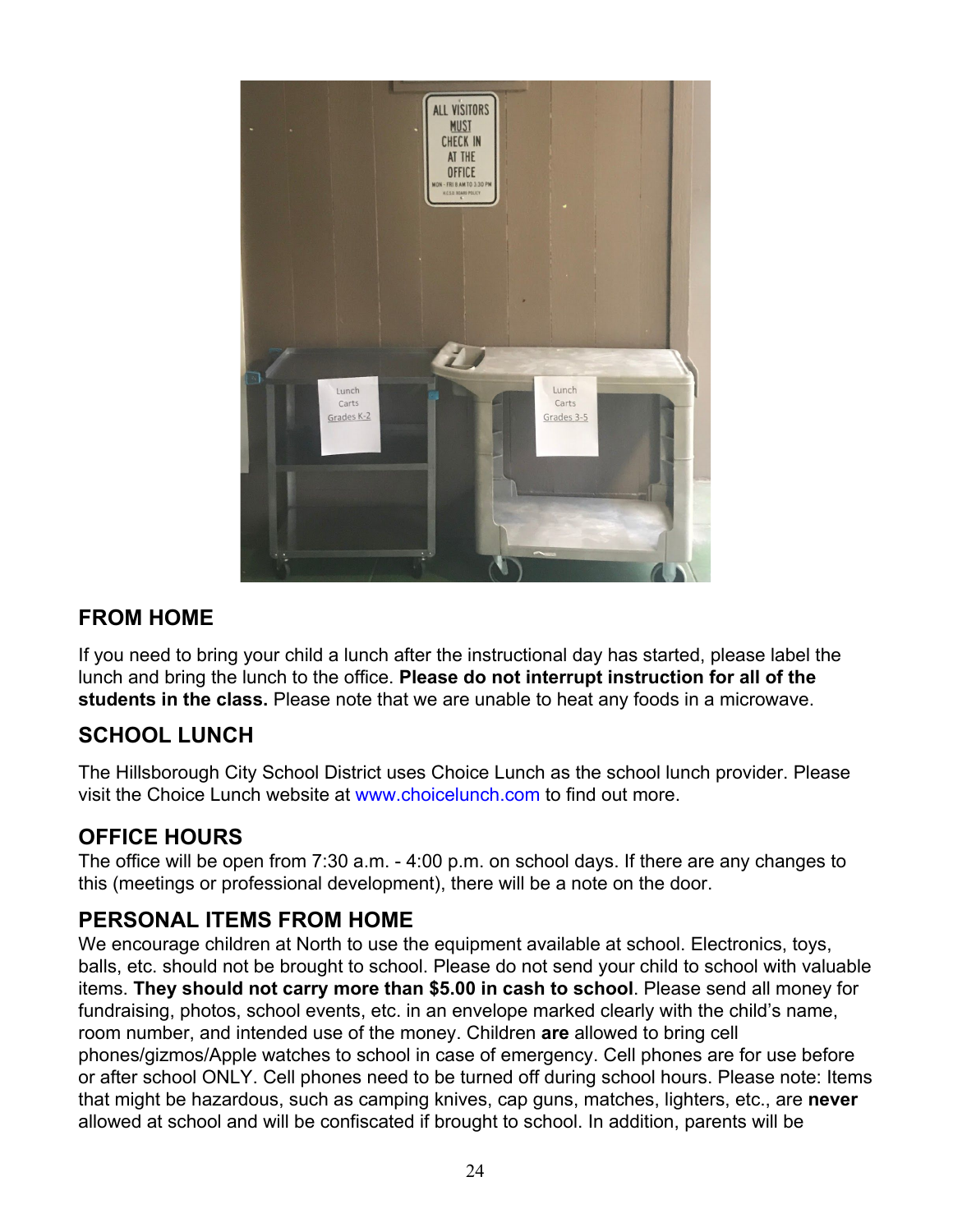

### **FROM HOME**

If you need to bring your child a lunch after the instructional day has started, please label the lunch and bring the lunch to the office. **Please do not interrupt instruction for all of the students in the class.** Please note that we are unable to heat any foods in a microwave.

### **SCHOOL LUNCH**

The Hillsborough City School District uses Choice Lunch as the school lunch provider. Please visit the Choice Lunch website at [www.choicelunch.com](http://www.choicelunch.com/) to find out more.

### **OFFICE HOURS**

The office will be open from 7:30 a.m. - 4:00 p.m. on school days. If there are any changes to this (meetings or professional development), there will be a note on the door.

### **PERSONAL ITEMS FROM HOME**

We encourage children at North to use the equipment available at school. Electronics, toys, balls, etc. should not be brought to school. Please do not send your child to school with valuable items. **They should not carry more than \$5.00 in cash to school**. Please send all money for fundraising, photos, school events, etc. in an envelope marked clearly with the child's name, room number, and intended use of the money. Children **are** allowed to bring cell phones/gizmos/Apple watches to school in case of emergency. Cell phones are for use before or after school ONLY. Cell phones need to be turned off during school hours. Please note: Items that might be hazardous, such as camping knives, cap guns, matches, lighters, etc., are **never** allowed at school and will be confiscated if brought to school. In addition, parents will be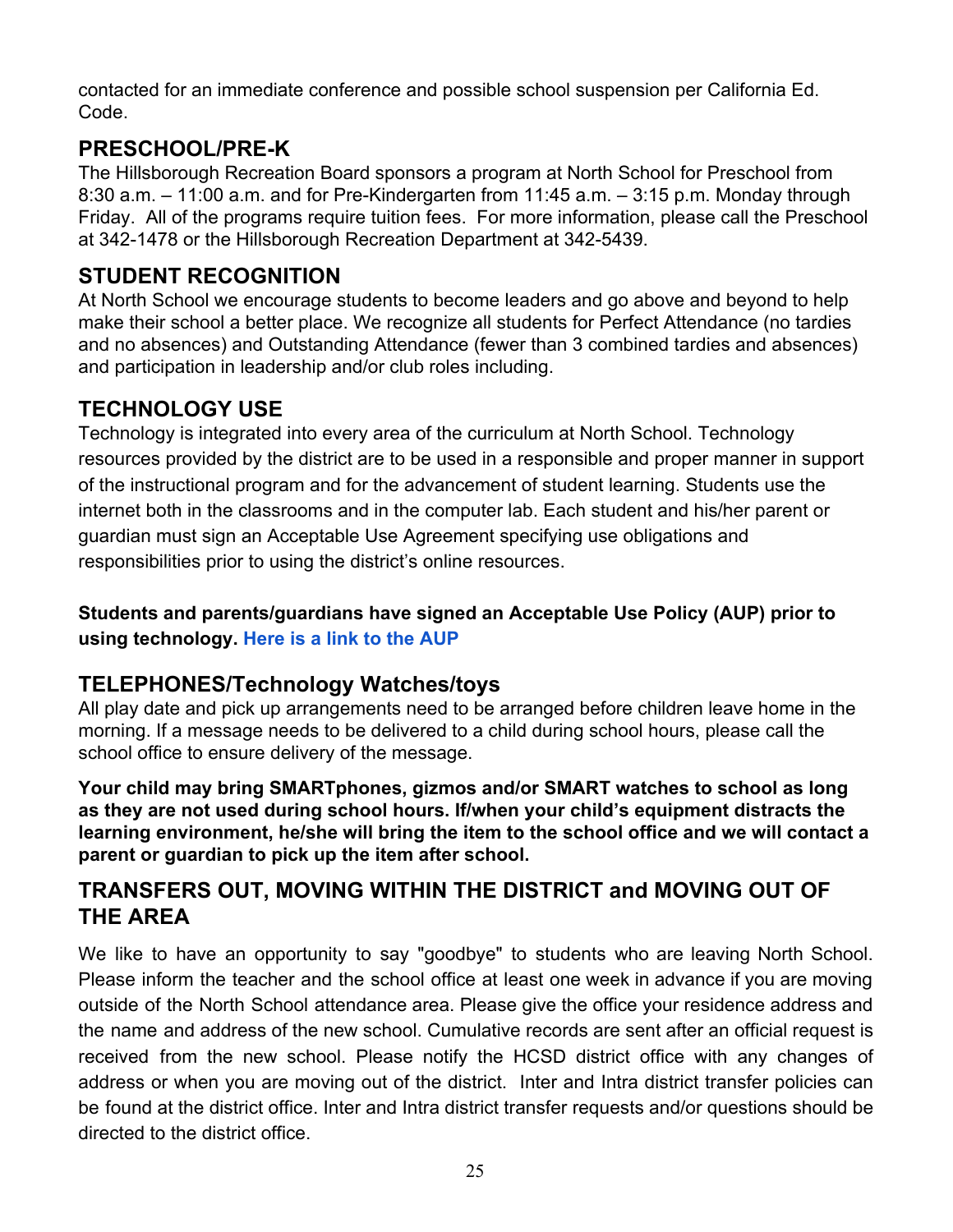contacted for an immediate conference and possible school suspension per California Ed. Code.

## **PRESCHOOL/PRE-K**

The Hillsborough Recreation Board sponsors a program at North School for Preschool from 8:30 a.m. – 11:00 a.m. and for Pre-Kindergarten from 11:45 a.m. – 3:15 p.m. Monday through Friday. All of the programs require tuition fees. For more information, please call the Preschool at 342-1478 or the Hillsborough Recreation Department at 342-5439.

## **STUDENT RECOGNITION**

At North School we encourage students to become leaders and go above and beyond to help make their school a better place. We recognize all students for Perfect Attendance (no tardies and no absences) and Outstanding Attendance (fewer than 3 combined tardies and absences) and participation in leadership and/or club roles including.

# **TECHNOLOGY USE**

Technology is integrated into every area of the curriculum at North School. Technology resources provided by the district are to be used in a responsible and proper manner in support of the instructional program and for the advancement of student learning. Students use the internet both in the classrooms and in the computer lab. Each student and his/her parent or guardian must sign an Acceptable Use Agreement specifying use obligations and responsibilities prior to using the district's online resources.

### **Students and parents/guardians have signed an Acceptable Use Policy (AUP) prior to using technology. [Here is a link to the AUP](https://www.hcsd.k12.ca.us/uploaded/North_Documents/documents_14-15/HCSD_AUP_for_Students.pdf)**

### **TELEPHONES/Technology Watches/toys**

All play date and pick up arrangements need to be arranged before children leave home in the morning. If a message needs to be delivered to a child during school hours, please call the school office to ensure delivery of the message.

**Your child may bring SMARTphones, gizmos and/or SMART watches to school as long as they are not used during school hours. If/when your child's equipment distracts the learning environment, he/she will bring the item to the school office and we will contact a parent or guardian to pick up the item after school.**

### **TRANSFERS OUT, MOVING WITHIN THE DISTRICT and MOVING OUT OF THE AREA**

We like to have an opportunity to say "goodbye" to students who are leaving North School. Please inform the teacher and the school office at least one week in advance if you are moving outside of the North School attendance area. Please give the office your residence address and the name and address of the new school. Cumulative records are sent after an official request is received from the new school. Please notify the HCSD district office with any changes of address or when you are moving out of the district. Inter and Intra district transfer policies can be found at the district office. Inter and Intra district transfer requests and/or questions should be directed to the district office.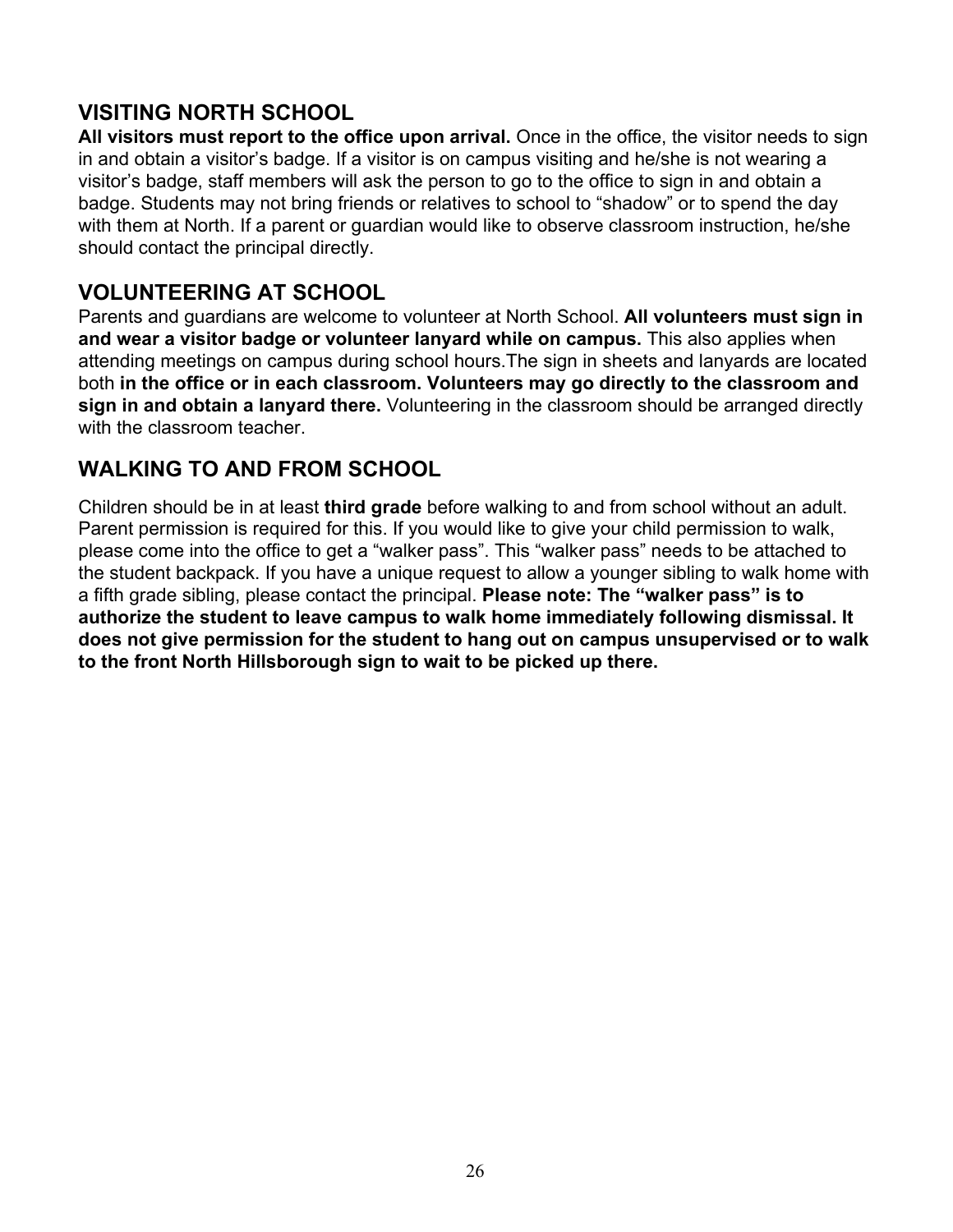### **VISITING NORTH SCHOOL**

**All visitors must report to the office upon arrival.** Once in the office, the visitor needs to sign in and obtain a visitor's badge. If a visitor is on campus visiting and he/she is not wearing a visitor's badge, staff members will ask the person to go to the office to sign in and obtain a badge. Students may not bring friends or relatives to school to "shadow" or to spend the day with them at North. If a parent or guardian would like to observe classroom instruction, he/she should contact the principal directly.

### **VOLUNTEERING AT SCHOOL**

Parents and guardians are welcome to volunteer at North School. **All volunteers must sign in and wear a visitor badge or volunteer lanyard while on campus.** This also applies when attending meetings on campus during school hours.The sign in sheets and lanyards are located both **in the office or in each classroom. Volunteers may go directly to the classroom and sign in and obtain a lanyard there.** Volunteering in the classroom should be arranged directly with the classroom teacher.

### **WALKING TO AND FROM SCHOOL**

Children should be in at least **third grade** before walking to and from school without an adult. Parent permission is required for this. If you would like to give your child permission to walk, please come into the office to get a "walker pass". This "walker pass" needs to be attached to the student backpack. If you have a unique request to allow a younger sibling to walk home with a fifth grade sibling, please contact the principal. **Please note: The "walker pass" is to authorize the student to leave campus to walk home immediately following dismissal. It does not give permission for the student to hang out on campus unsupervised or to walk to the front North Hillsborough sign to wait to be picked up there.**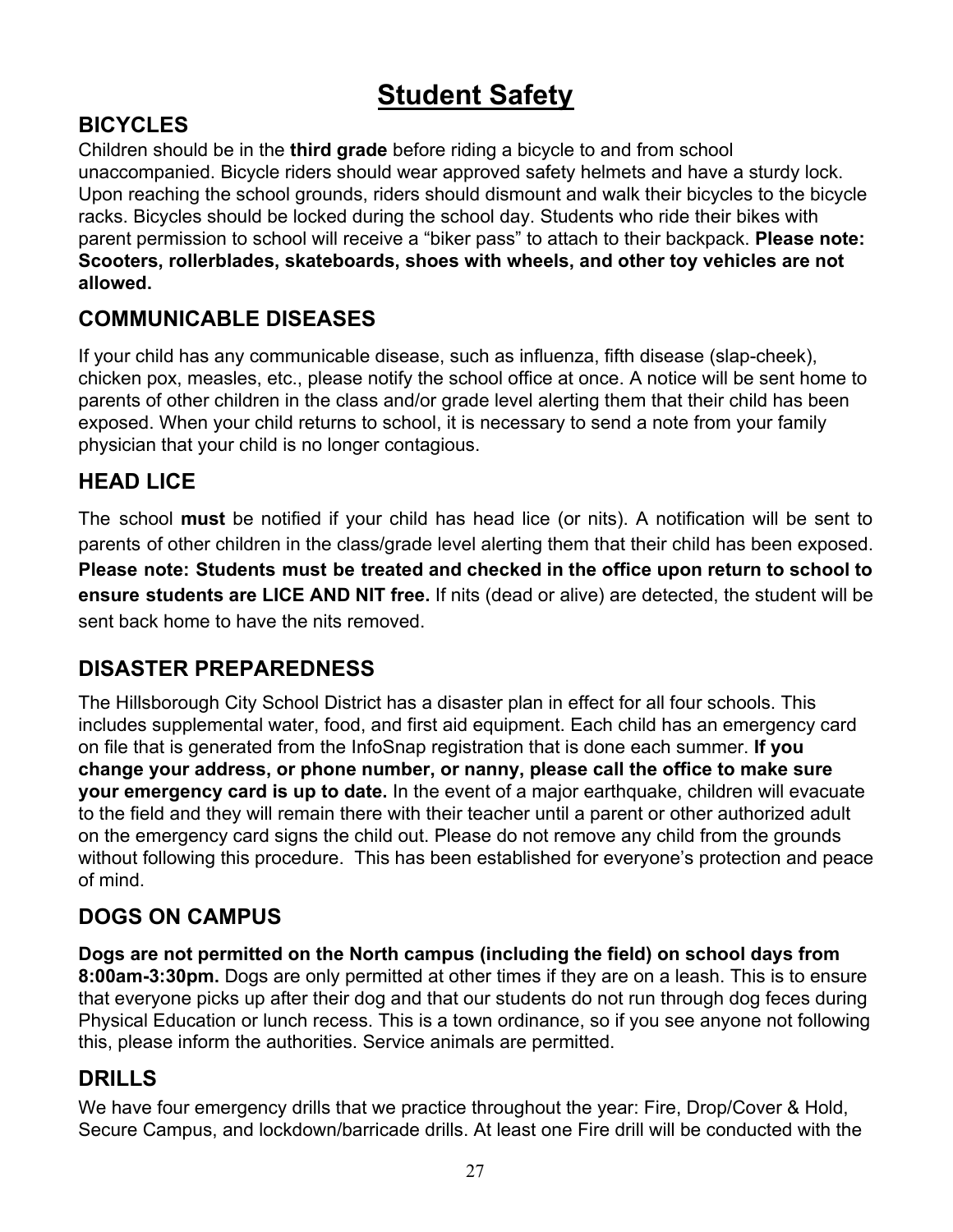# **Student Safety**

# **BICYCLES**

Children should be in the **third grade** before riding a bicycle to and from school unaccompanied. Bicycle riders should wear approved safety helmets and have a sturdy lock. Upon reaching the school grounds, riders should dismount and walk their bicycles to the bicycle racks. Bicycles should be locked during the school day. Students who ride their bikes with parent permission to school will receive a "biker pass" to attach to their backpack. **Please note: Scooters, rollerblades, skateboards, shoes with wheels, and other toy vehicles are not allowed.**

# **COMMUNICABLE DISEASES**

If your child has any communicable disease, such as influenza, fifth disease (slap-cheek), chicken pox, measles, etc., please notify the school office at once. A notice will be sent home to parents of other children in the class and/or grade level alerting them that their child has been exposed. When your child returns to school, it is necessary to send a note from your family physician that your child is no longer contagious.

## **HEAD LICE**

The school **must** be notified if your child has head lice (or nits). A notification will be sent to parents of other children in the class/grade level alerting them that their child has been exposed. **Please note: Students must be treated and checked in the office upon return to school to ensure students are LICE AND NIT free.** If nits (dead or alive) are detected, the student will be sent back home to have the nits removed.

### **DISASTER PREPAREDNESS**

The Hillsborough City School District has a disaster plan in effect for all four schools. This includes supplemental water, food, and first aid equipment. Each child has an emergency card on file that is generated from the InfoSnap registration that is done each summer. **If you change your address, or phone number, or nanny, please call the office to make sure your emergency card is up to date.** In the event of a major earthquake, children will evacuate to the field and they will remain there with their teacher until a parent or other authorized adult on the emergency card signs the child out. Please do not remove any child from the grounds without following this procedure. This has been established for everyone's protection and peace of mind.

### **DOGS ON CAMPUS**

**Dogs are not permitted on the North campus (including the field) on school days from 8:00am-3:30pm.** Dogs are only permitted at other times if they are on a leash. This is to ensure that everyone picks up after their dog and that our students do not run through dog feces during Physical Education or lunch recess. This is a town ordinance, so if you see anyone not following this, please inform the authorities. Service animals are permitted.

### **DRILLS**

We have four emergency drills that we practice throughout the year: Fire, Drop/Cover & Hold, Secure Campus, and lockdown/barricade drills. At least one Fire drill will be conducted with the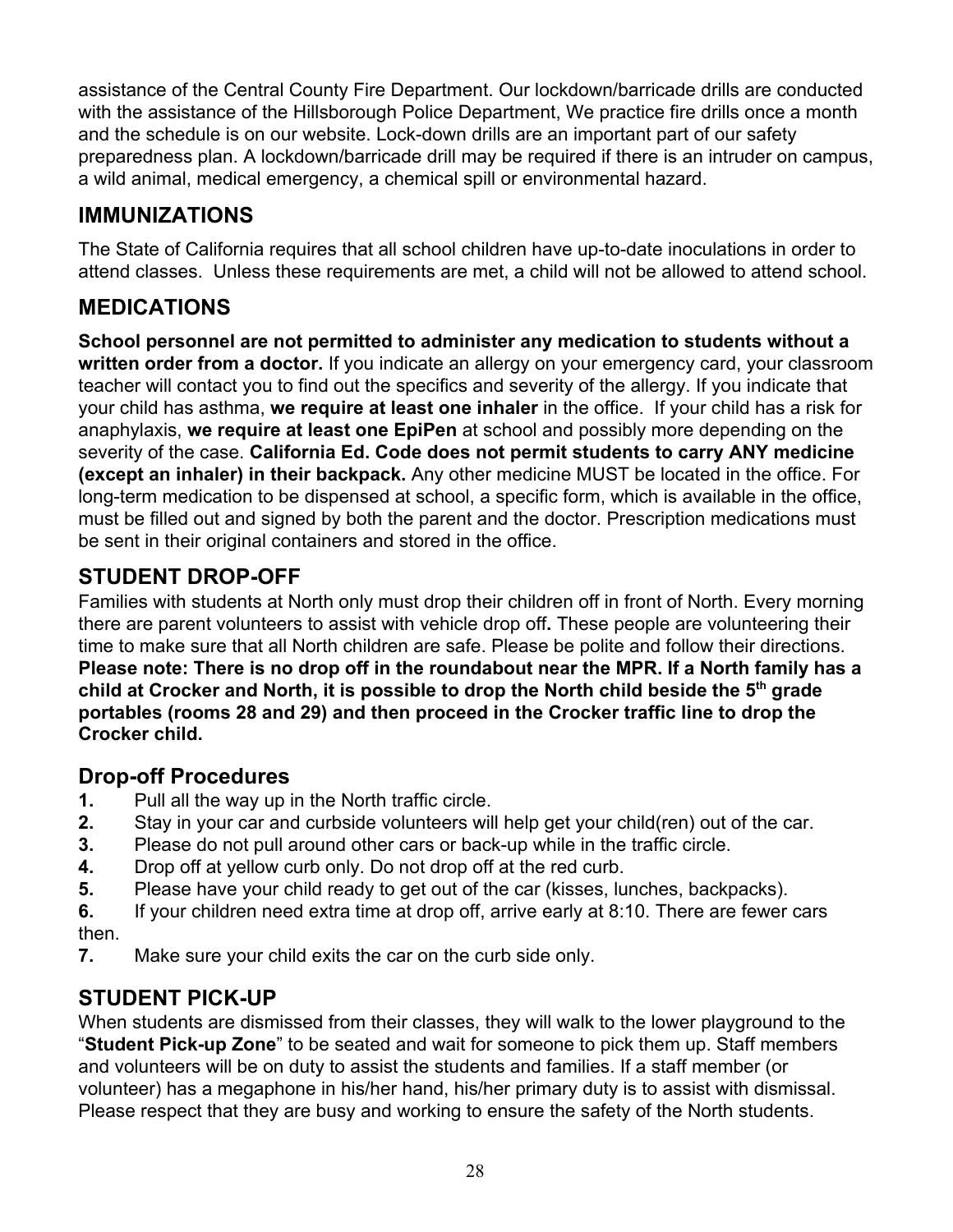assistance of the Central County Fire Department. Our lockdown/barricade drills are conducted with the assistance of the Hillsborough Police Department, We practice fire drills once a month and the schedule is on our website. Lock-down drills are an important part of our safety preparedness plan. A lockdown/barricade drill may be required if there is an intruder on campus, a wild animal, medical emergency, a chemical spill or environmental hazard.

# **IMMUNIZATIONS**

The State of California requires that all school children have up-to-date inoculations in order to attend classes. Unless these requirements are met, a child will not be allowed to attend school.

# **MEDICATIONS**

**School personnel are not permitted to administer any medication to students without a written order from a doctor.** If you indicate an allergy on your emergency card, your classroom teacher will contact you to find out the specifics and severity of the allergy. If you indicate that your child has asthma, **we require at least one inhaler** in the office. If your child has a risk for anaphylaxis, **we require at least one EpiPen** at school and possibly more depending on the severity of the case. **California Ed. Code does not permit students to carry ANY medicine (except an inhaler) in their backpack.** Any other medicine MUST be located in the office. For long-term medication to be dispensed at school, a specific form, which is available in the office, must be filled out and signed by both the parent and the doctor. Prescription medications must be sent in their original containers and stored in the office.

# **STUDENT DROP-OFF**

Families with students at North only must drop their children off in front of North. Every morning there are parent volunteers to assist with vehicle drop off**.** These people are volunteering their time to make sure that all North children are safe. Please be polite and follow their directions. **Please note: There is no drop off in the roundabout near the MPR. If a North family has a child at Crocker and North, it is possible to drop the North child beside the 5th grade portables (rooms 28 and 29) and then proceed in the Crocker traffic line to drop the Crocker child.**

### **Drop-off Procedures**

- **1.** Pull all the way up in the North traffic circle.
- **2.** Stay in your car and curbside volunteers will help get your child(ren) out of the car.
- **3.** Please do not pull around other cars or back-up while in the traffic circle.
- **4.** Drop off at yellow curb only. Do not drop off at the red curb.
- **5.** Please have your child ready to get out of the car (kisses, lunches, backpacks).
- **6.** If your children need extra time at drop off, arrive early at 8:10. There are fewer cars then.
- **7.** Make sure your child exits the car on the curb side only.

# **STUDENT PICK-UP**

When students are dismissed from their classes, they will walk to the lower playground to the "**Student Pick-up Zone**" to be seated and wait for someone to pick them up. Staff members and volunteers will be on duty to assist the students and families. If a staff member (or volunteer) has a megaphone in his/her hand, his/her primary duty is to assist with dismissal. Please respect that they are busy and working to ensure the safety of the North students.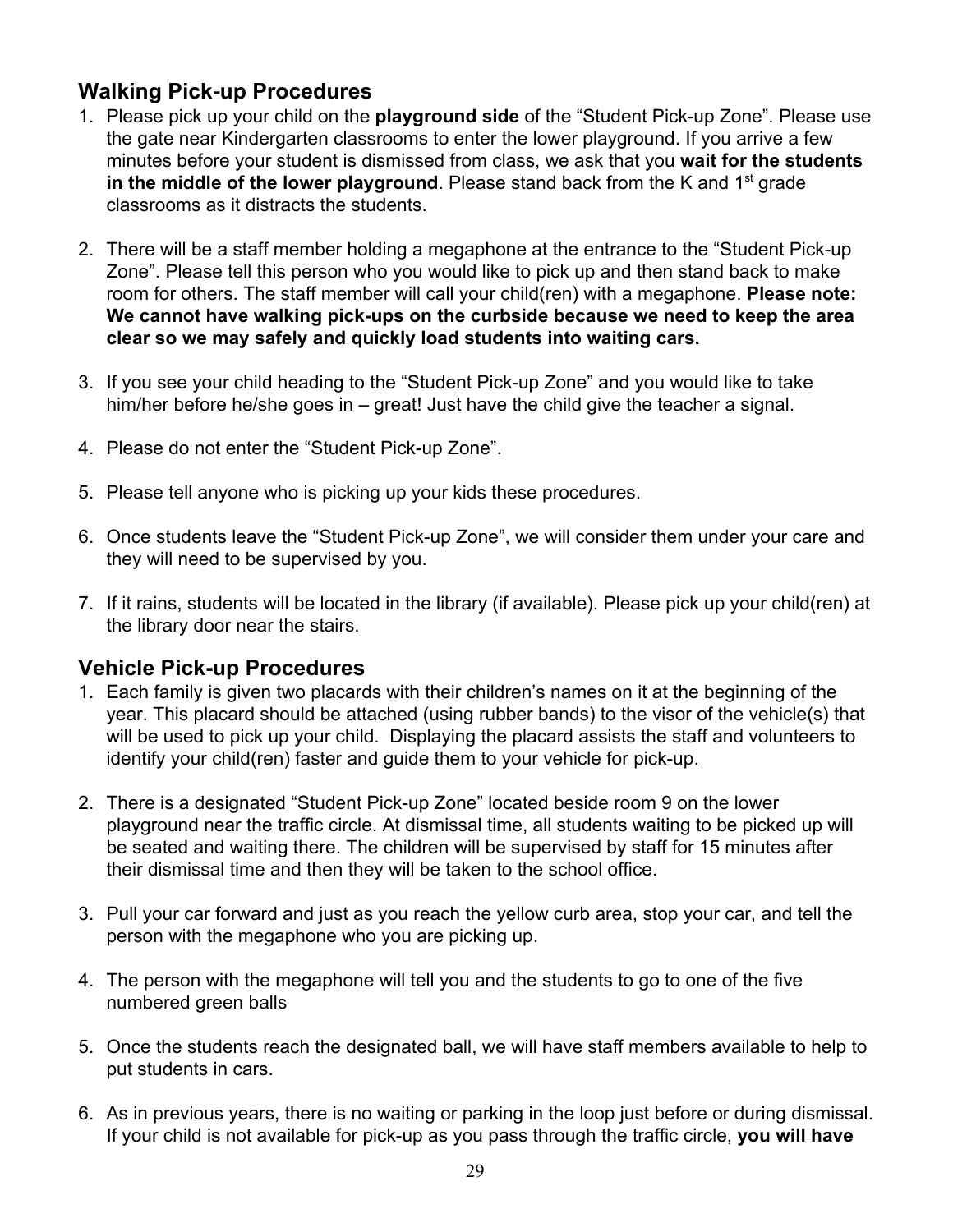### **Walking Pick-up Procedures**

- 1. Please pick up your child on the **playground side** of the "Student Pick-up Zone". Please use the gate near Kindergarten classrooms to enter the lower playground. If you arrive a few minutes before your student is dismissed from class, we ask that you **wait for the students** in the middle of the lower playground. Please stand back from the K and 1<sup>st</sup> grade classrooms as it distracts the students.
- 2. There will be a staff member holding a megaphone at the entrance to the "Student Pick-up Zone". Please tell this person who you would like to pick up and then stand back to make room for others. The staff member will call your child(ren) with a megaphone. **Please note: We cannot have walking pick-ups on the curbside because we need to keep the area clear so we may safely and quickly load students into waiting cars.**
- 3. If you see your child heading to the "Student Pick-up Zone" and you would like to take him/her before he/she goes in – great! Just have the child give the teacher a signal.
- 4. Please do not enter the "Student Pick-up Zone".
- 5. Please tell anyone who is picking up your kids these procedures.
- 6. Once students leave the "Student Pick-up Zone", we will consider them under your care and they will need to be supervised by you.
- 7. If it rains, students will be located in the library (if available). Please pick up your child(ren) at the library door near the stairs.

### **Vehicle Pick-up Procedures**

- 1. Each family is given two placards with their children's names on it at the beginning of the year. This placard should be attached (using rubber bands) to the visor of the vehicle(s) that will be used to pick up your child. Displaying the placard assists the staff and volunteers to identify your child(ren) faster and guide them to your vehicle for pick-up.
- 2. There is a designated "Student Pick-up Zone" located beside room 9 on the lower playground near the traffic circle. At dismissal time, all students waiting to be picked up will be seated and waiting there. The children will be supervised by staff for 15 minutes after their dismissal time and then they will be taken to the school office.
- 3. Pull your car forward and just as you reach the yellow curb area, stop your car, and tell the person with the megaphone who you are picking up.
- 4. The person with the megaphone will tell you and the students to go to one of the five numbered green balls
- 5. Once the students reach the designated ball, we will have staff members available to help to put students in cars.
- 6. As in previous years, there is no waiting or parking in the loop just before or during dismissal. If your child is not available for pick-up as you pass through the traffic circle, **you will have**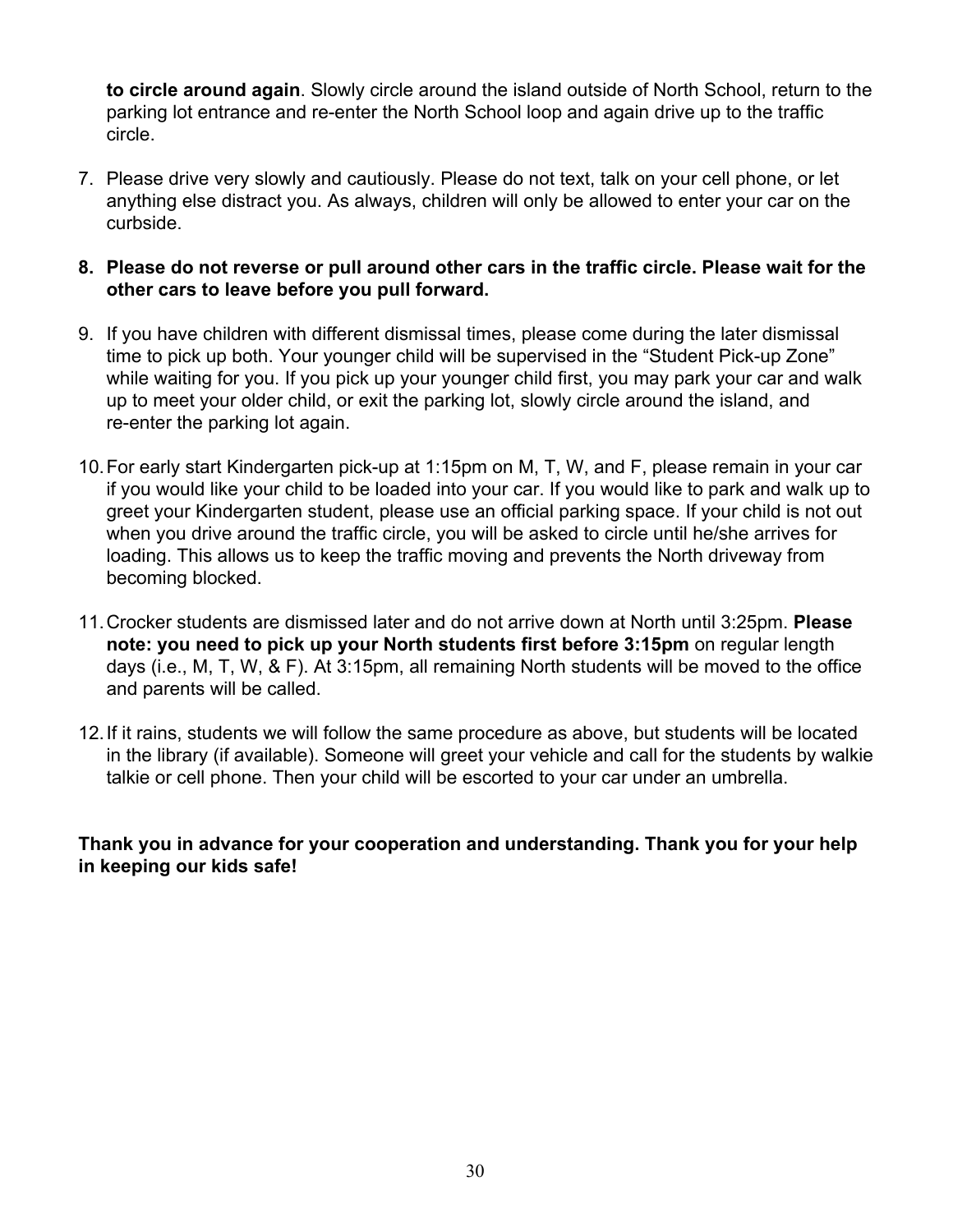**to circle around again**. Slowly circle around the island outside of North School, return to the parking lot entrance and re-enter the North School loop and again drive up to the traffic circle.

- 7. Please drive very slowly and cautiously. Please do not text, talk on your cell phone, or let anything else distract you. As always, children will only be allowed to enter your car on the curbside.
- **8. Please do not reverse or pull around other cars in the traffic circle. Please wait for the other cars to leave before you pull forward.**
- 9. If you have children with different dismissal times, please come during the later dismissal time to pick up both. Your younger child will be supervised in the "Student Pick-up Zone" while waiting for you. If you pick up your younger child first, you may park your car and walk up to meet your older child, or exit the parking lot, slowly circle around the island, and re-enter the parking lot again.
- 10.For early start Kindergarten pick-up at 1:15pm on M, T, W, and F, please remain in your car if you would like your child to be loaded into your car. If you would like to park and walk up to greet your Kindergarten student, please use an official parking space. If your child is not out when you drive around the traffic circle, you will be asked to circle until he/she arrives for loading. This allows us to keep the traffic moving and prevents the North driveway from becoming blocked.
- 11.Crocker students are dismissed later and do not arrive down at North until 3:25pm. **Please note: you need to pick up your North students first before 3:15pm** on regular length days (i.e., M, T, W, & F). At 3:15pm, all remaining North students will be moved to the office and parents will be called.
- 12.If it rains, students we will follow the same procedure as above, but students will be located in the library (if available). Someone will greet your vehicle and call for the students by walkie talkie or cell phone. Then your child will be escorted to your car under an umbrella.

#### **Thank you in advance for your cooperation and understanding. Thank you for your help in keeping our kids safe!**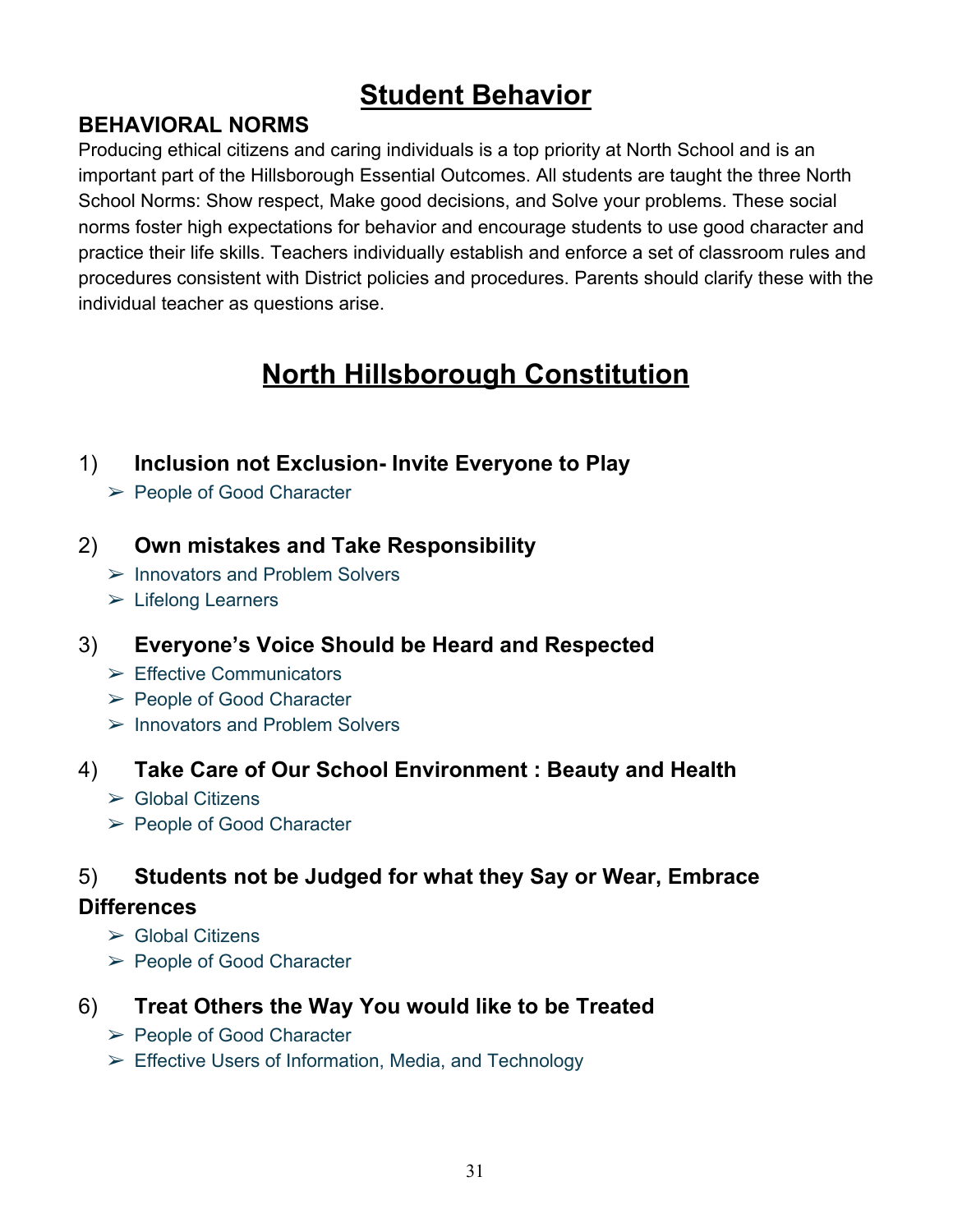# **Student Behavior**

### **BEHAVIORAL NORMS**

Producing ethical citizens and caring individuals is a top priority at North School and is an important part of the Hillsborough Essential Outcomes. All students are taught the three North School Norms: Show respect, Make good decisions, and Solve your problems. These social norms foster high expectations for behavior and encourage students to use good character and practice their life skills. Teachers individually establish and enforce a set of classroom rules and procedures consistent with District policies and procedures. Parents should clarify these with the individual teacher as questions arise.

# **North Hillsborough Constitution**

### 1) **Inclusion not Exclusion- Invite Everyone to Play**

➢ People of Good Character

### 2) **Own mistakes and Take Responsibility**

- ➢ Innovators and Problem Solvers
- ➢ Lifelong Learners

### 3) **Everyone's Voice Should be Heard and Respected**

- $\triangleright$  Effective Communicators
- ➢ People of Good Character
- $\triangleright$  Innovators and Problem Solvers

### 4) **Take Care of Our School Environment : Beauty and Health**

- $\triangleright$  Global Citizens
- ➢ People of Good Character

### 5) **Students not be Judged for what they Say or Wear, Embrace**

### **Differences**

- $\triangleright$  Global Citizens
- ➢ People of Good Character
- 6) **Treat Others the Way You would like to be Treated**
	- ➢ People of Good Character
	- $\triangleright$  Effective Users of Information, Media, and Technology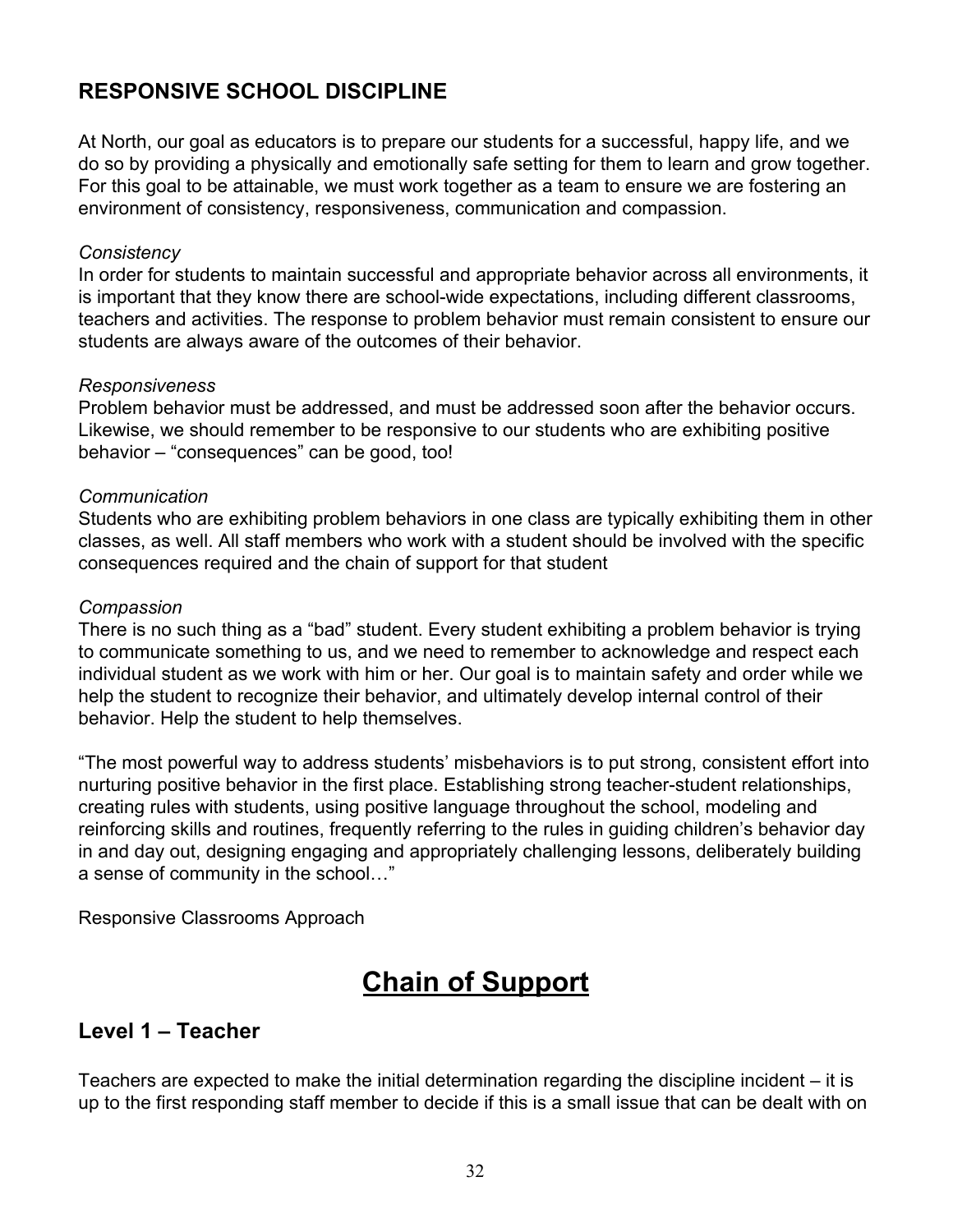## **RESPONSIVE SCHOOL DISCIPLINE**

At North, our goal as educators is to prepare our students for a successful, happy life, and we do so by providing a physically and emotionally safe setting for them to learn and grow together. For this goal to be attainable, we must work together as a team to ensure we are fostering an environment of consistency, responsiveness, communication and compassion.

#### *Consistency*

In order for students to maintain successful and appropriate behavior across all environments, it is important that they know there are school-wide expectations, including different classrooms, teachers and activities. The response to problem behavior must remain consistent to ensure our students are always aware of the outcomes of their behavior.

#### *Responsiveness*

Problem behavior must be addressed, and must be addressed soon after the behavior occurs. Likewise, we should remember to be responsive to our students who are exhibiting positive behavior – "consequences" can be good, too!

#### *Communication*

Students who are exhibiting problem behaviors in one class are typically exhibiting them in other classes, as well. All staff members who work with a student should be involved with the specific consequences required and the chain of support for that student

#### *Compassion*

There is no such thing as a "bad" student. Every student exhibiting a problem behavior is trying to communicate something to us, and we need to remember to acknowledge and respect each individual student as we work with him or her. Our goal is to maintain safety and order while we help the student to recognize their behavior, and ultimately develop internal control of their behavior. Help the student to help themselves.

"The most powerful way to address students' misbehaviors is to put strong, consistent effort into nurturing positive behavior in the first place. Establishing strong teacher-student relationships, creating rules with students, using positive language throughout the school, modeling and reinforcing skills and routines, frequently referring to the rules in guiding children's behavior day in and day out, designing engaging and appropriately challenging lessons, deliberately building a sense of community in the school…"

Responsive Classrooms Approach

# **Chain of Support**

### **Level 1 – Teacher**

Teachers are expected to make the initial determination regarding the discipline incident – it is up to the first responding staff member to decide if this is a small issue that can be dealt with on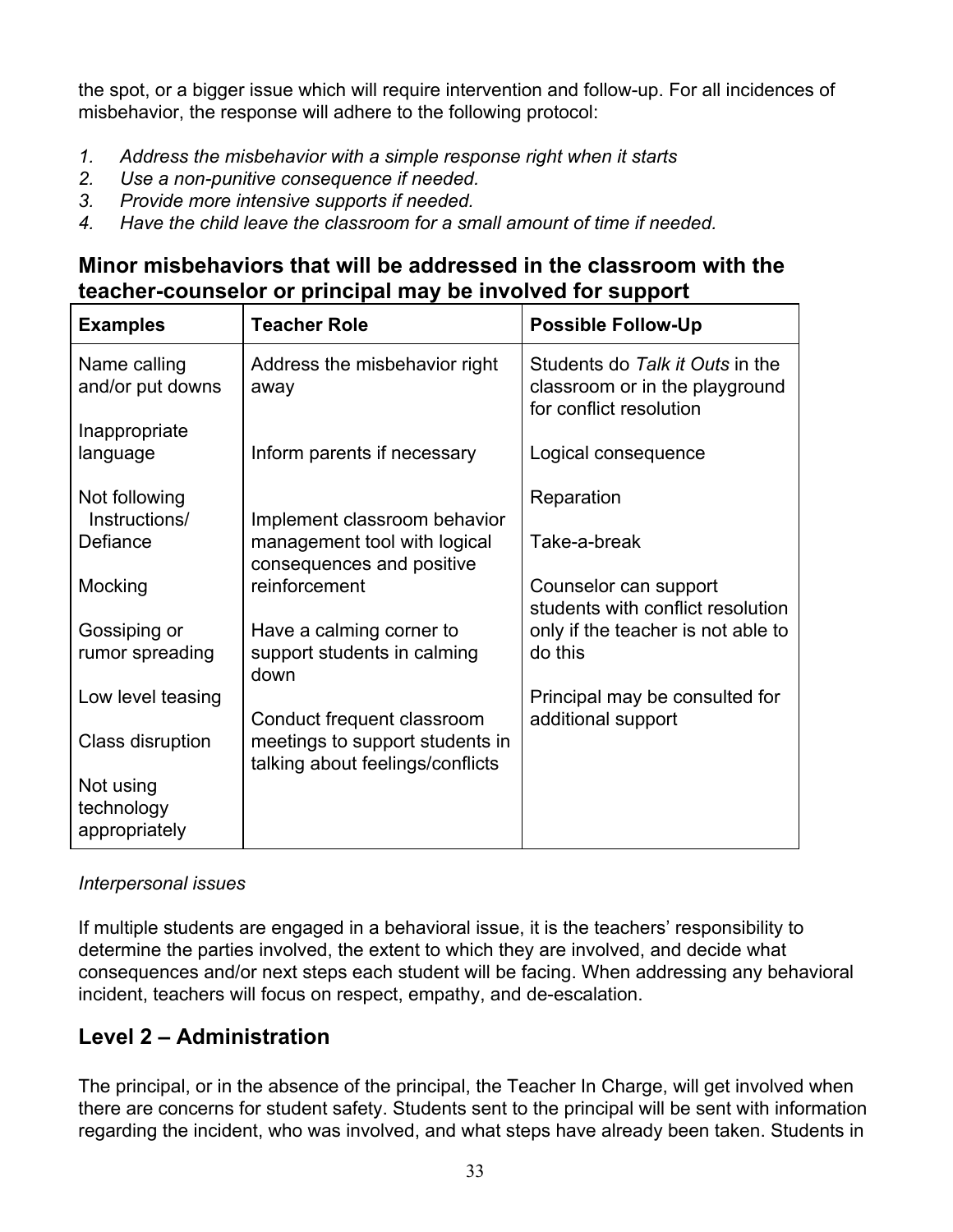the spot, or a bigger issue which will require intervention and follow-up. For all incidences of misbehavior, the response will adhere to the following protocol:

- *1. Address the misbehavior with a simple response right when it starts*
- *2. Use a non-punitive consequence if needed.*
- *3. Provide more intensive supports if needed.*
- *4. Have the child leave the classroom for a small amount of time if needed.*

### **Minor misbehaviors that will be addressed in the classroom with the teacher-counselor or principal may be involved for support**

| <b>Examples</b>                          | <b>Teacher Role</b>                                                                               | <b>Possible Follow-Up</b>                                                                    |
|------------------------------------------|---------------------------------------------------------------------------------------------------|----------------------------------------------------------------------------------------------|
| Name calling<br>and/or put downs         | Address the misbehavior right<br>away                                                             | Students do Talk it Outs in the<br>classroom or in the playground<br>for conflict resolution |
| Inappropriate                            |                                                                                                   |                                                                                              |
| language                                 | Inform parents if necessary                                                                       | Logical consequence                                                                          |
| Not following<br>Instructions/           | Implement classroom behavior                                                                      | Reparation                                                                                   |
| Defiance                                 | management tool with logical<br>consequences and positive                                         | Take-a-break                                                                                 |
| Mocking                                  | reinforcement                                                                                     | Counselor can support<br>students with conflict resolution                                   |
| Gossiping or                             | Have a calming corner to                                                                          | only if the teacher is not able to                                                           |
| rumor spreading                          | support students in calming<br>down                                                               | do this                                                                                      |
| Low level teasing                        |                                                                                                   | Principal may be consulted for                                                               |
| Class disruption                         | Conduct frequent classroom<br>meetings to support students in<br>talking about feelings/conflicts | additional support                                                                           |
| Not using<br>technology<br>appropriately |                                                                                                   |                                                                                              |

#### *Interpersonal issues*

If multiple students are engaged in a behavioral issue, it is the teachers' responsibility to determine the parties involved, the extent to which they are involved, and decide what consequences and/or next steps each student will be facing. When addressing any behavioral incident, teachers will focus on respect, empathy, and de-escalation.

### **Level 2 – Administration**

The principal, or in the absence of the principal, the Teacher In Charge, will get involved when there are concerns for student safety. Students sent to the principal will be sent with information regarding the incident, who was involved, and what steps have already been taken. Students in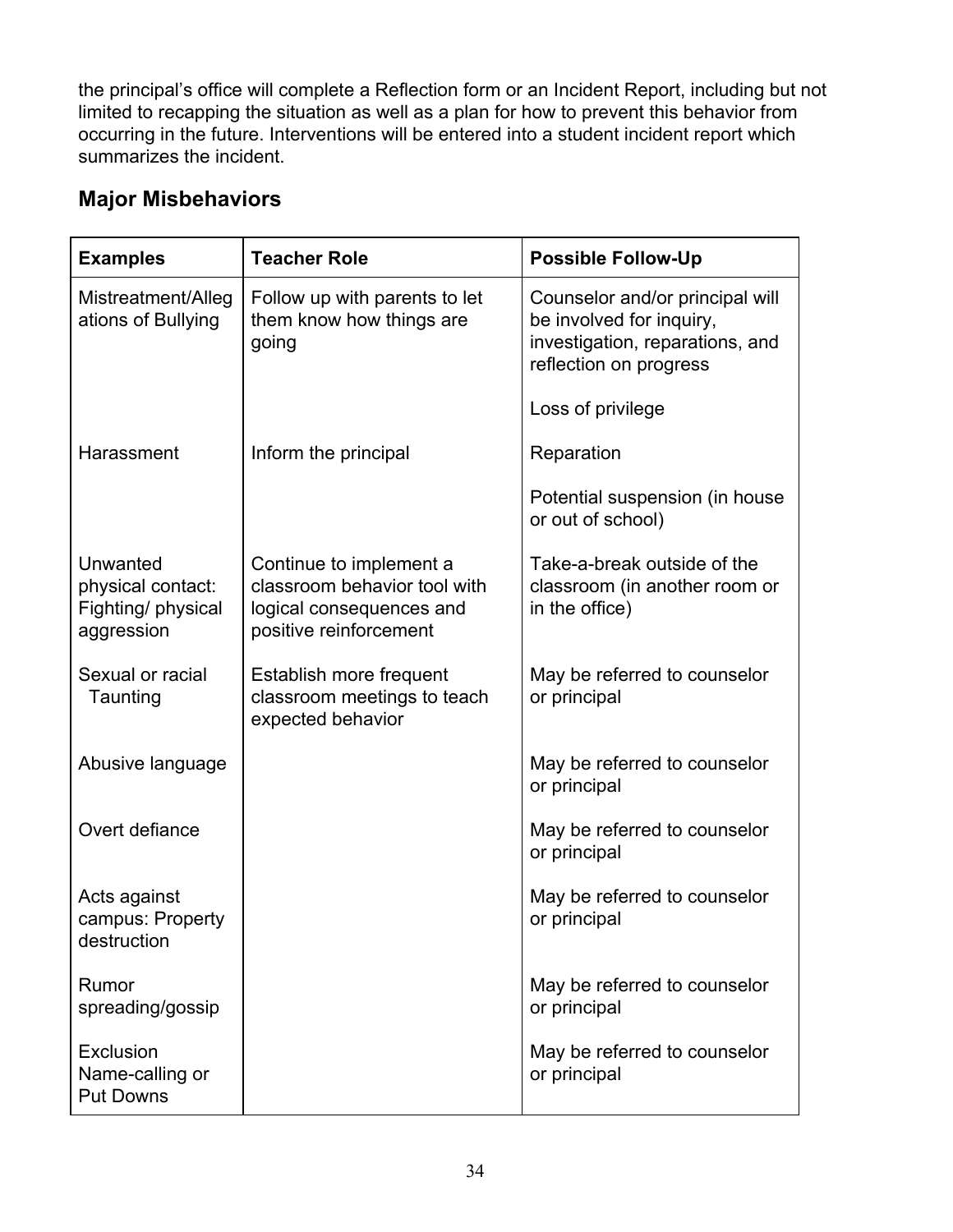the principal's office will complete a Reflection form or an Incident Report, including but not limited to recapping the situation as well as a plan for how to prevent this behavior from occurring in the future. Interventions will be entered into a student incident report which summarizes the incident.

# **Major Misbehaviors**

| <b>Examples</b>                                                   | <b>Teacher Role</b>                                                                                           | <b>Possible Follow-Up</b>                                                                                                |
|-------------------------------------------------------------------|---------------------------------------------------------------------------------------------------------------|--------------------------------------------------------------------------------------------------------------------------|
| Mistreatment/Alleg<br>ations of Bullying                          | Follow up with parents to let<br>them know how things are<br>going                                            | Counselor and/or principal will<br>be involved for inquiry,<br>investigation, reparations, and<br>reflection on progress |
|                                                                   |                                                                                                               | Loss of privilege                                                                                                        |
| Harassment                                                        | Inform the principal                                                                                          | Reparation                                                                                                               |
|                                                                   |                                                                                                               | Potential suspension (in house<br>or out of school)                                                                      |
| Unwanted<br>physical contact:<br>Fighting/ physical<br>aggression | Continue to implement a<br>classroom behavior tool with<br>logical consequences and<br>positive reinforcement | Take-a-break outside of the<br>classroom (in another room or<br>in the office)                                           |
| Sexual or racial<br>Taunting                                      | Establish more frequent<br>classroom meetings to teach<br>expected behavior                                   | May be referred to counselor<br>or principal                                                                             |
| Abusive language                                                  |                                                                                                               | May be referred to counselor<br>or principal                                                                             |
| Overt defiance                                                    |                                                                                                               | May be referred to counselor<br>or principal                                                                             |
| Acts against<br>campus: Property<br>destruction                   |                                                                                                               | May be referred to counselor<br>or principal                                                                             |
| Rumor<br>spreading/gossip                                         |                                                                                                               | May be referred to counselor<br>or principal                                                                             |
| Exclusion<br>Name-calling or<br><b>Put Downs</b>                  |                                                                                                               | May be referred to counselor<br>or principal                                                                             |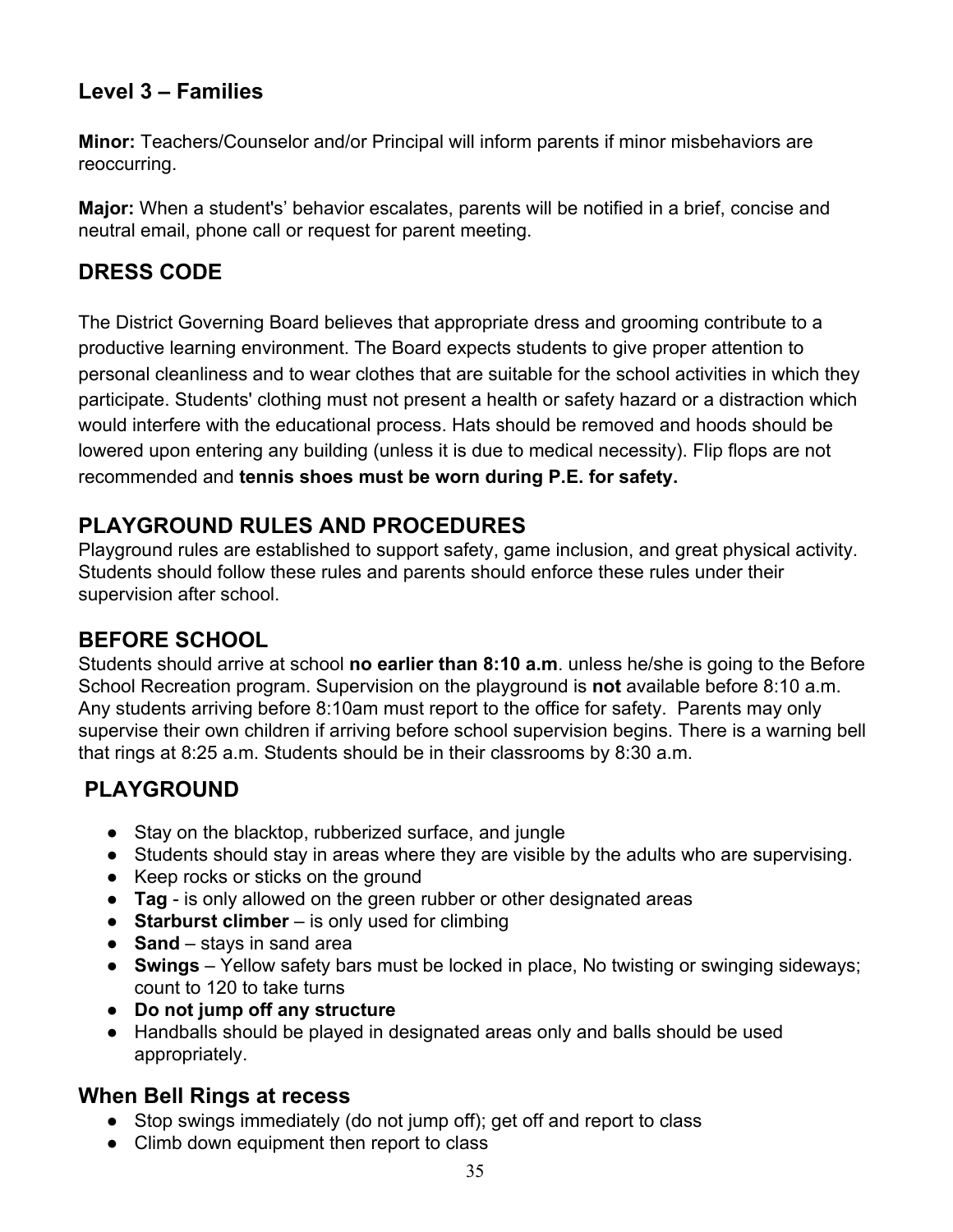### **Level 3 – Families**

**Minor:** Teachers/Counselor and/or Principal will inform parents if minor misbehaviors are reoccurring.

**Major:** When a student's' behavior escalates, parents will be notified in a brief, concise and neutral email, phone call or request for parent meeting.

## **DRESS CODE**

The District Governing Board believes that appropriate dress and grooming contribute to a productive learning environment. The Board expects students to give proper attention to personal cleanliness and to wear clothes that are suitable for the school activities in which they participate. Students' clothing must not present a health or safety hazard or a distraction which would interfere with the educational process. Hats should be removed and hoods should be lowered upon entering any building (unless it is due to medical necessity). Flip flops are not recommended and **tennis shoes must be worn during P.E. for safety.**

### **PLAYGROUND RULES AND PROCEDURES**

Playground rules are established to support safety, game inclusion, and great physical activity. Students should follow these rules and parents should enforce these rules under their supervision after school.

### **BEFORE SCHOOL**

Students should arrive at school **no earlier than 8:10 a.m**. unless he/she is going to the Before School Recreation program. Supervision on the playground is **not** available before 8:10 a.m. Any students arriving before 8:10am must report to the office for safety. Parents may only supervise their own children if arriving before school supervision begins. There is a warning bell that rings at 8:25 a.m. Students should be in their classrooms by 8:30 a.m.

# **PLAYGROUND**

- Stay on the blacktop, rubberized surface, and jungle
- Students should stay in areas where they are visible by the adults who are supervising.
- Keep rocks or sticks on the ground
- **Tag** is only allowed on the green rubber or other designated areas
- **Starburst climber** is only used for climbing
- **Sand**  stays in sand area
- **Swings**  Yellow safety bars must be locked in place, No twisting or swinging sideways; count to 120 to take turns
- **Do not jump off any structure**
- Handballs should be played in designated areas only and balls should be used appropriately.

### **When Bell Rings at recess**

- Stop swings immediately (do not jump off); get off and report to class
- Climb down equipment then report to class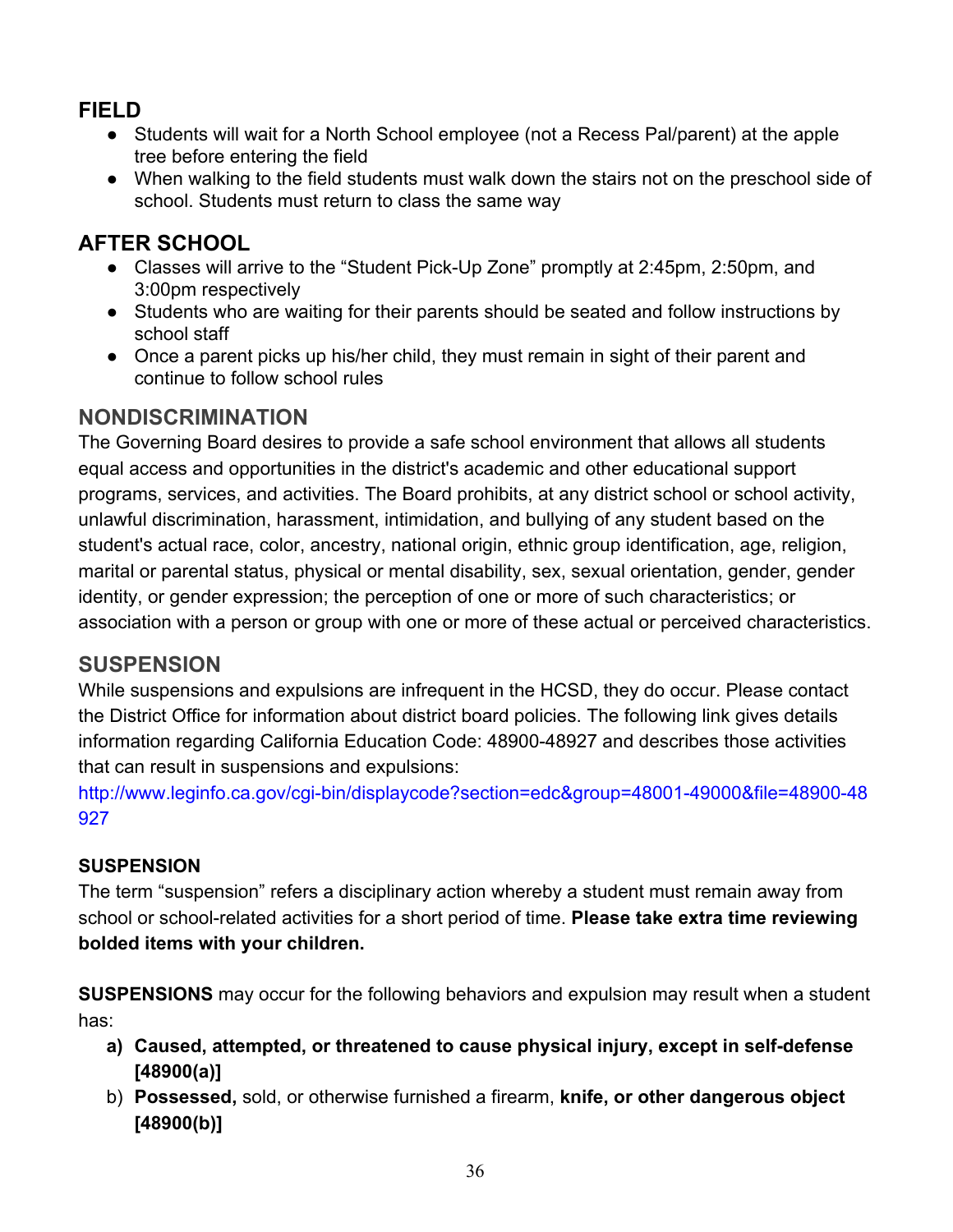# **FIELD**

- Students will wait for a North School employee (not a Recess Pal/parent) at the apple tree before entering the field
- When walking to the field students must walk down the stairs not on the preschool side of school. Students must return to class the same way

# **AFTER SCHOOL**

- Classes will arrive to the "Student Pick-Up Zone" promptly at 2:45pm, 2:50pm, and 3:00pm respectively
- Students who are waiting for their parents should be seated and follow instructions by school staff
- Once a parent picks up his/her child, they must remain in sight of their parent and continue to follow school rules

### **NONDISCRIMINATION**

The Governing Board desires to provide a safe school environment that allows all students equal access and opportunities in the district's academic and other educational support programs, services, and activities. The Board prohibits, at any district school or school activity, unlawful discrimination, harassment, intimidation, and bullying of any student based on the student's actual race, color, ancestry, national origin, ethnic group identification, age, religion, marital or parental status, physical or mental disability, sex, sexual orientation, gender, gender identity, or gender expression; the perception of one or more of such characteristics; or association with a person or group with one or more of these actual or perceived characteristics.

### **SUSPENSION**

While suspensions and expulsions are infrequent in the HCSD, they do occur. Please contact the District Office for information about district board policies. The following link gives details information regarding California Education Code: 48900-48927 and describes those activities that can result in suspensions and expulsions:

[http://www.leginfo.ca.gov/cgi-bin/displaycode?section=edc&group=48001-49000&file=48900-48](http://www.leginfo.ca.gov/cgi-bin/displaycode?section=edc&group=48001-49000&file=48900-48927) [927](http://www.leginfo.ca.gov/cgi-bin/displaycode?section=edc&group=48001-49000&file=48900-48927)

### **SUSPENSION**

The term "suspension" refers a disciplinary action whereby a student must remain away from school or school-related activities for a short period of time. **Please take extra time reviewing bolded items with your children.**

**SUSPENSIONS** may occur for the following behaviors and expulsion may result when a student has:

- **a) Caused, attempted, or threatened to cause physical injury, except in self-defense [48900(a)]**
- b) **Possessed,** sold, or otherwise furnished a firearm, **knife, or other dangerous object [48900(b)]**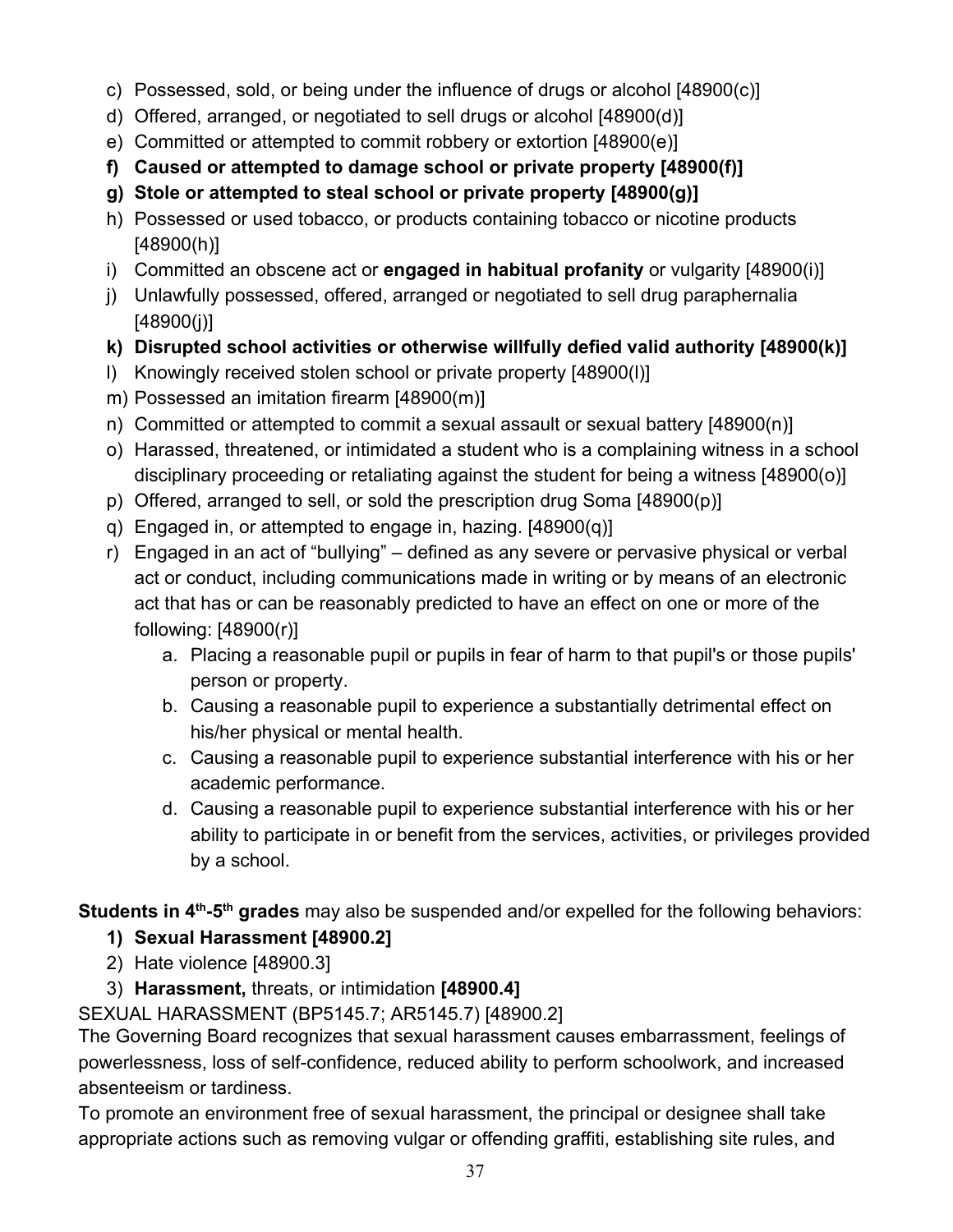- c) Possessed, sold, or being under the influence of drugs or alcohol [48900(c)]
- d) Offered, arranged, or negotiated to sell drugs or alcohol [48900(d)]
- e) Committed or attempted to commit robbery or extortion [48900(e)]
- **f) Caused or attempted to damage school or private property [48900(f)]**
- **g) Stole or attempted to steal school or private property [48900(g)]**
- h) Possessed or used tobacco, or products containing tobacco or nicotine products [48900(h)]
- i) Committed an obscene act or **engaged in habitual profanity** or vulgarity [48900(i)]
- j) Unlawfully possessed, offered, arranged or negotiated to sell drug paraphernalia [48900(j)]
- **k) Disrupted school activities or otherwise willfully defied valid authority [48900(k)]**
- l) Knowingly received stolen school or private property [48900(l)]
- m) Possessed an imitation firearm [48900(m)]
- n) Committed or attempted to commit a sexual assault or sexual battery [48900(n)]
- o) Harassed, threatened, or intimidated a student who is a complaining witness in a school disciplinary proceeding or retaliating against the student for being a witness [48900(o)]
- p) Offered, arranged to sell, or sold the prescription drug Soma [48900(p)]
- q) Engaged in, or attempted to engage in, hazing. [48900(q)]
- r) Engaged in an act of "bullying" defined as any severe or pervasive physical or verbal act or conduct, including communications made in writing or by means of an electronic act that has or can be reasonably predicted to have an effect on one or more of the following: [48900(r)]
	- a. Placing a reasonable pupil or pupils in fear of harm to that pupil's or those pupils' person or property.
	- b. Causing a reasonable pupil to experience a substantially detrimental effect on his/her physical or mental health.
	- c. Causing a reasonable pupil to experience substantial interference with his or her academic performance.
	- d. Causing a reasonable pupil to experience substantial interference with his or her ability to participate in or benefit from the services, activities, or privileges provided by a school.

**Students in 4<sup>th</sup>-5<sup>th</sup> grades** may also be suspended and/or expelled for the following behaviors:

### **1) Sexual Harassment [48900.2]**

- 2) Hate violence [48900.3]
- 3) **Harassment,** threats, or intimidation **[48900.4]**

SEXUAL HARASSMENT (BP5145.7; AR5145.7) [48900.2]

The Governing Board recognizes that sexual harassment causes embarrassment, feelings of powerlessness, loss of self-confidence, reduced ability to perform schoolwork, and increased absenteeism or tardiness.

To promote an environment free of sexual harassment, the principal or designee shall take appropriate actions such as removing vulgar or offending graffiti, establishing site rules, and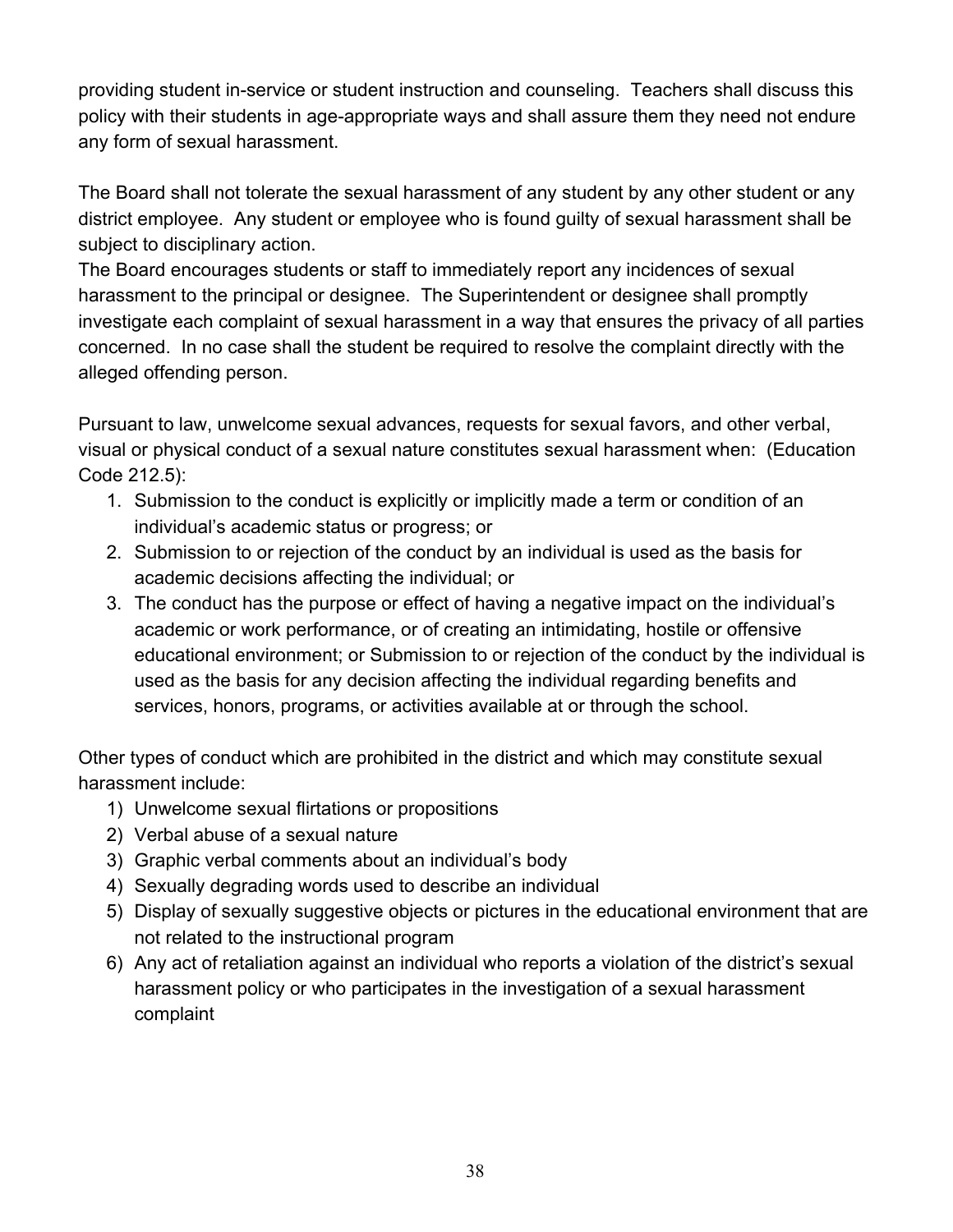providing student in-service or student instruction and counseling. Teachers shall discuss this policy with their students in age-appropriate ways and shall assure them they need not endure any form of sexual harassment.

The Board shall not tolerate the sexual harassment of any student by any other student or any district employee. Any student or employee who is found guilty of sexual harassment shall be subject to disciplinary action.

The Board encourages students or staff to immediately report any incidences of sexual harassment to the principal or designee. The Superintendent or designee shall promptly investigate each complaint of sexual harassment in a way that ensures the privacy of all parties concerned. In no case shall the student be required to resolve the complaint directly with the alleged offending person.

Pursuant to law, unwelcome sexual advances, requests for sexual favors, and other verbal, visual or physical conduct of a sexual nature constitutes sexual harassment when: (Education Code 212.5):

- 1. Submission to the conduct is explicitly or implicitly made a term or condition of an individual's academic status or progress; or
- 2. Submission to or rejection of the conduct by an individual is used as the basis for academic decisions affecting the individual; or
- 3. The conduct has the purpose or effect of having a negative impact on the individual's academic or work performance, or of creating an intimidating, hostile or offensive educational environment; or Submission to or rejection of the conduct by the individual is used as the basis for any decision affecting the individual regarding benefits and services, honors, programs, or activities available at or through the school.

Other types of conduct which are prohibited in the district and which may constitute sexual harassment include:

- 1) Unwelcome sexual flirtations or propositions
- 2) Verbal abuse of a sexual nature
- 3) Graphic verbal comments about an individual's body
- 4) Sexually degrading words used to describe an individual
- 5) Display of sexually suggestive objects or pictures in the educational environment that are not related to the instructional program
- 6) Any act of retaliation against an individual who reports a violation of the district's sexual harassment policy or who participates in the investigation of a sexual harassment complaint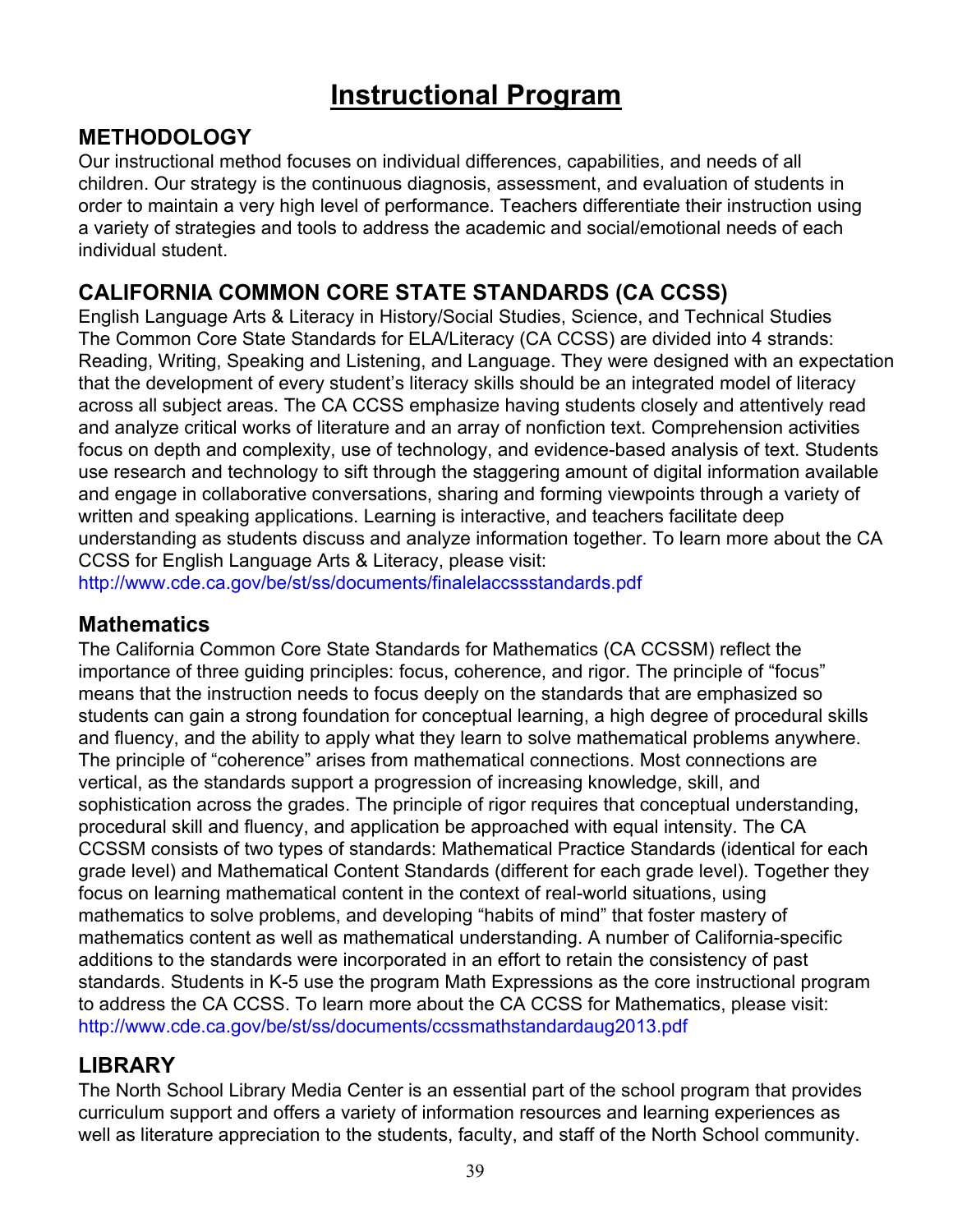# **Instructional Program**

### **METHODOLOGY**

Our instructional method focuses on individual differences, capabilities, and needs of all children. Our strategy is the continuous diagnosis, assessment, and evaluation of students in order to maintain a very high level of performance. Teachers differentiate their instruction using a variety of strategies and tools to address the academic and social/emotional needs of each individual student.

### **CALIFORNIA COMMON CORE STATE STANDARDS (CA CCSS)**

English Language Arts & Literacy in History/Social Studies, Science, and Technical Studies The Common Core State Standards for ELA/Literacy (CA CCSS) are divided into 4 strands: Reading, Writing, Speaking and Listening, and Language. They were designed with an expectation that the development of every student's literacy skills should be an integrated model of literacy across all subject areas. The CA CCSS emphasize having students closely and attentively read and analyze critical works of literature and an array of nonfiction text. Comprehension activities focus on depth and complexity, use of technology, and evidence-based analysis of text. Students use research and technology to sift through the staggering amount of digital information available and engage in collaborative conversations, sharing and forming viewpoints through a variety of written and speaking applications. Learning is interactive, and teachers facilitate deep understanding as students discuss and analyze information together. To learn more about the CA CCSS for English Language Arts & Literacy, please visit:

<http://www.cde.ca.gov/be/st/ss/documents/finalelaccssstandards.pdf>

### **Mathematics**

The California Common Core State Standards for Mathematics (CA CCSSM) reflect the importance of three guiding principles: focus, coherence, and rigor. The principle of "focus" means that the instruction needs to focus deeply on the standards that are emphasized so students can gain a strong foundation for conceptual learning, a high degree of procedural skills and fluency, and the ability to apply what they learn to solve mathematical problems anywhere. The principle of "coherence" arises from mathematical connections. Most connections are vertical, as the standards support a progression of increasing knowledge, skill, and sophistication across the grades. The principle of rigor requires that conceptual understanding, procedural skill and fluency, and application be approached with equal intensity. The CA CCSSM consists of two types of standards: Mathematical Practice Standards (identical for each grade level) and Mathematical Content Standards (different for each grade level). Together they focus on learning mathematical content in the context of real-world situations, using mathematics to solve problems, and developing "habits of mind" that foster mastery of mathematics content as well as mathematical understanding. A number of California-specific additions to the standards were incorporated in an effort to retain the consistency of past standards. Students in K-5 use the program Math Expressions as the core instructional program to address the CA CCSS. To learn more about the CA CCSS for Mathematics, please visit: <http://www.cde.ca.gov/be/st/ss/documents/ccssmathstandardaug2013.pdf>

### **LIBRARY**

The North School Library Media Center is an essential part of the school program that provides curriculum support and offers a variety of information resources and learning experiences as well as literature appreciation to the students, faculty, and staff of the North School community.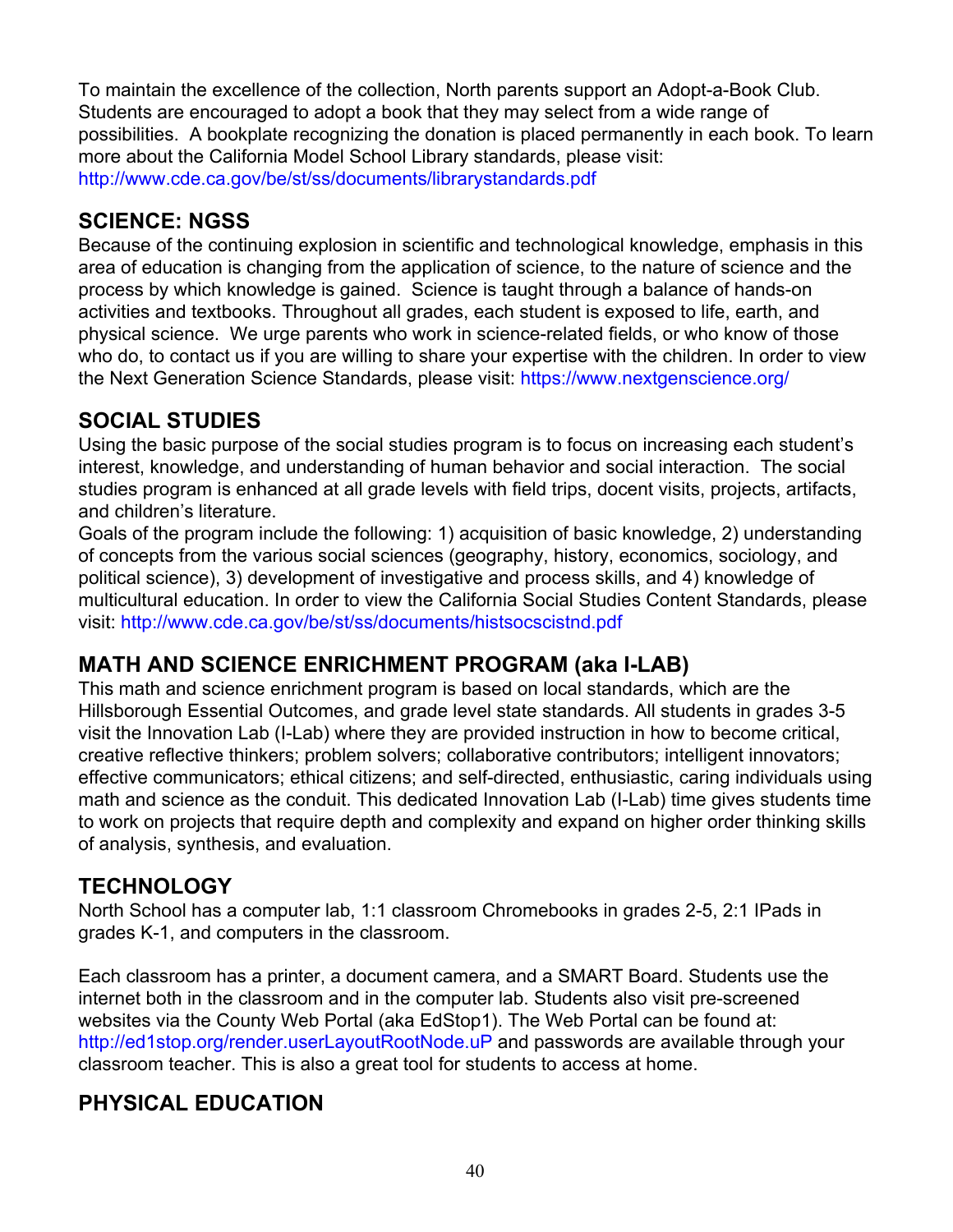To maintain the excellence of the collection, North parents support an Adopt-a-Book Club. Students are encouraged to adopt a book that they may select from a wide range of possibilities. A bookplate recognizing the donation is placed permanently in each book. To learn more about the California Model School Library standards, please visit: <http://www.cde.ca.gov/be/st/ss/documents/librarystandards.pdf>

### **SCIENCE: NGSS**

Because of the continuing explosion in scientific and technological knowledge, emphasis in this area of education is changing from the application of science, to the nature of science and the process by which knowledge is gained. Science is taught through a balance of hands-on activities and textbooks. Throughout all grades, each student is exposed to life, earth, and physical science. We urge parents who work in science-related fields, or who know of those who do, to contact us if you are willing to share your expertise with the children. In order to view the Next Generation Science Standards, please visit:<https://www.nextgenscience.org/>

### **SOCIAL STUDIES**

Using the basic purpose of the social studies program is to focus on increasing each student's interest, knowledge, and understanding of human behavior and social interaction. The social studies program is enhanced at all grade levels with field trips, docent visits, projects, artifacts, and children's literature.

Goals of the program include the following: 1) acquisition of basic knowledge, 2) understanding of concepts from the various social sciences (geography, history, economics, sociology, and political science), 3) development of investigative and process skills, and 4) knowledge of multicultural education. In order to view the California Social Studies Content Standards, please visit: <http://www.cde.ca.gov/be/st/ss/documents/histsocscistnd.pdf>

### **MATH AND SCIENCE ENRICHMENT PROGRAM (aka I-LAB)**

This math and science enrichment program is based on local standards, which are the Hillsborough Essential Outcomes, and grade level state standards. All students in grades 3-5 visit the Innovation Lab (I-Lab) where they are provided instruction in how to become critical, creative reflective thinkers; problem solvers; collaborative contributors; intelligent innovators; effective communicators; ethical citizens; and self-directed, enthusiastic, caring individuals using math and science as the conduit. This dedicated Innovation Lab (I-Lab) time gives students time to work on projects that require depth and complexity and expand on higher order thinking skills of analysis, synthesis, and evaluation.

### **TECHNOLOGY**

North School has a computer lab, 1:1 classroom Chromebooks in grades 2-5, 2:1 IPads in grades K-1, and computers in the classroom.

Each classroom has a printer, a document camera, and a SMART Board. Students use the internet both in the classroom and in the computer lab. Students also visit pre-screened websites via the County Web Portal (aka EdStop1). The Web Portal can be found at: [http://ed1stop.org/render.userLayoutRootNode.uP](https://hcsd-exchange.hcsd.k12.ca.us/owa/redir.aspx?C=v3cGDwLdOE2bYko9WiD19RO-rPDczNIIQCJDs767CIguDiCa5CCYDuu8H_2QGJJf47tkbrHEar4.&URL=http%3a%2f%2fed1stop.org%2frender.userLayoutRootNode.uP) and passwords are available through your classroom teacher. This is also a great tool for students to access at home.

# **PHYSICAL EDUCATION**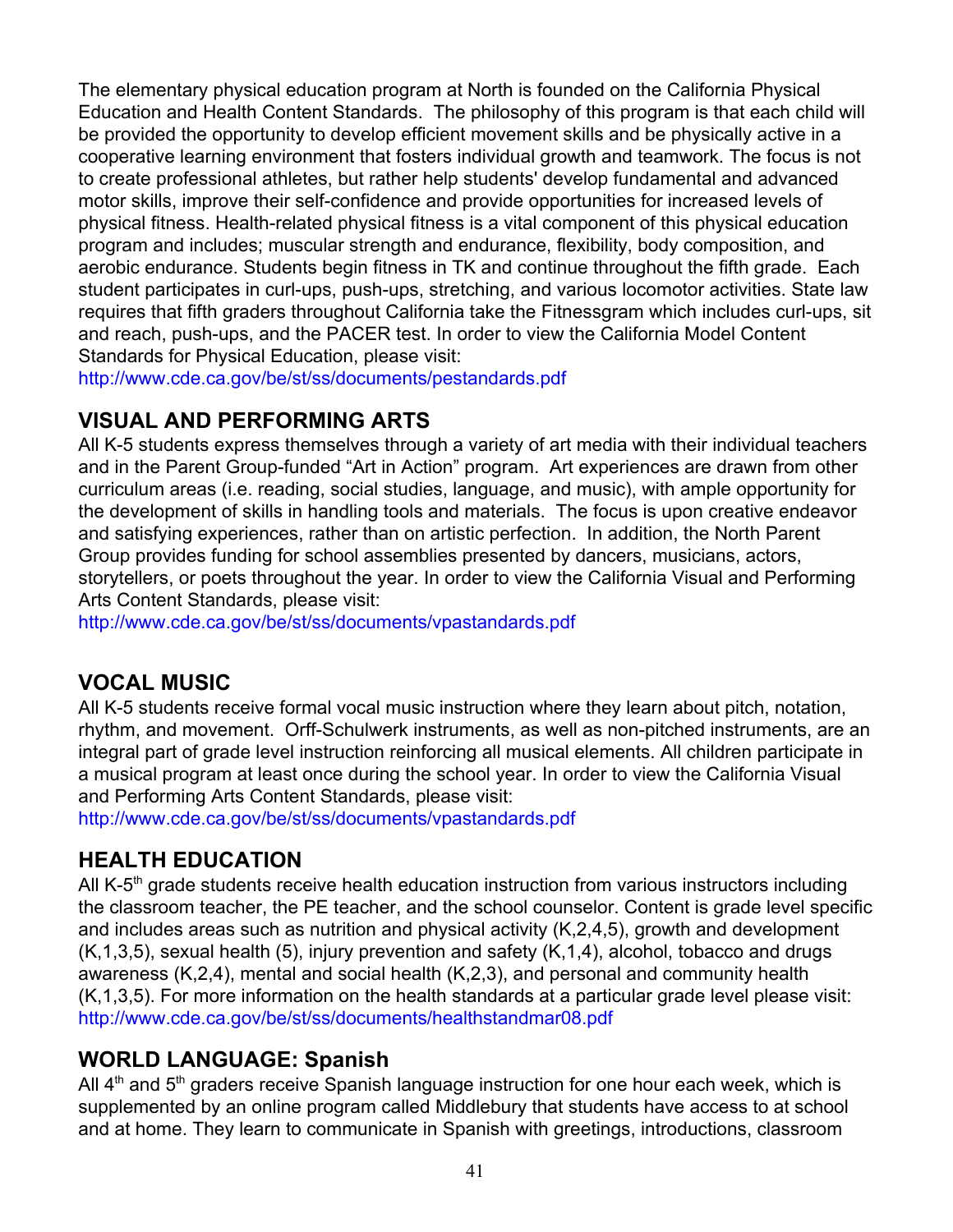The elementary physical education program at North is founded on the California Physical Education and Health Content Standards. The philosophy of this program is that each child will be provided the opportunity to develop efficient movement skills and be physically active in a cooperative learning environment that fosters individual growth and teamwork. The focus is not to create professional athletes, but rather help students' develop fundamental and advanced motor skills, improve their self-confidence and provide opportunities for increased levels of physical fitness. Health-related physical fitness is a vital component of this physical education program and includes; muscular strength and endurance, flexibility, body composition, and aerobic endurance. Students begin fitness in TK and continue throughout the fifth grade. Each student participates in curl-ups, push-ups, stretching, and various locomotor activities. State law requires that fifth graders throughout California take the Fitnessgram which includes curl-ups, sit and reach, push-ups, and the PACER test. In order to view the California Model Content Standards for Physical Education, please visit:

<http://www.cde.ca.gov/be/st/ss/documents/pestandards.pdf>

### **VISUAL AND PERFORMING ARTS**

All K-5 students express themselves through a variety of art media with their individual teachers and in the Parent Group-funded "Art in Action" program. Art experiences are drawn from other curriculum areas (i.e. reading, social studies, language, and music), with ample opportunity for the development of skills in handling tools and materials. The focus is upon creative endeavor and satisfying experiences, rather than on artistic perfection. In addition, the North Parent Group provides funding for school assemblies presented by dancers, musicians, actors, storytellers, or poets throughout the year. In order to view the California Visual and Performing Arts Content Standards, please visit:

<http://www.cde.ca.gov/be/st/ss/documents/vpastandards.pdf>

### **VOCAL MUSIC**

All K-5 students receive formal vocal music instruction where they learn about pitch, notation, rhythm, and movement. Orff-Schulwerk instruments, as well as non-pitched instruments, are an integral part of grade level instruction reinforcing all musical elements. All children participate in a musical program at least once during the school year. In order to view the California Visual and Performing Arts Content Standards, please visit:

<http://www.cde.ca.gov/be/st/ss/documents/vpastandards.pdf>

### **HEALTH EDUCATION**

All K-5<sup>th</sup> grade students receive health education instruction from various instructors including the classroom teacher, the PE teacher, and the school counselor. Content is grade level specific and includes areas such as nutrition and physical activity (K,2,4,5), growth and development (K,1,3,5), sexual health (5), injury prevention and safety (K,1,4), alcohol, tobacco and drugs awareness (K,2,4), mental and social health (K,2,3), and personal and community health (K,1,3,5). For more information on the health standards at a particular grade level please visit: <http://www.cde.ca.gov/be/st/ss/documents/healthstandmar08.pdf>

### **WORLD LANGUAGE: Spanish**

All  $4<sup>th</sup>$  and  $5<sup>th</sup>$  graders receive Spanish language instruction for one hour each week, which is supplemented by an online program called Middlebury that students have access to at school and at home. They learn to communicate in Spanish with greetings, introductions, classroom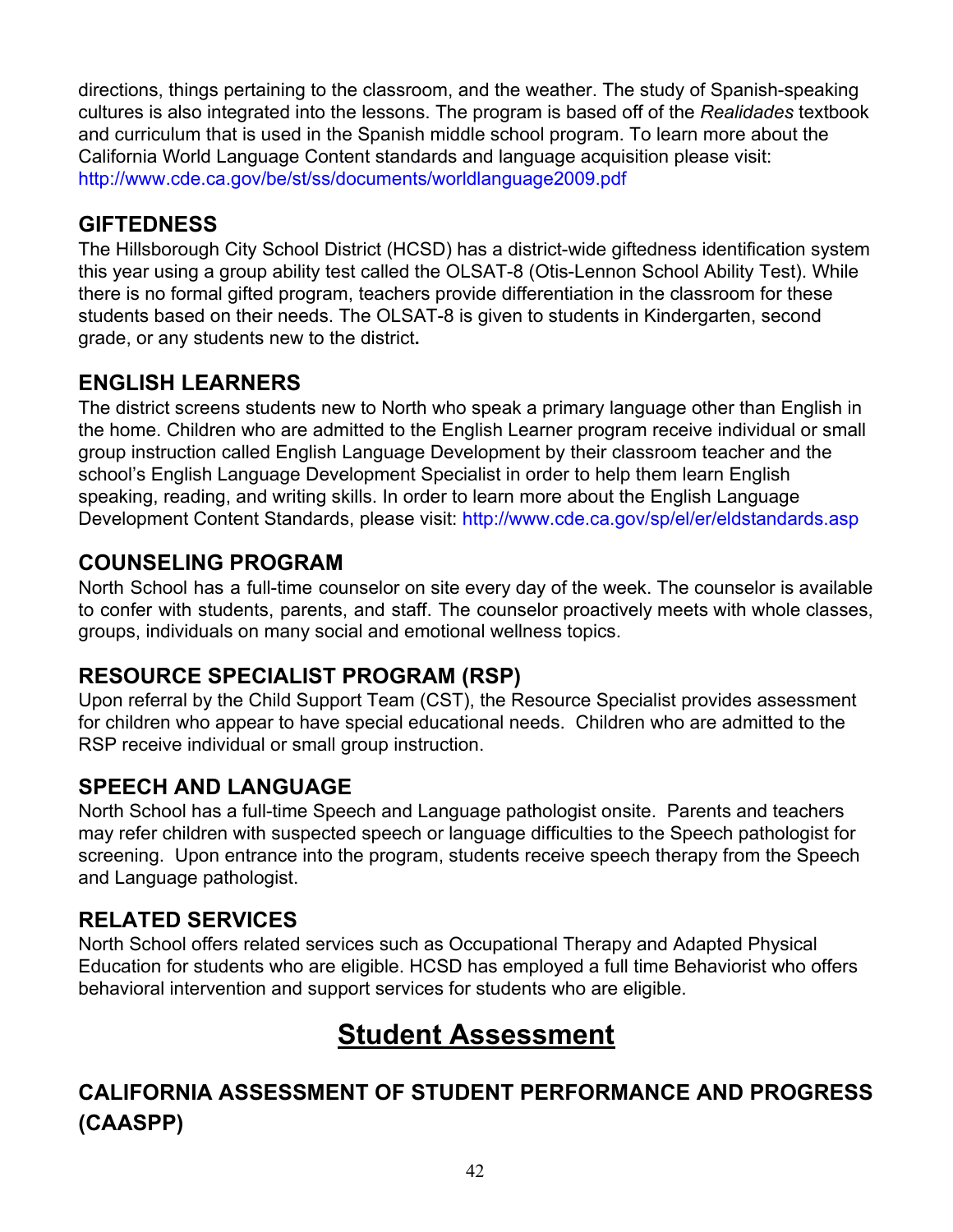directions, things pertaining to the classroom, and the weather. The study of Spanish-speaking cultures is also integrated into the lessons. The program is based off of the *Realidades* textbook and curriculum that is used in the Spanish middle school program. To learn more about the California World Language Content standards and language acquisition please visit: <http://www.cde.ca.gov/be/st/ss/documents/worldlanguage2009.pdf>

# **GIFTEDNESS**

The Hillsborough City School District (HCSD) has a district-wide giftedness identification system this year using a group ability test called the OLSAT-8 (Otis-Lennon School Ability Test). While there is no formal gifted program, teachers provide differentiation in the classroom for these students based on their needs. The OLSAT-8 is given to students in Kindergarten, second grade, or any students new to the district**.**

# **ENGLISH LEARNERS**

The district screens students new to North who speak a primary language other than English in the home. Children who are admitted to the English Learner program receive individual or small group instruction called English Language Development by their classroom teacher and the school's English Language Development Specialist in order to help them learn English speaking, reading, and writing skills. In order to learn more about the English Language Development Content Standards, please visit:<http://www.cde.ca.gov/sp/el/er/eldstandards.asp>

## **COUNSELING PROGRAM**

North School has a full-time counselor on site every day of the week. The counselor is available to confer with students, parents, and staff. The counselor proactively meets with whole classes, groups, individuals on many social and emotional wellness topics.

# **RESOURCE SPECIALIST PROGRAM (RSP)**

Upon referral by the Child Support Team (CST), the Resource Specialist provides assessment for children who appear to have special educational needs. Children who are admitted to the RSP receive individual or small group instruction.

### **SPEECH AND LANGUAGE**

North School has a full-time Speech and Language pathologist onsite. Parents and teachers may refer children with suspected speech or language difficulties to the Speech pathologist for screening. Upon entrance into the program, students receive speech therapy from the Speech and Language pathologist.

### **RELATED SERVICES**

North School offers related services such as Occupational Therapy and Adapted Physical Education for students who are eligible. HCSD has employed a full time Behaviorist who offers behavioral intervention and support services for students who are eligible.

# **Student Assessment**

# **CALIFORNIA ASSESSMENT OF STUDENT PERFORMANCE AND PROGRESS (CAASPP)**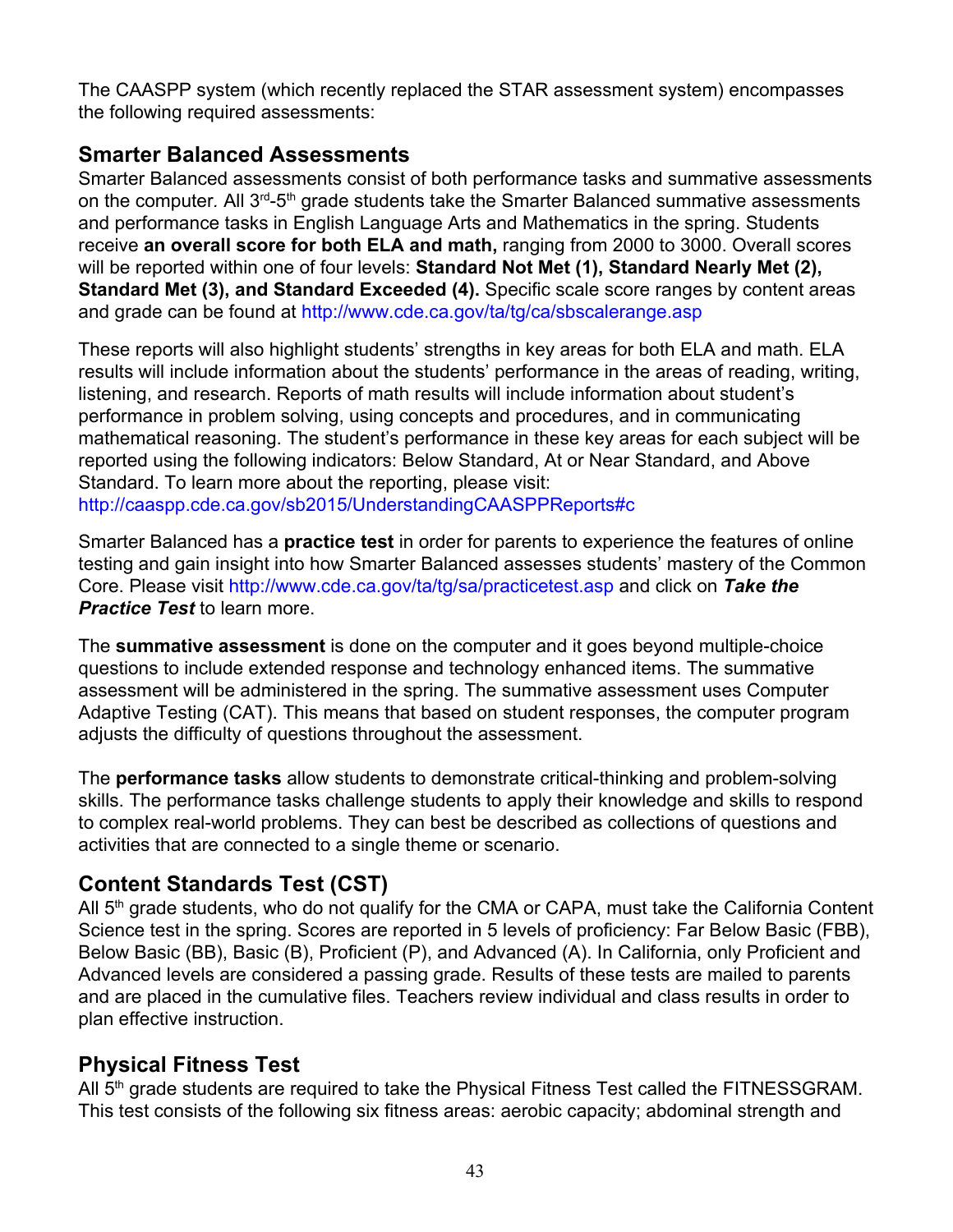The CAASPP system (which recently replaced the STAR assessment system) encompasses the following required assessments:

### **Smarter Balanced Assessments**

Smarter Balanced assessments consist of both performance tasks and summative assessments on the computer. All 3<sup>rd</sup>-5<sup>th</sup> grade students take the Smarter Balanced summative assessments and performance tasks in English Language Arts and Mathematics in the spring. Students receive **an overall score for both ELA and math,** ranging from 2000 to 3000. Overall scores will be reported within one of four levels: **Standard Not Met (1), Standard Nearly Met (2), Standard Met (3), and Standard Exceeded (4).** Specific scale score ranges by content areas and grade can be found at <http://www.cde.ca.gov/ta/tg/ca/sbscalerange.asp>

These reports will also highlight students' strengths in key areas for both ELA and math. ELA results will include information about the students' performance in the areas of reading, writing, listening, and research. Reports of math results will include information about student's performance in problem solving, using concepts and procedures, and in communicating mathematical reasoning. The student's performance in these key areas for each subject will be reported using the following indicators: Below Standard, At or Near Standard, and Above Standard. To learn more about the reporting, please visit:

<http://caaspp.cde.ca.gov/sb2015/UnderstandingCAASPPReports#c>

Smarter Balanced has a **practice test** in order for parents to experience the features of online testing and gain insight into how Smarter Balanced assesses students' mastery of the Common Core. Please visit<http://www.cde.ca.gov/ta/tg/sa/practicetest.asp> and click on *Take the Practice Test* to learn more.

The **summative assessment** is done on the computer and it goes beyond multiple-choice questions to include extended response and technology enhanced items. The summative assessment will be administered in the spring. The summative assessment uses [Computer](http://www.smarterbalanced.org/smarter-balanced-assessments/computer-adaptive-testing/) [Adaptive Testing \(CAT\)](http://www.smarterbalanced.org/smarter-balanced-assessments/computer-adaptive-testing/). This means that based on student responses, the computer program adjusts the difficulty of questions throughout the assessment.

The **performance tasks** allow students to demonstrate critical-thinking and problem-solving skills. The performance tasks challenge students to apply their knowledge and skills to respond to complex real-world problems. They can best be described as collections of questions and activities that are connected to a single theme or scenario.

# **Content Standards Test (CST)**

All 5<sup>th</sup> grade students, who do not qualify for the CMA or CAPA, must take the California Content Science test in the spring. Scores are reported in 5 levels of proficiency: Far Below Basic (FBB), Below Basic (BB), Basic (B), Proficient (P), and Advanced (A). In California, only Proficient and Advanced levels are considered a passing grade. Results of these tests are mailed to parents and are placed in the cumulative files. Teachers review individual and class results in order to plan effective instruction.

### **Physical Fitness Test**

All 5<sup>th</sup> grade students are required to take the Physical Fitness Test called the FITNESSGRAM. This test consists of the following six fitness areas: aerobic capacity; abdominal strength and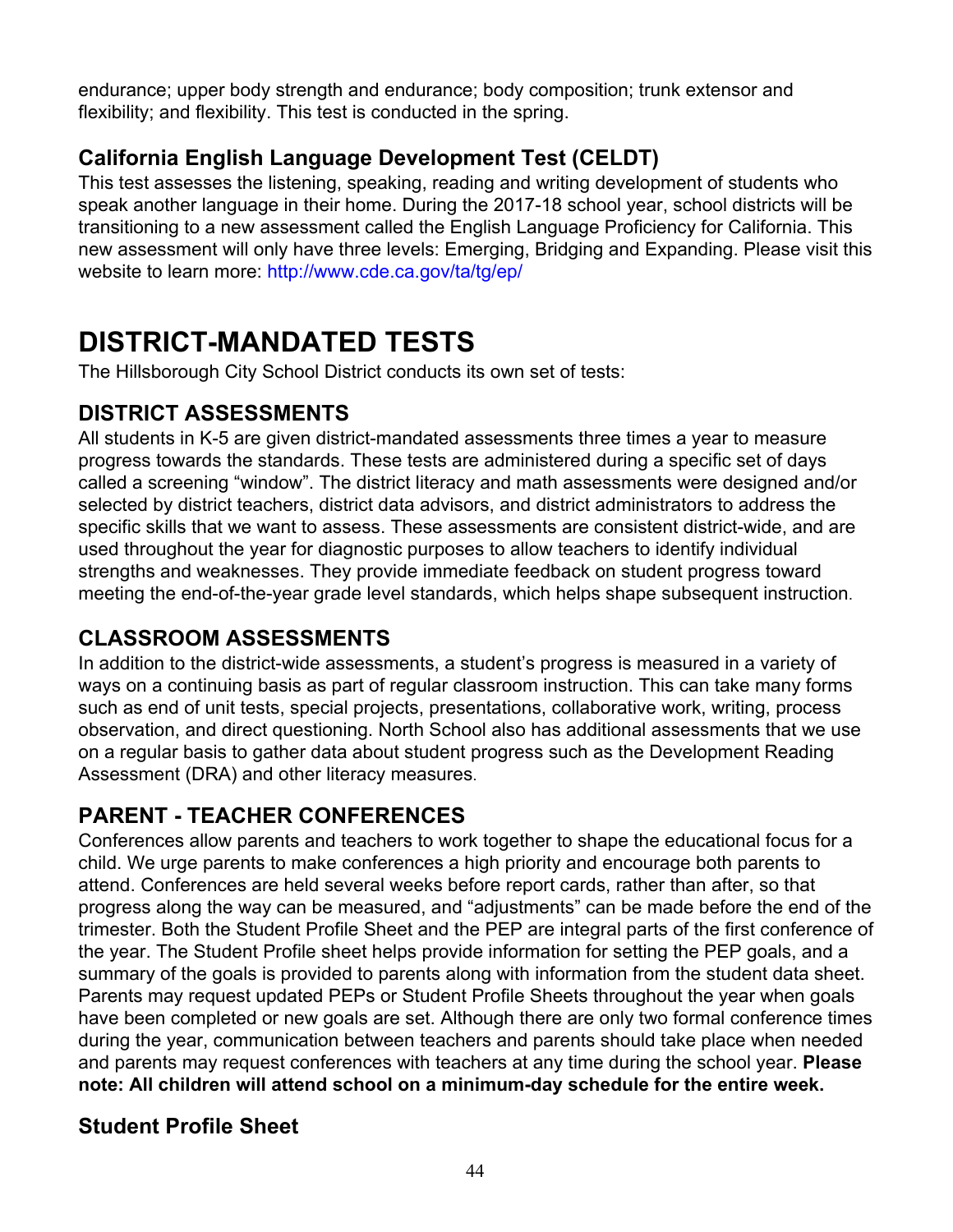endurance; upper body strength and endurance; body composition; trunk extensor and flexibility; and flexibility. This test is conducted in the spring.

## **California English Language Development Test (CELDT)**

This test assesses the listening, speaking, reading and writing development of students who speak another language in their home. During the 2017-18 school year, school districts will be transitioning to a new assessment called the English Language Proficiency for California. This new assessment will only have three levels: Emerging, Bridging and Expanding. Please visit this website to learn more: <http://www.cde.ca.gov/ta/tg/ep/>

# **DISTRICT-MANDATED TESTS**

The Hillsborough City School District conducts its own set of tests:

### **DISTRICT ASSESSMENTS**

All students in K-5 are given district-mandated assessments three times a year to measure progress towards the standards. These tests are administered during a specific set of days called a screening "window". The district literacy and math assessments were designed and/or selected by district teachers, district data advisors, and district administrators to address the specific skills that we want to assess. These assessments are consistent district-wide, and are used throughout the year for diagnostic purposes to allow teachers to identify individual strengths and weaknesses. They provide immediate feedback on student progress toward meeting the end-of-the-year grade level standards, which helps shape subsequent instruction.

### **CLASSROOM ASSESSMENTS**

In addition to the district-wide assessments, a student's progress is measured in a variety of ways on a continuing basis as part of regular classroom instruction. This can take many forms such as end of unit tests, special projects, presentations, collaborative work, writing, process observation, and direct questioning. North School also has additional assessments that we use on a regular basis to gather data about student progress such as the Development Reading Assessment (DRA) and other literacy measures.

# **PARENT - TEACHER CONFERENCES**

Conferences allow parents and teachers to work together to shape the educational focus for a child. We urge parents to make conferences a high priority and encourage both parents to attend. Conferences are held several weeks before report cards, rather than after, so that progress along the way can be measured, and "adjustments" can be made before the end of the trimester. Both the Student Profile Sheet and the PEP are integral parts of the first conference of the year. The Student Profile sheet helps provide information for setting the PEP goals, and a summary of the goals is provided to parents along with information from the student data sheet. Parents may request updated PEPs or Student Profile Sheets throughout the year when goals have been completed or new goals are set. Although there are only two formal conference times during the year, communication between teachers and parents should take place when needed and parents may request conferences with teachers at any time during the school year. **Please note: All children will attend school on a minimum-day schedule for the entire week.**

### **Student Profile Sheet**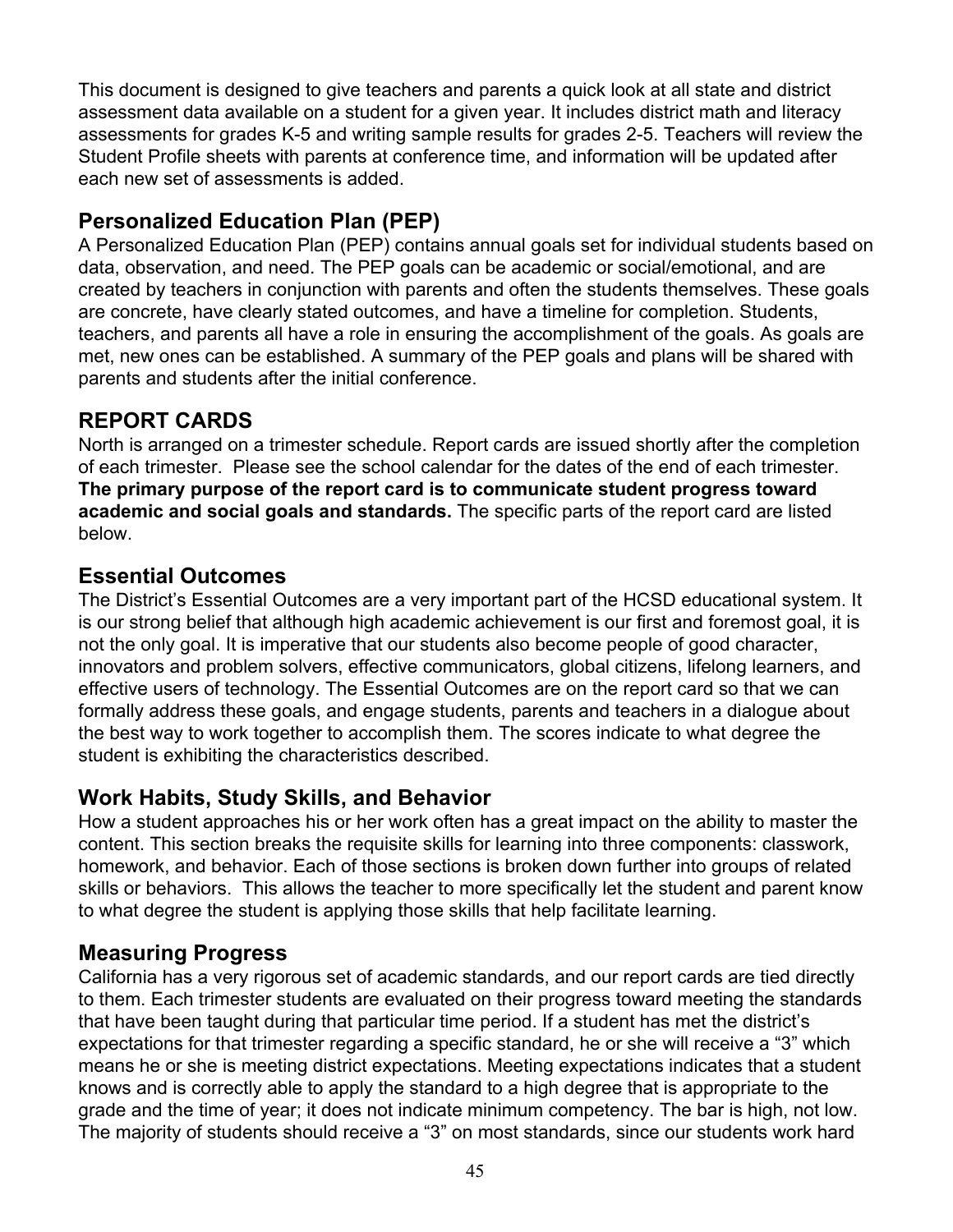This document is designed to give teachers and parents a quick look at all state and district assessment data available on a student for a given year. It includes district math and literacy assessments for grades K-5 and writing sample results for grades 2-5. Teachers will review the Student Profile sheets with parents at conference time, and information will be updated after each new set of assessments is added.

# **Personalized Education Plan (PEP)**

A Personalized Education Plan (PEP) contains annual goals set for individual students based on data, observation, and need. The PEP goals can be academic or social/emotional, and are created by teachers in conjunction with parents and often the students themselves. These goals are concrete, have clearly stated outcomes, and have a timeline for completion. Students, teachers, and parents all have a role in ensuring the accomplishment of the goals. As goals are met, new ones can be established. A summary of the PEP goals and plans will be shared with parents and students after the initial conference.

# **REPORT CARDS**

North is arranged on a trimester schedule. Report cards are issued shortly after the completion of each trimester. Please see the school calendar for the dates of the end of each trimester. **The primary purpose of the report card is to communicate student progress toward academic and social goals and standards.** The specific parts of the report card are listed below.

### **Essential Outcomes**

The District's Essential Outcomes are a very important part of the HCSD educational system. It is our strong belief that although high academic achievement is our first and foremost goal, it is not the only goal. It is imperative that our students also become people of good character, innovators and problem solvers, effective communicators, global citizens, lifelong learners, and effective users of technology. The Essential Outcomes are on the report card so that we can formally address these goals, and engage students, parents and teachers in a dialogue about the best way to work together to accomplish them. The scores indicate to what degree the student is exhibiting the characteristics described.

### **Work Habits, Study Skills, and Behavior**

How a student approaches his or her work often has a great impact on the ability to master the content. This section breaks the requisite skills for learning into three components: classwork, homework, and behavior. Each of those sections is broken down further into groups of related skills or behaviors. This allows the teacher to more specifically let the student and parent know to what degree the student is applying those skills that help facilitate learning.

### **Measuring Progress**

California has a very rigorous set of academic standards, and our report cards are tied directly to them. Each trimester students are evaluated on their progress toward meeting the standards that have been taught during that particular time period. If a student has met the district's expectations for that trimester regarding a specific standard, he or she will receive a "3" which means he or she is meeting district expectations. Meeting expectations indicates that a student knows and is correctly able to apply the standard to a high degree that is appropriate to the grade and the time of year; it does not indicate minimum competency. The bar is high, not low. The majority of students should receive a "3" on most standards, since our students work hard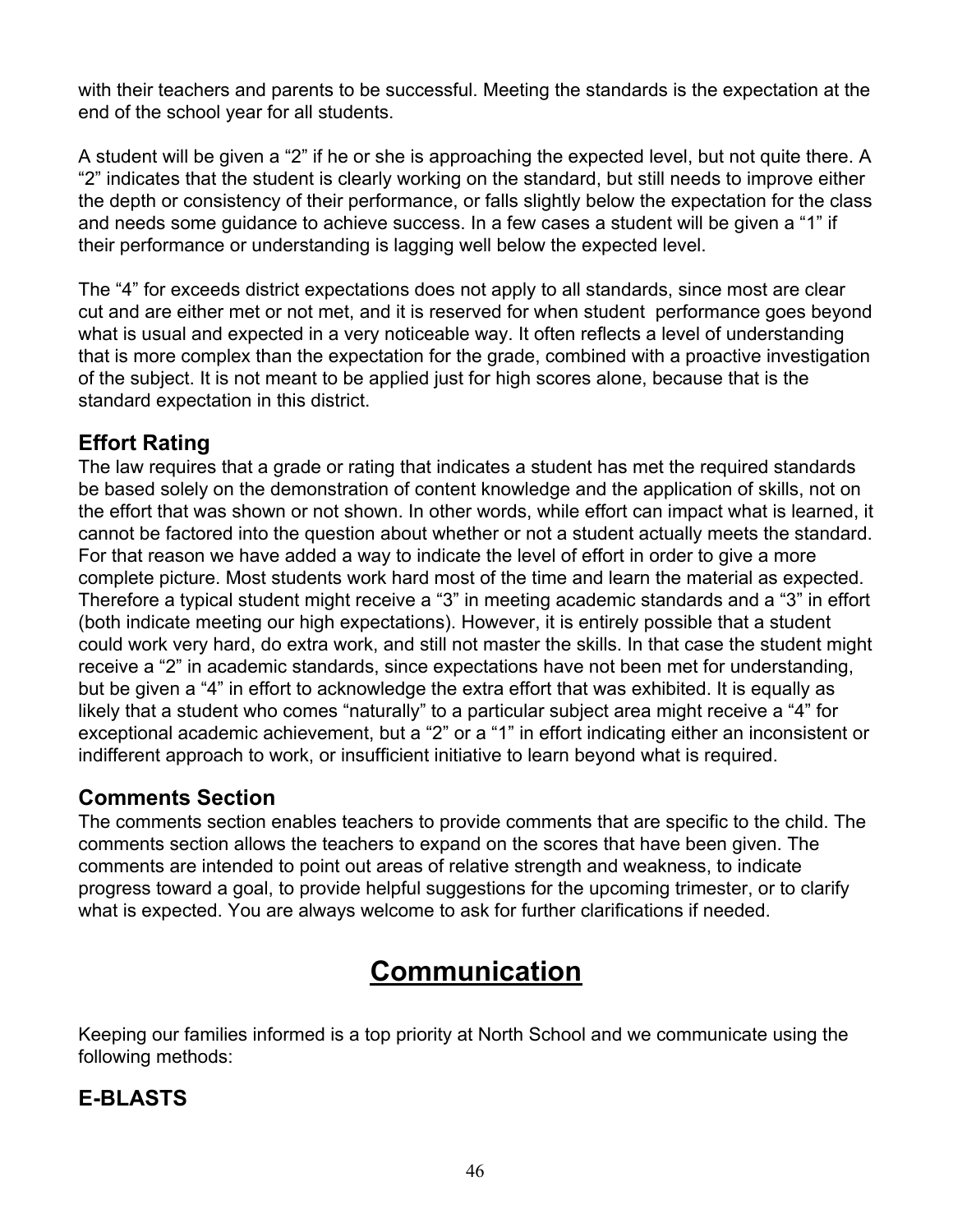with their teachers and parents to be successful. Meeting the standards is the expectation at the end of the school year for all students.

A student will be given a "2" if he or she is approaching the expected level, but not quite there. A "2" indicates that the student is clearly working on the standard, but still needs to improve either the depth or consistency of their performance, or falls slightly below the expectation for the class and needs some guidance to achieve success. In a few cases a student will be given a "1" if their performance or understanding is lagging well below the expected level.

The "4" for exceeds district expectations does not apply to all standards, since most are clear cut and are either met or not met, and it is reserved for when student performance goes beyond what is usual and expected in a very noticeable way. It often reflects a level of understanding that is more complex than the expectation for the grade, combined with a proactive investigation of the subject. It is not meant to be applied just for high scores alone, because that is the standard expectation in this district.

## **Effort Rating**

The law requires that a grade or rating that indicates a student has met the required standards be based solely on the demonstration of content knowledge and the application of skills, not on the effort that was shown or not shown. In other words, while effort can impact what is learned, it cannot be factored into the question about whether or not a student actually meets the standard. For that reason we have added a way to indicate the level of effort in order to give a more complete picture. Most students work hard most of the time and learn the material as expected. Therefore a typical student might receive a "3" in meeting academic standards and a "3" in effort (both indicate meeting our high expectations). However, it is entirely possible that a student could work very hard, do extra work, and still not master the skills. In that case the student might receive a "2" in academic standards, since expectations have not been met for understanding, but be given a "4" in effort to acknowledge the extra effort that was exhibited. It is equally as likely that a student who comes "naturally" to a particular subject area might receive a "4" for exceptional academic achievement, but a "2" or a "1" in effort indicating either an inconsistent or indifferent approach to work, or insufficient initiative to learn beyond what is required.

### **Comments Section**

The comments section enables teachers to provide comments that are specific to the child. The comments section allows the teachers to expand on the scores that have been given. The comments are intended to point out areas of relative strength and weakness, to indicate progress toward a goal, to provide helpful suggestions for the upcoming trimester, or to clarify what is expected. You are always welcome to ask for further clarifications if needed.

# **Communication**

Keeping our families informed is a top priority at North School and we communicate using the following methods:

# **E-BLASTS**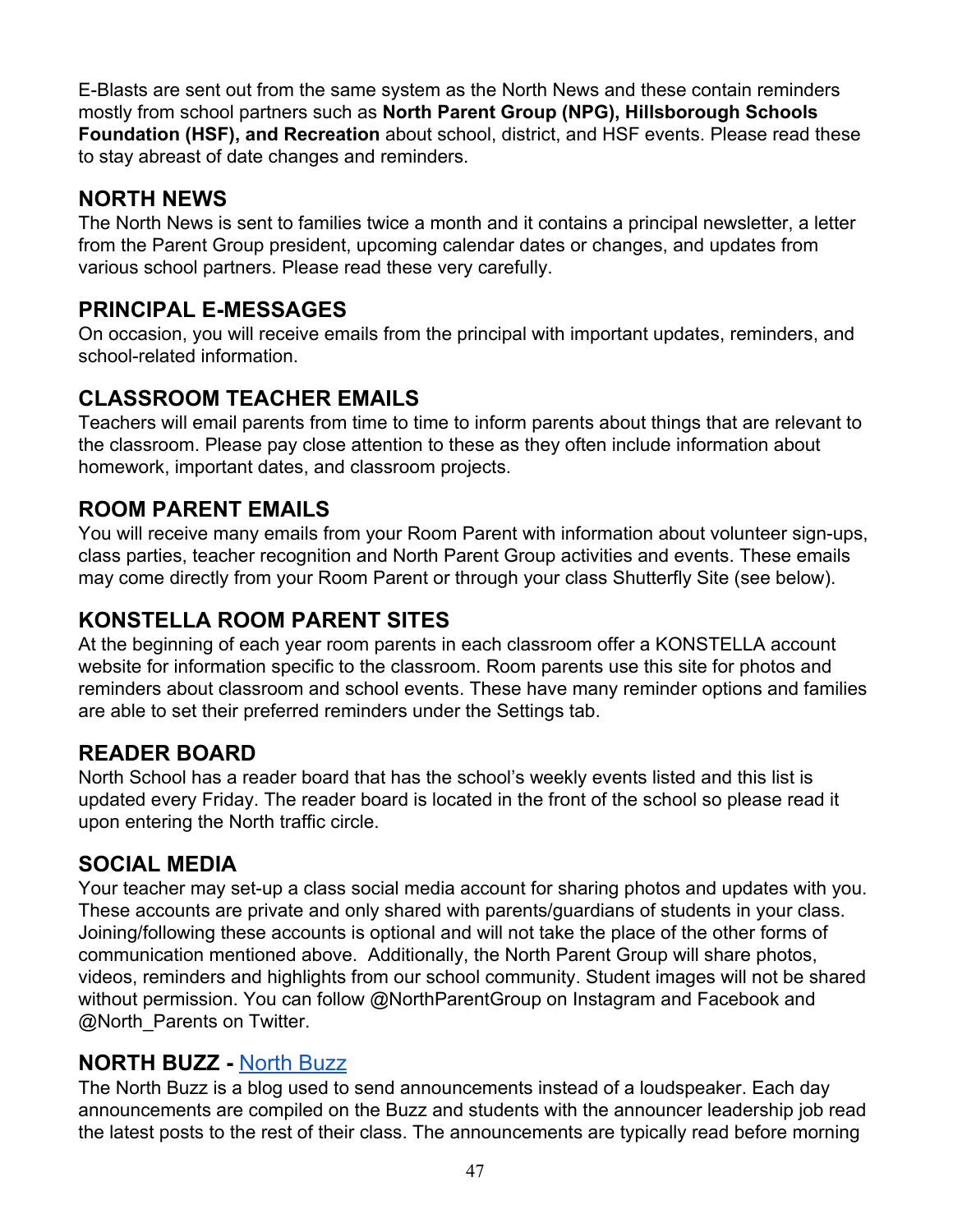E-Blasts are sent out from the same system as the North News and these contain reminders mostly from school partners such as **North Parent Group (NPG), Hillsborough Schools Foundation (HSF), and Recreation** about school, district, and HSF events. Please read these to stay abreast of date changes and reminders.

# **NORTH NEWS**

The North News is sent to families twice a month and it contains a principal newsletter, a letter from the Parent Group president, upcoming calendar dates or changes, and updates from various school partners. Please read these very carefully.

## **PRINCIPAL E-MESSAGES**

On occasion, you will receive emails from the principal with important updates, reminders, and school-related information.

## **CLASSROOM TEACHER EMAILS**

Teachers will email parents from time to time to inform parents about things that are relevant to the classroom. Please pay close attention to these as they often include information about homework, important dates, and classroom projects.

### **ROOM PARENT EMAILS**

You will receive many emails from your Room Parent with information about volunteer sign-ups, class parties, teacher recognition and North Parent Group activities and events. These emails may come directly from your Room Parent or through your class Shutterfly Site (see below).

### **KONSTELLA ROOM PARENT SITES**

At the beginning of each year room parents in each classroom offer a KONSTELLA account website for information specific to the classroom. Room parents use this site for photos and reminders about classroom and school events. These have many reminder options and families are able to set their preferred reminders under the Settings tab.

### **READER BOARD**

North School has a reader board that has the school's weekly events listed and this list is updated every Friday. The reader board is located in the front of the school so please read it upon entering the North traffic circle.

### **SOCIAL MEDIA**

Your teacher may set-up a class social media account for sharing photos and updates with you. These accounts are private and only shared with parents/guardians of students in your class. Joining/following these accounts is optional and will not take the place of the other forms of communication mentioned above. Additionally, the North Parent Group will share photos, videos, reminders and highlights from our school community. Student images will not be shared without permission. You can follow @NorthParentGroup on Instagram and Facebook and @North\_Parents on Twitter.

### **NORTH BUZZ -** [North](https://northannouncements.blogspot.com/) Buzz

The North Buzz is a blog used to send announcements instead of a loudspeaker. Each day announcements are compiled on the Buzz and students with the announcer leadership job read the latest posts to the rest of their class. The announcements are typically read before morning